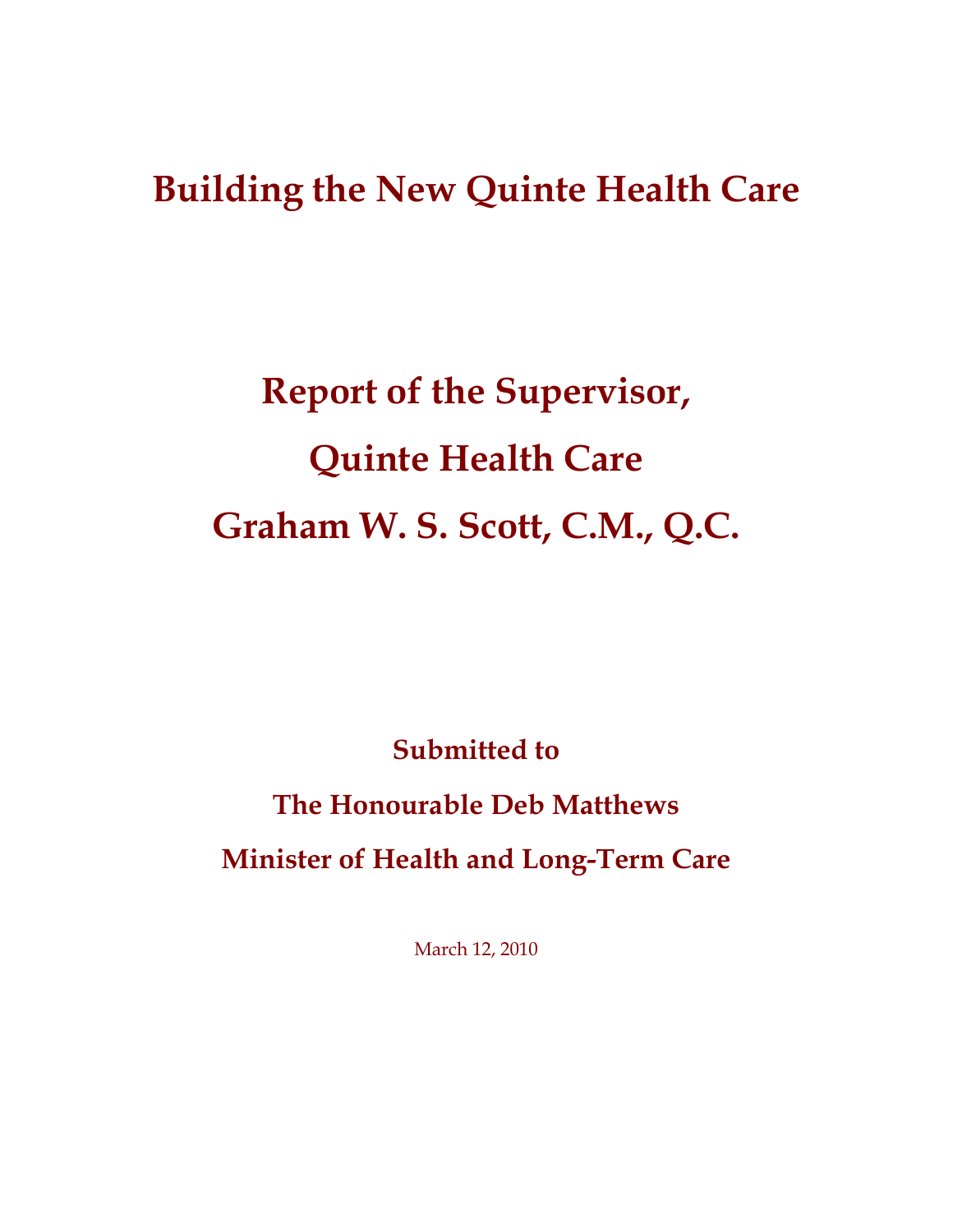## **Building the New Quinte Health Care**

## **Report of the Supervisor, Quinte Health Care Graham W. S. Scott, C.M., Q.C.**

**Submitted to** 

# **The Honourable Deb Matthews**

**Minister of Health and Long-Term Care** 

March 12, 2010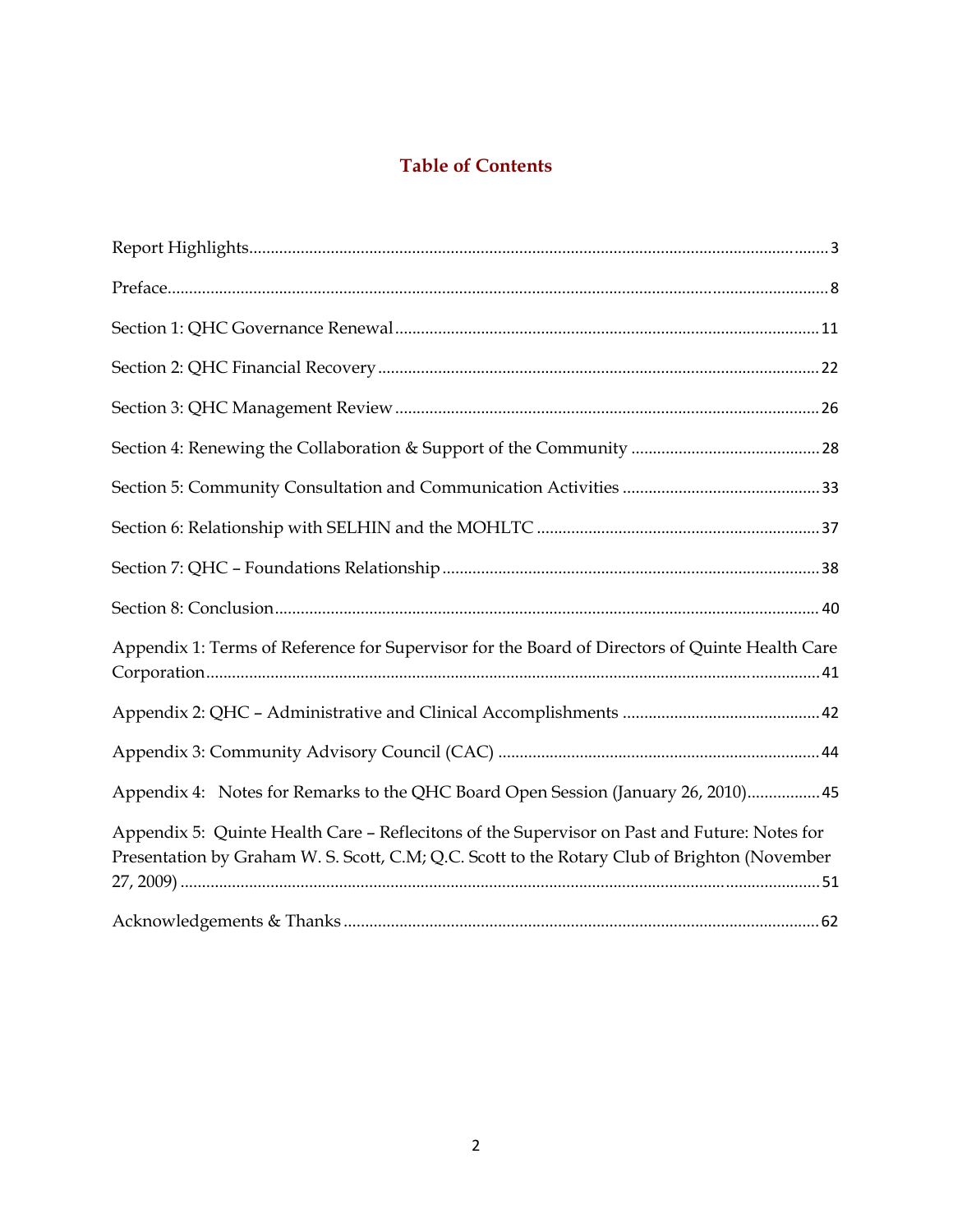## **Table of Contents**

| Appendix 1: Terms of Reference for Supervisor for the Board of Directors of Quinte Health Care                                                                                               |
|----------------------------------------------------------------------------------------------------------------------------------------------------------------------------------------------|
|                                                                                                                                                                                              |
|                                                                                                                                                                                              |
| Appendix 4: Notes for Remarks to the QHC Board Open Session (January 26, 2010) 45                                                                                                            |
| Appendix 5: Quinte Health Care - Reflecitons of the Supervisor on Past and Future: Notes for<br>Presentation by Graham W. S. Scott, C.M; Q.C. Scott to the Rotary Club of Brighton (November |
|                                                                                                                                                                                              |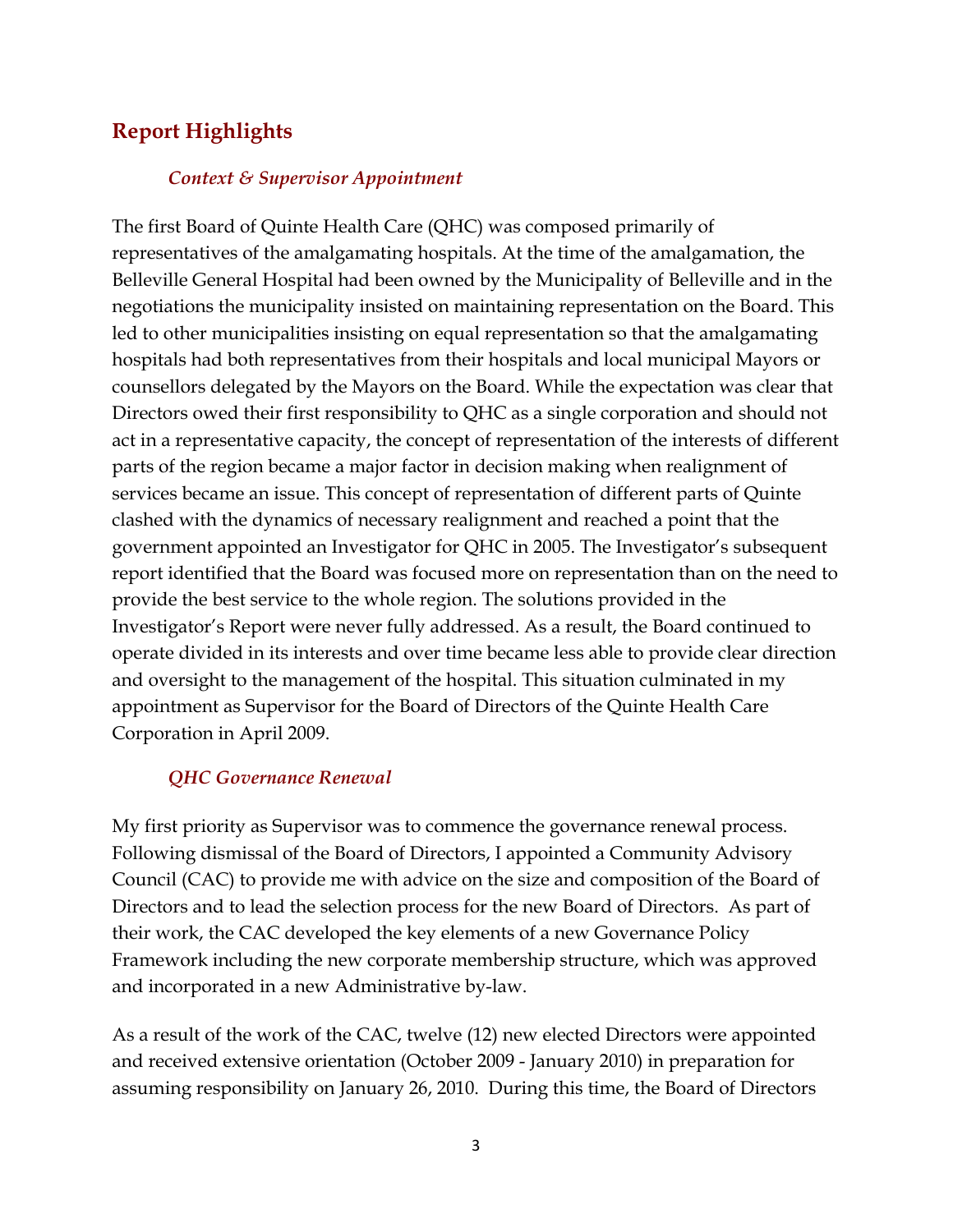## <span id="page-2-0"></span>**Report Highlights**

#### *Context & Supervisor Appointment*

The first Board of Quinte Health Care (QHC) was composed primarily of representatives of the amalgamating hospitals. At the time of the amalgamation, the Belleville General Hospital had been owned by the Municipality of Belleville and in the negotiations the municipality insisted on maintaining representation on the Board. This led to other municipalities insisting on equal representation so that the amalgamating hospitals had both representatives from their hospitals and local municipal Mayors or counsellors delegated by the Mayors on the Board. While the expectation was clear that Directors owed their first responsibility to QHC as a single corporation and should not act in a representative capacity, the concept of representation of the interests of different parts of the region became a major factor in decision making when realignment of services became an issue. This concept of representation of different parts of Quinte clashed with the dynamics of necessary realignment and reached a point that the government appointed an Investigator for QHC in 2005. The Investigator's subsequent report identified that the Board was focused more on representation than on the need to provide the best service to the whole region. The solutions provided in the Investigator's Report were never fully addressed. As a result, the Board continued to operate divided in its interests and over time became less able to provide clear direction and oversight to the management of the hospital. This situation culminated in my appointment as Supervisor for the Board of Directors of the Quinte Health Care Corporation in April 2009.

#### *QHC Governance Renewal*

My first priority as Supervisor was to commence the governance renewal process. Following dismissal of the Board of Directors, I appointed a Community Advisory Council (CAC) to provide me with advice on the size and composition of the Board of Directors and to lead the selection process for the new Board of Directors. As part of their work, the CAC developed the key elements of a new Governance Policy Framework including the new corporate membership structure, which was approved and incorporated in a new Administrative by-law.

As a result of the work of the CAC, twelve (12) new elected Directors were appointed and received extensive orientation (October 2009 - January 2010) in preparation for assuming responsibility on January 26, 2010. During this time, the Board of Directors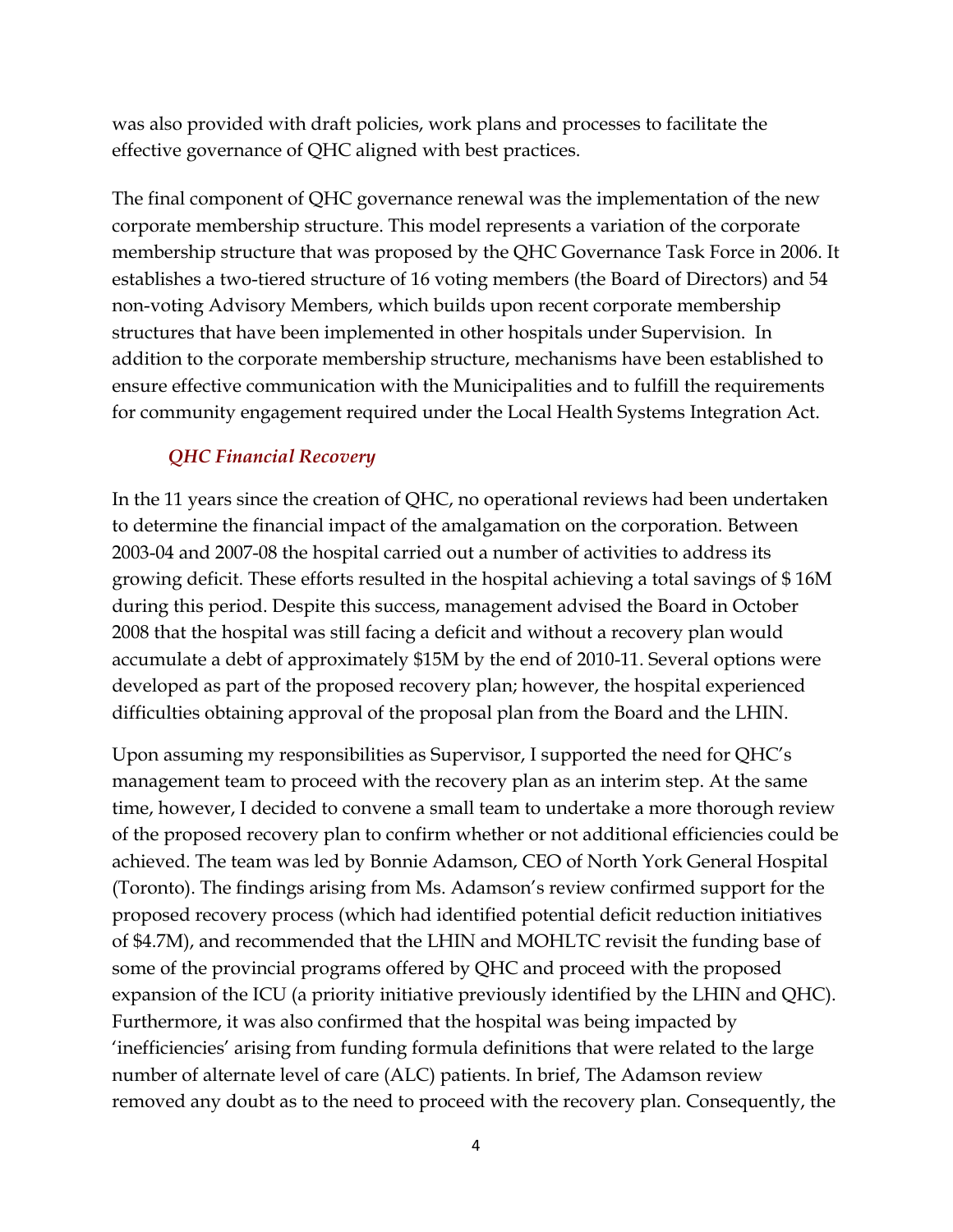was also provided with draft policies, work plans and processes to facilitate the effective governance of QHC aligned with best practices.

The final component of QHC governance renewal was the implementation of the new corporate membership structure. This model represents a variation of the corporate membership structure that was proposed by the QHC Governance Task Force in 2006. It establishes a two-tiered structure of 16 voting members (the Board of Directors) and 54 non-voting Advisory Members, which builds upon recent corporate membership structures that have been implemented in other hospitals under Supervision. In addition to the corporate membership structure, mechanisms have been established to ensure effective communication with the Municipalities and to fulfill the requirements for community engagement required under the Local Health Systems Integration Act.

## *QHC Financial Recovery*

In the 11 years since the creation of QHC, no operational reviews had been undertaken to determine the financial impact of the amalgamation on the corporation. Between 2003-04 and 2007-08 the hospital carried out a number of activities to address its growing deficit. These efforts resulted in the hospital achieving a total savings of \$ 16M during this period. Despite this success, management advised the Board in October 2008 that the hospital was still facing a deficit and without a recovery plan would accumulate a debt of approximately \$15M by the end of 2010-11. Several options were developed as part of the proposed recovery plan; however, the hospital experienced difficulties obtaining approval of the proposal plan from the Board and the LHIN.

Upon assuming my responsibilities as Supervisor, I supported the need for QHC's management team to proceed with the recovery plan as an interim step. At the same time, however, I decided to convene a small team to undertake a more thorough review of the proposed recovery plan to confirm whether or not additional efficiencies could be achieved. The team was led by Bonnie Adamson, CEO of North York General Hospital (Toronto). The findings arising from Ms. Adamson's review confirmed support for the proposed recovery process (which had identified potential deficit reduction initiatives of \$4.7M), and recommended that the LHIN and MOHLTC revisit the funding base of some of the provincial programs offered by QHC and proceed with the proposed expansion of the ICU (a priority initiative previously identified by the LHIN and QHC). Furthermore, it was also confirmed that the hospital was being impacted by 'inefficiencies' arising from funding formula definitions that were related to the large number of alternate level of care (ALC) patients. In brief, The Adamson review removed any doubt as to the need to proceed with the recovery plan. Consequently, the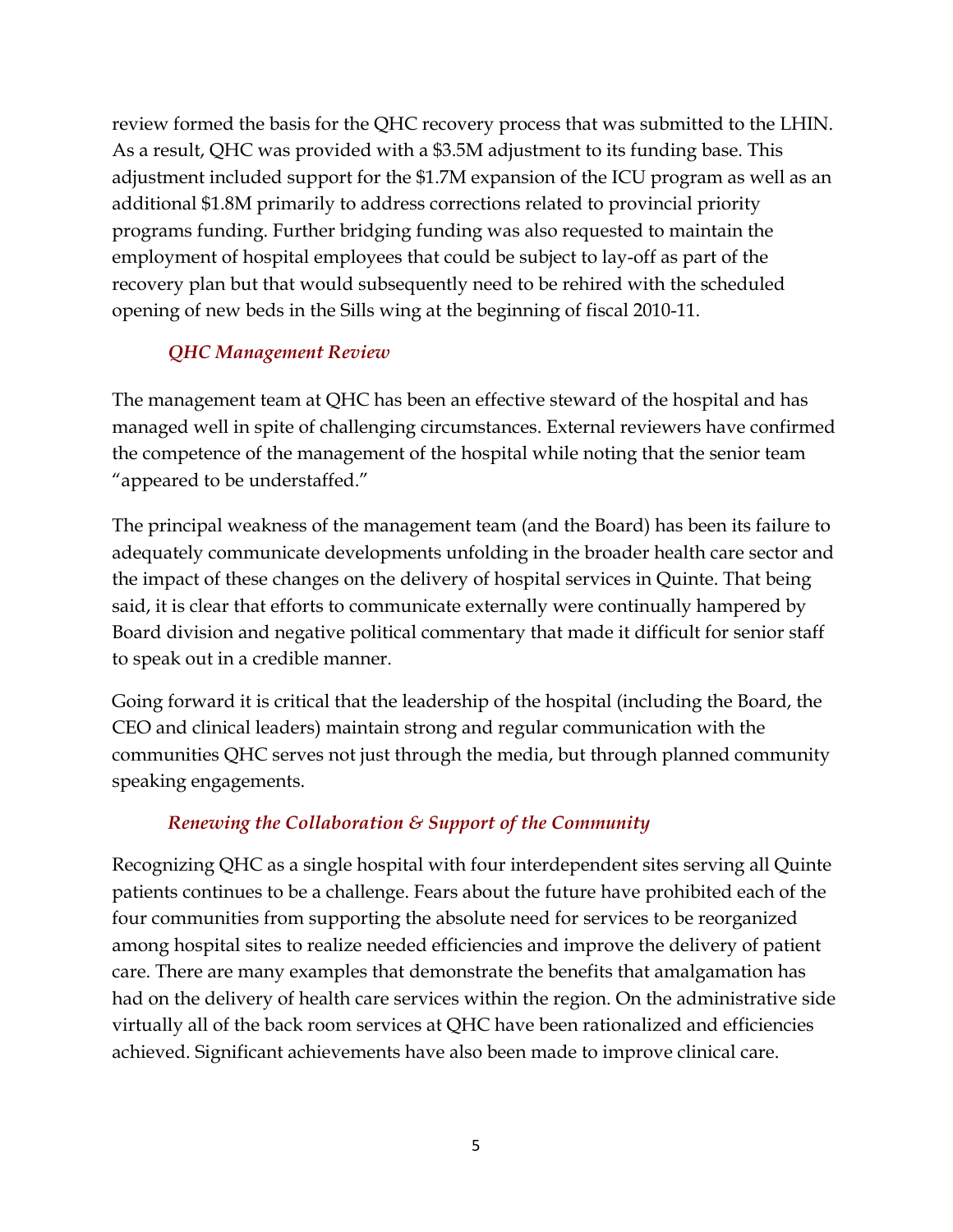review formed the basis for the QHC recovery process that was submitted to the LHIN. As a result, QHC was provided with a \$3.5M adjustment to its funding base. This adjustment included support for the \$1.7M expansion of the ICU program as well as an additional \$1.8M primarily to address corrections related to provincial priority programs funding. Further bridging funding was also requested to maintain the employment of hospital employees that could be subject to lay-off as part of the recovery plan but that would subsequently need to be rehired with the scheduled opening of new beds in the Sills wing at the beginning of fiscal 2010-11.

## *QHC Management Review*

The management team at QHC has been an effective steward of the hospital and has managed well in spite of challenging circumstances. External reviewers have confirmed the competence of the management of the hospital while noting that the senior team "appeared to be understaffed."

The principal weakness of the management team (and the Board) has been its failure to adequately communicate developments unfolding in the broader health care sector and the impact of these changes on the delivery of hospital services in Quinte. That being said, it is clear that efforts to communicate externally were continually hampered by Board division and negative political commentary that made it difficult for senior staff to speak out in a credible manner.

Going forward it is critical that the leadership of the hospital (including the Board, the CEO and clinical leaders) maintain strong and regular communication with the communities QHC serves not just through the media, but through planned community speaking engagements.

## *Renewing the Collaboration & Support of the Community*

Recognizing QHC as a single hospital with four interdependent sites serving all Quinte patients continues to be a challenge. Fears about the future have prohibited each of the four communities from supporting the absolute need for services to be reorganized among hospital sites to realize needed efficiencies and improve the delivery of patient care. There are many examples that demonstrate the benefits that amalgamation has had on the delivery of health care services within the region. On the administrative side virtually all of the back room services at QHC have been rationalized and efficiencies achieved. Significant achievements have also been made to improve clinical care.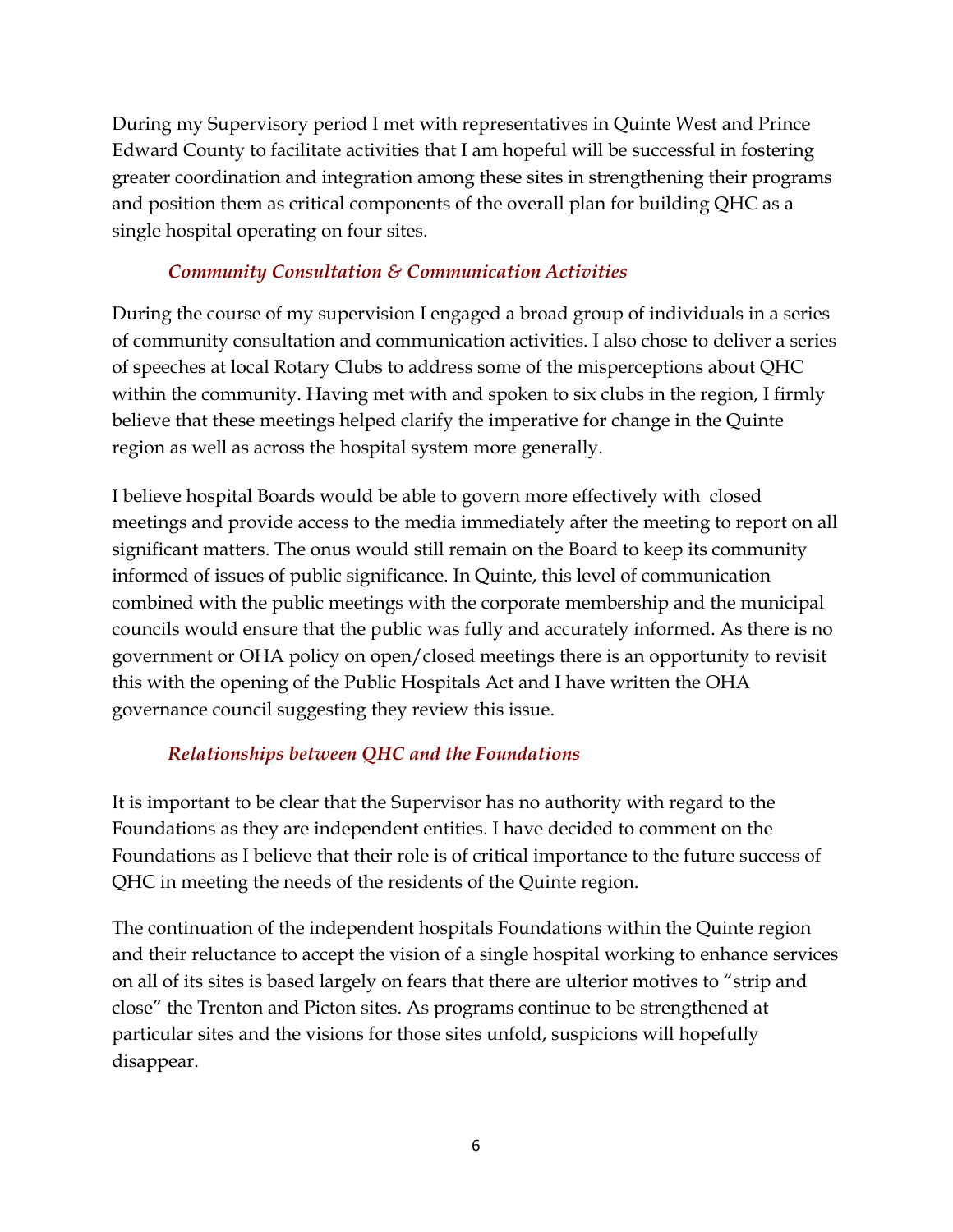During my Supervisory period I met with representatives in Quinte West and Prince Edward County to facilitate activities that I am hopeful will be successful in fostering greater coordination and integration among these sites in strengthening their programs and position them as critical components of the overall plan for building QHC as a single hospital operating on four sites.

## *Community Consultation & Communication Activities*

During the course of my supervision I engaged a broad group of individuals in a series of community consultation and communication activities. I also chose to deliver a series of speeches at local Rotary Clubs to address some of the misperceptions about QHC within the community. Having met with and spoken to six clubs in the region, I firmly believe that these meetings helped clarify the imperative for change in the Quinte region as well as across the hospital system more generally.

I believe hospital Boards would be able to govern more effectively with closed meetings and provide access to the media immediately after the meeting to report on all significant matters. The onus would still remain on the Board to keep its community informed of issues of public significance. In Quinte, this level of communication combined with the public meetings with the corporate membership and the municipal councils would ensure that the public was fully and accurately informed. As there is no government or OHA policy on open/closed meetings there is an opportunity to revisit this with the opening of the Public Hospitals Act and I have written the OHA governance council suggesting they review this issue.

## *Relationships between QHC and the Foundations*

It is important to be clear that the Supervisor has no authority with regard to the Foundations as they are independent entities. I have decided to comment on the Foundations as I believe that their role is of critical importance to the future success of QHC in meeting the needs of the residents of the Quinte region.

The continuation of the independent hospitals Foundations within the Quinte region and their reluctance to accept the vision of a single hospital working to enhance services on all of its sites is based largely on fears that there are ulterior motives to "strip and close" the Trenton and Picton sites. As programs continue to be strengthened at particular sites and the visions for those sites unfold, suspicions will hopefully disappear.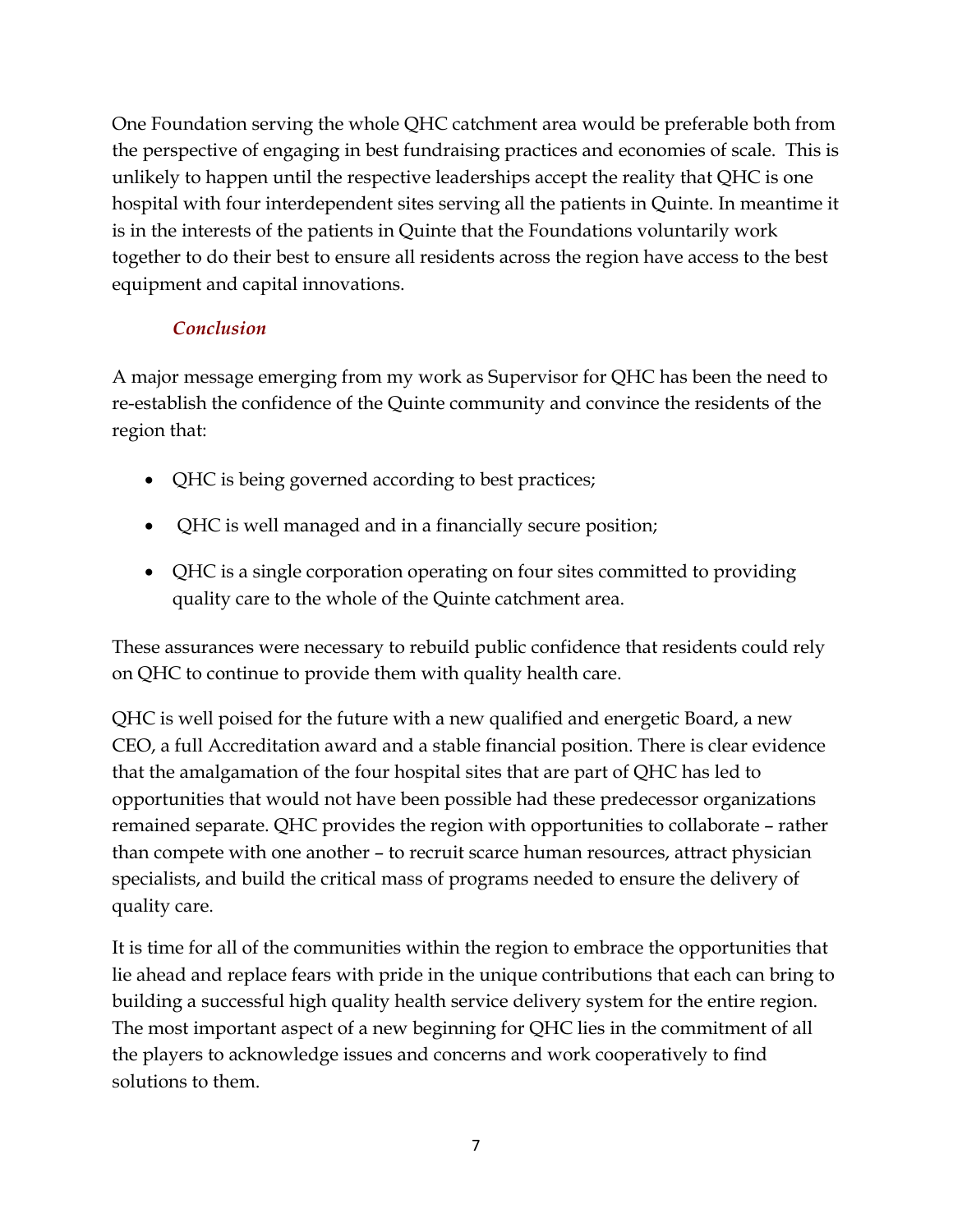One Foundation serving the whole QHC catchment area would be preferable both from the perspective of engaging in best fundraising practices and economies of scale. This is unlikely to happen until the respective leaderships accept the reality that QHC is one hospital with four interdependent sites serving all the patients in Quinte. In meantime it is in the interests of the patients in Quinte that the Foundations voluntarily work together to do their best to ensure all residents across the region have access to the best equipment and capital innovations.

## *Conclusion*

A major message emerging from my work as Supervisor for QHC has been the need to re-establish the confidence of the Quinte community and convince the residents of the region that:

- QHC is being governed according to best practices;
- QHC is well managed and in a financially secure position;
- QHC is a single corporation operating on four sites committed to providing quality care to the whole of the Quinte catchment area.

These assurances were necessary to rebuild public confidence that residents could rely on QHC to continue to provide them with quality health care.

QHC is well poised for the future with a new qualified and energetic Board, a new CEO, a full Accreditation award and a stable financial position. There is clear evidence that the amalgamation of the four hospital sites that are part of QHC has led to opportunities that would not have been possible had these predecessor organizations remained separate. QHC provides the region with opportunities to collaborate – rather than compete with one another – to recruit scarce human resources, attract physician specialists, and build the critical mass of programs needed to ensure the delivery of quality care.

It is time for all of the communities within the region to embrace the opportunities that lie ahead and replace fears with pride in the unique contributions that each can bring to building a successful high quality health service delivery system for the entire region. The most important aspect of a new beginning for QHC lies in the commitment of all the players to acknowledge issues and concerns and work cooperatively to find solutions to them.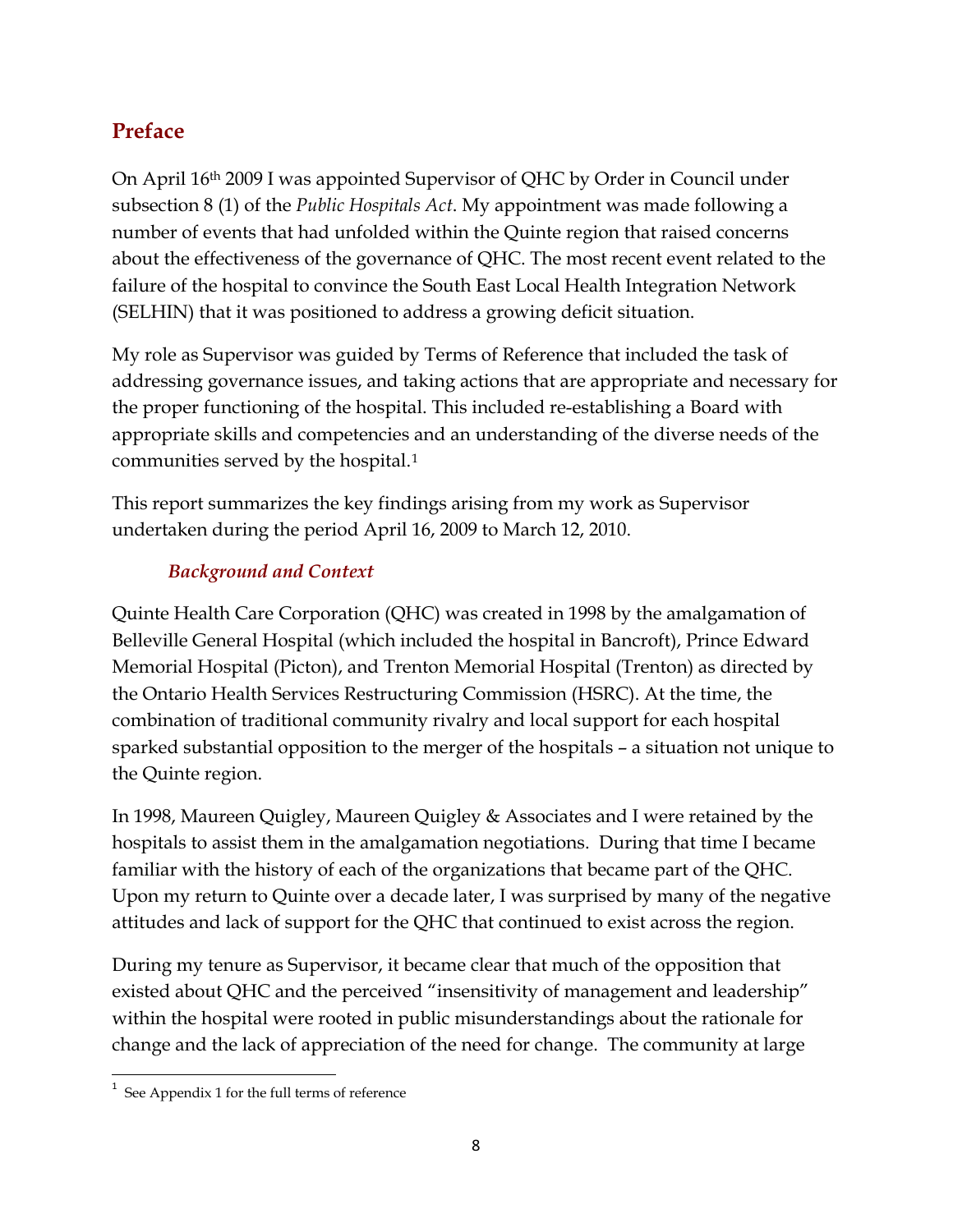## <span id="page-7-0"></span>**Preface**

On April 16th 2009 I was appointed Supervisor of QHC by Order in Council under subsection 8 (1) of the *Public Hospitals Act*. My appointment was made following a number of events that had unfolded within the Quinte region that raised concerns about the effectiveness of the governance of QHC. The most recent event related to the failure of the hospital to convince the South East Local Health Integration Network (SELHIN) that it was positioned to address a growing deficit situation.

My role as Supervisor was guided by Terms of Reference that included the task of addressing governance issues, and taking actions that are appropriate and necessary for the proper functioning of the hospital. This included re-establishing a Board with appropriate skills and competencies and an understanding of the diverse needs of the communities served by the hospital.[1](#page-7-1)

This report summarizes the key findings arising from my work as Supervisor undertaken during the period April 16, 2009 to March 12, 2010.

## *Background and Context*

Quinte Health Care Corporation (QHC) was created in 1998 by the amalgamation of Belleville General Hospital (which included the hospital in Bancroft), Prince Edward Memorial Hospital (Picton), and Trenton Memorial Hospital (Trenton) as directed by the Ontario Health Services Restructuring Commission (HSRC). At the time, the combination of traditional community rivalry and local support for each hospital sparked substantial opposition to the merger of the hospitals – a situation not unique to the Quinte region.

In 1998, Maureen Quigley, Maureen Quigley & Associates and I were retained by the hospitals to assist them in the amalgamation negotiations. During that time I became familiar with the history of each of the organizations that became part of the QHC. Upon my return to Quinte over a decade later, I was surprised by many of the negative attitudes and lack of support for the QHC that continued to exist across the region.

During my tenure as Supervisor, it became clear that much of the opposition that existed about QHC and the perceived "insensitivity of management and leadership" within the hospital were rooted in public misunderstandings about the rationale for change and the lack of appreciation of the need for change. The community at large

<span id="page-7-1"></span> $1$  See Appendix 1 for the full terms of reference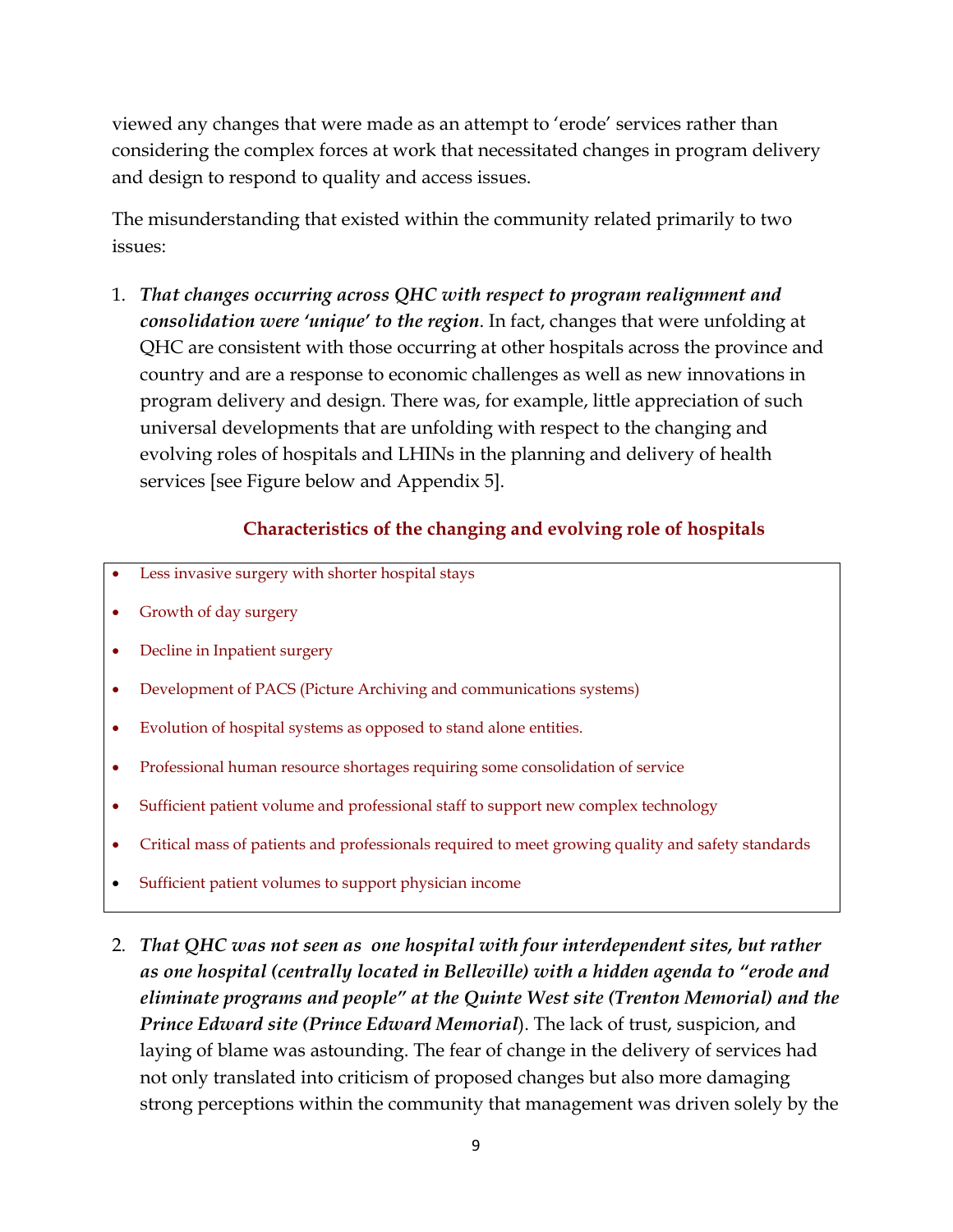viewed any changes that were made as an attempt to 'erode' services rather than considering the complex forces at work that necessitated changes in program delivery and design to respond to quality and access issues.

The misunderstanding that existed within the community related primarily to two issues:

1. *That changes occurring across QHC with respect to program realignment and consolidation were 'unique' to the region*. In fact, changes that were unfolding at QHC are consistent with those occurring at other hospitals across the province and country and are a response to economic challenges as well as new innovations in program delivery and design. There was, for example, little appreciation of such universal developments that are unfolding with respect to the changing and evolving roles of hospitals and LHINs in the planning and delivery of health services [see Figure below and Appendix 5].

### **Characteristics of the changing and evolving role of hospitals**

- Less invasive surgery with shorter hospital stays
- Growth of day surgery
- Decline in Inpatient surgery
- Development of PACS (Picture Archiving and communications systems)
- Evolution of hospital systems as opposed to stand alone entities.
- Professional human resource shortages requiring some consolidation of service
- Sufficient patient volume and professional staff to support new complex technology
- Critical mass of patients and professionals required to meet growing quality and safety standards
- Sufficient patient volumes to support physician income
- 2. *That QHC was not seen as one hospital with four interdependent sites, but rather as one hospital (centrally located in Belleville) with a hidden agenda to "erode and eliminate programs and people" at the Quinte West site (Trenton Memorial) and the Prince Edward site (Prince Edward Memorial*). The lack of trust, suspicion, and laying of blame was astounding. The fear of change in the delivery of services had not only translated into criticism of proposed changes but also more damaging strong perceptions within the community that management was driven solely by the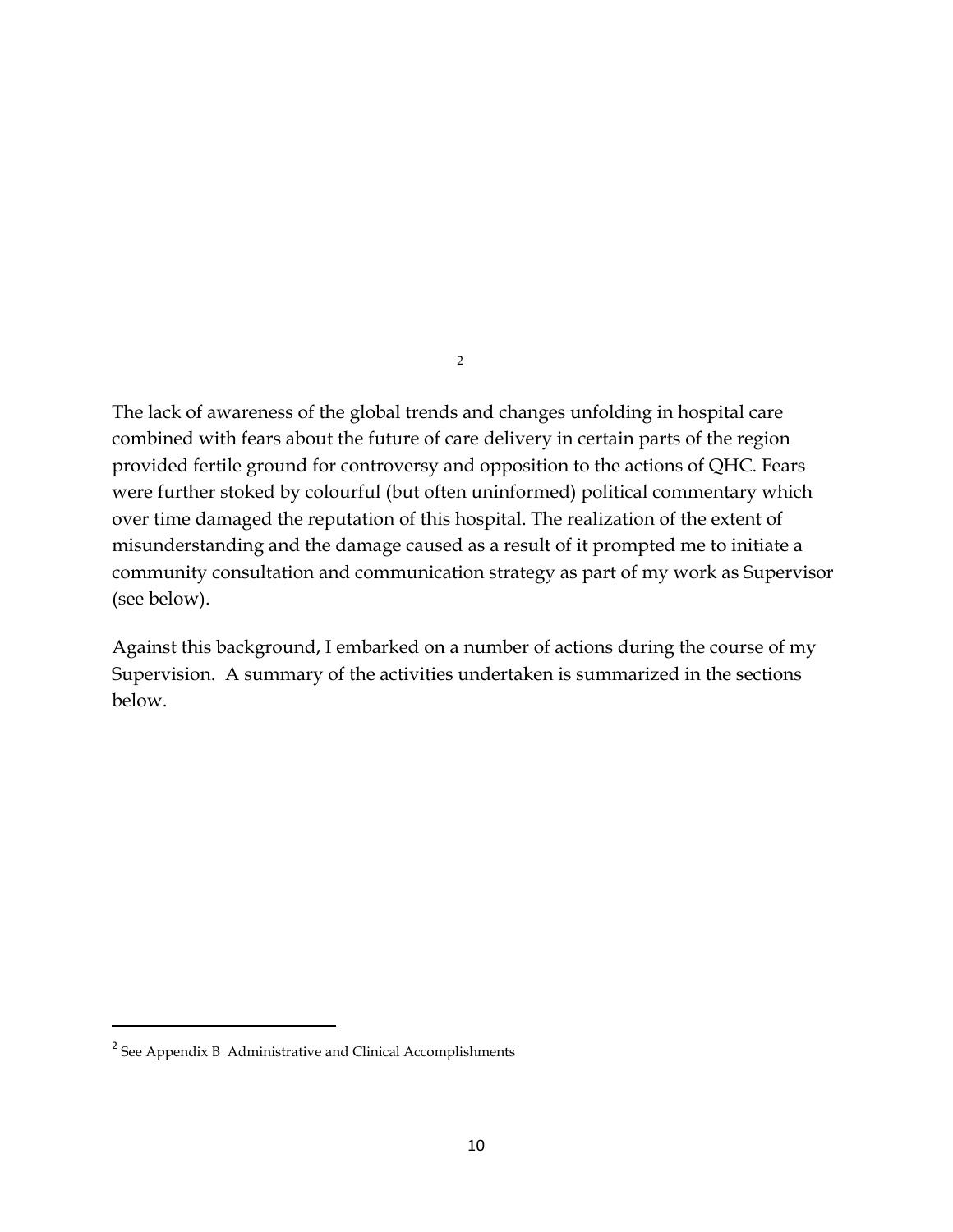The lack of awareness of the global trends and changes unfolding in hospital care combined with fears about the future of care delivery in certain parts of the region provided fertile ground for controversy and opposition to the actions of QHC. Fears were further stoked by colourful (but often uninformed) political commentary which over time damaged the reputation of this hospital. The realization of the extent of misunderstanding and the damage caused as a result of it prompted me to initiate a community consultation and communication strategy as part of my work as Supervisor (see below).

2

Against this background, I embarked on a number of actions during the course of my Supervision. A summary of the activities undertaken is summarized in the sections below.

<sup>&</sup>lt;sup>2</sup> See Appendix B Administrative and Clinical Accomplishments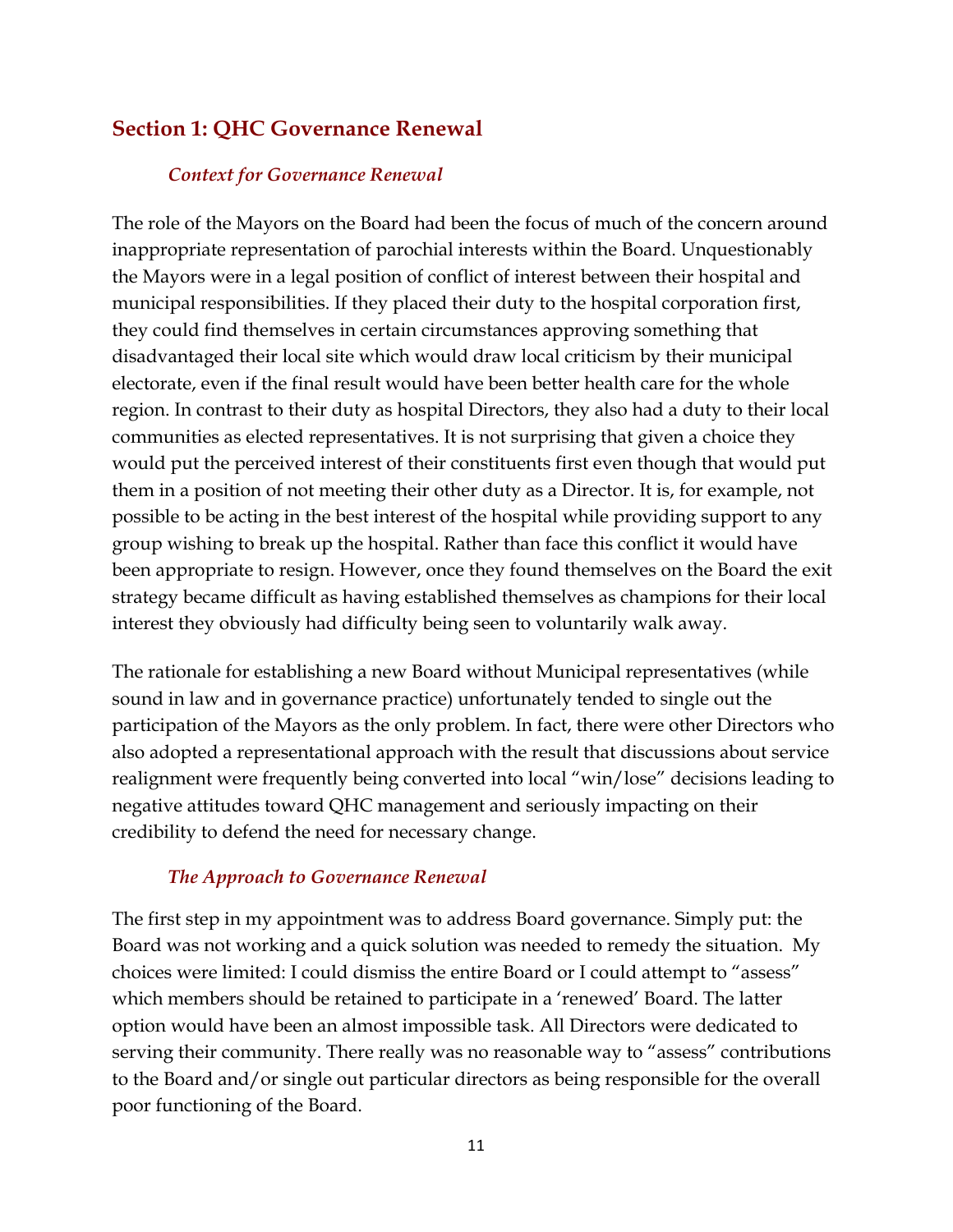## <span id="page-10-0"></span>**Section 1: QHC Governance Renewal**

#### *Context for Governance Renewal*

The role of the Mayors on the Board had been the focus of much of the concern around inappropriate representation of parochial interests within the Board. Unquestionably the Mayors were in a legal position of conflict of interest between their hospital and municipal responsibilities. If they placed their duty to the hospital corporation first, they could find themselves in certain circumstances approving something that disadvantaged their local site which would draw local criticism by their municipal electorate, even if the final result would have been better health care for the whole region. In contrast to their duty as hospital Directors, they also had a duty to their local communities as elected representatives. It is not surprising that given a choice they would put the perceived interest of their constituents first even though that would put them in a position of not meeting their other duty as a Director. It is, for example, not possible to be acting in the best interest of the hospital while providing support to any group wishing to break up the hospital. Rather than face this conflict it would have been appropriate to resign. However, once they found themselves on the Board the exit strategy became difficult as having established themselves as champions for their local interest they obviously had difficulty being seen to voluntarily walk away.

The rationale for establishing a new Board without Municipal representatives (while sound in law and in governance practice) unfortunately tended to single out the participation of the Mayors as the only problem. In fact, there were other Directors who also adopted a representational approach with the result that discussions about service realignment were frequently being converted into local "win/lose" decisions leading to negative attitudes toward QHC management and seriously impacting on their credibility to defend the need for necessary change.

#### *The Approach to Governance Renewal*

The first step in my appointment was to address Board governance. Simply put: the Board was not working and a quick solution was needed to remedy the situation. My choices were limited: I could dismiss the entire Board or I could attempt to "assess" which members should be retained to participate in a 'renewed' Board. The latter option would have been an almost impossible task. All Directors were dedicated to serving their community. There really was no reasonable way to "assess" contributions to the Board and/or single out particular directors as being responsible for the overall poor functioning of the Board.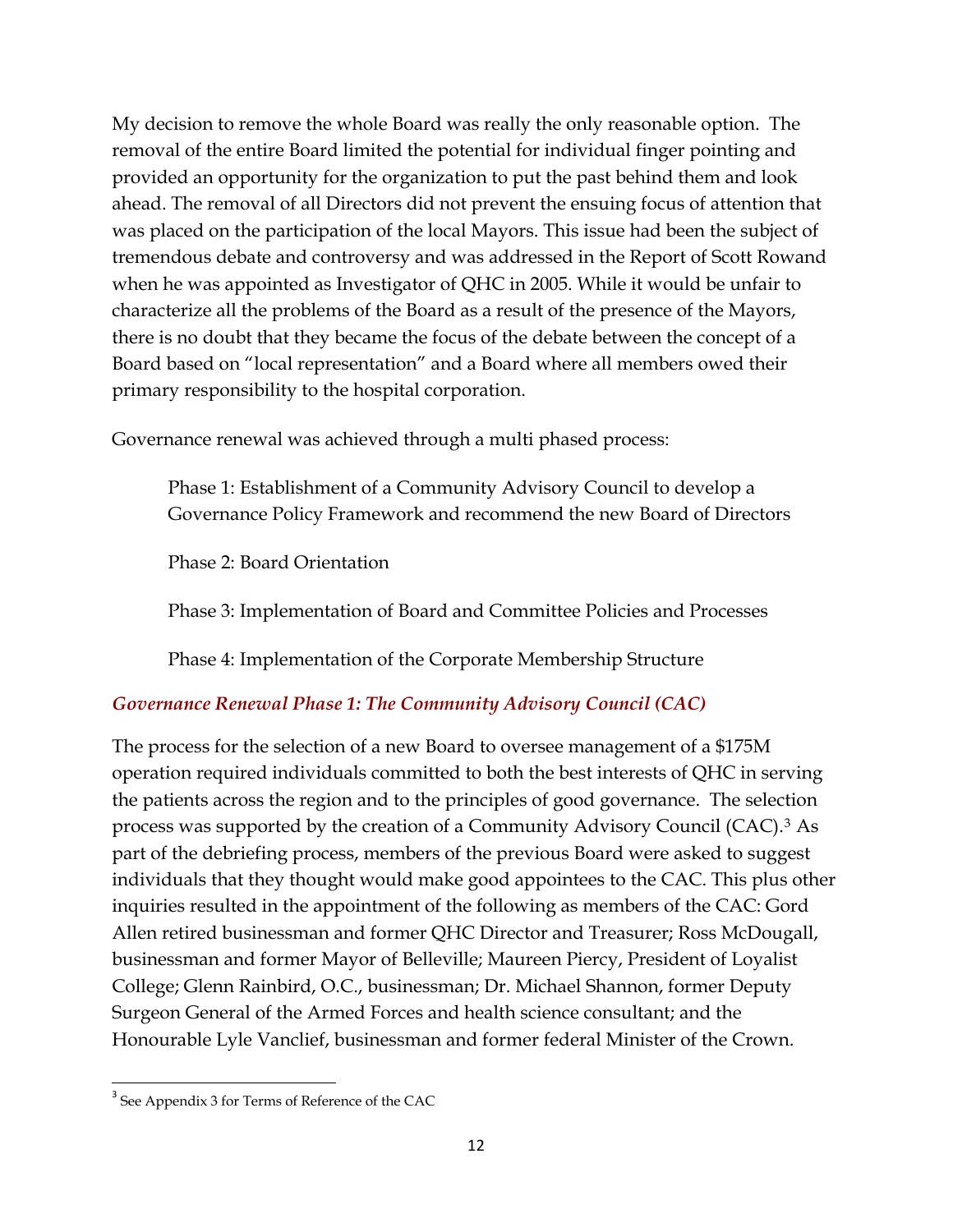My decision to remove the whole Board was really the only reasonable option. The removal of the entire Board limited the potential for individual finger pointing and provided an opportunity for the organization to put the past behind them and look ahead. The removal of all Directors did not prevent the ensuing focus of attention that was placed on the participation of the local Mayors. This issue had been the subject of tremendous debate and controversy and was addressed in the Report of Scott Rowand when he was appointed as Investigator of QHC in 2005. While it would be unfair to characterize all the problems of the Board as a result of the presence of the Mayors, there is no doubt that they became the focus of the debate between the concept of a Board based on "local representation" and a Board where all members owed their primary responsibility to the hospital corporation.

Governance renewal was achieved through a multi phased process:

Phase 1: Establishment of a Community Advisory Council to develop a Governance Policy Framework and recommend the new Board of Directors

Phase 2: Board Orientation

Phase 3: Implementation of Board and Committee Policies and Processes

Phase 4: Implementation of the Corporate Membership Structure

#### *Governance Renewal Phase 1: The Community Advisory Council (CAC)*

The process for the selection of a new Board to oversee management of a \$175M operation required individuals committed to both the best interests of QHC in serving the patients across the region and to the principles of good governance. The selection process was supported by the creation of a Community Advisory Council (CAC).[3](#page-11-0) As part of the debriefing process, members of the previous Board were asked to suggest individuals that they thought would make good appointees to the CAC. This plus other inquiries resulted in the appointment of the following as members of the CAC: Gord Allen retired businessman and former QHC Director and Treasurer; Ross McDougall, businessman and former Mayor of Belleville; Maureen Piercy, President of Loyalist College; Glenn Rainbird, O.C., businessman; Dr. Michael Shannon, former Deputy Surgeon General of the Armed Forces and health science consultant; and the Honourable Lyle Vanclief, businessman and former federal Minister of the Crown.

<span id="page-11-0"></span><sup>&</sup>lt;sup>3</sup> See Appendix 3 for Terms of Reference of the CAC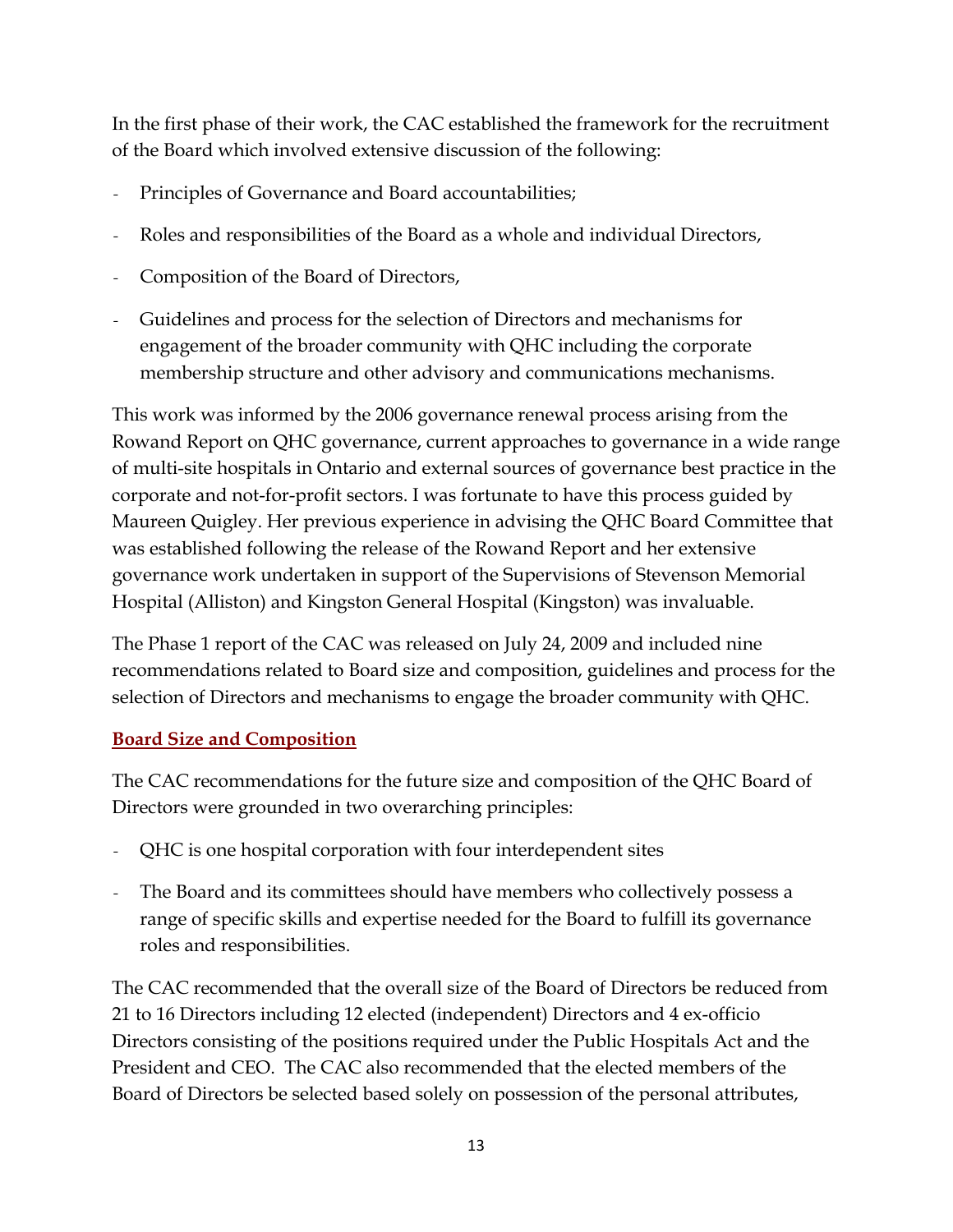In the first phase of their work, the CAC established the framework for the recruitment of the Board which involved extensive discussion of the following:

- Principles of Governance and Board accountabilities;
- *-* Roles and responsibilities of the Board as a whole and individual Directors,
- *-* Composition of the Board of Directors,
- *-* Guidelines and process for the selection of Directors and mechanisms for engagement of the broader community with QHC including the corporate membership structure and other advisory and communications mechanisms.

This work was informed by the 2006 governance renewal process arising from the Rowand Report on QHC governance, current approaches to governance in a wide range of multi-site hospitals in Ontario and external sources of governance best practice in the corporate and not-for-profit sectors. I was fortunate to have this process guided by Maureen Quigley. Her previous experience in advising the QHC Board Committee that was established following the release of the Rowand Report and her extensive governance work undertaken in support of the Supervisions of Stevenson Memorial Hospital (Alliston) and Kingston General Hospital (Kingston) was invaluable.

The Phase 1 report of the CAC was released on July 24, 2009 and included nine recommendations related to Board size and composition, guidelines and process for the selection of Directors and mechanisms to engage the broader community with QHC.

## **Board Size and Composition**

The CAC recommendations for the future size and composition of the QHC Board of Directors were grounded in two overarching principles:

- *-* QHC is one hospital corporation with four interdependent sites
- *-* The Board and its committees should have members who collectively possess a range of specific skills and expertise needed for the Board to fulfill its governance roles and responsibilities.

The CAC recommended that the overall size of the Board of Directors be reduced from 21 to 16 Directors including 12 elected (independent) Directors and 4 ex-officio Directors consisting of the positions required under the Public Hospitals Act and the President and CEO. The CAC also recommended that the elected members of the Board of Directors be selected based solely on possession of the personal attributes,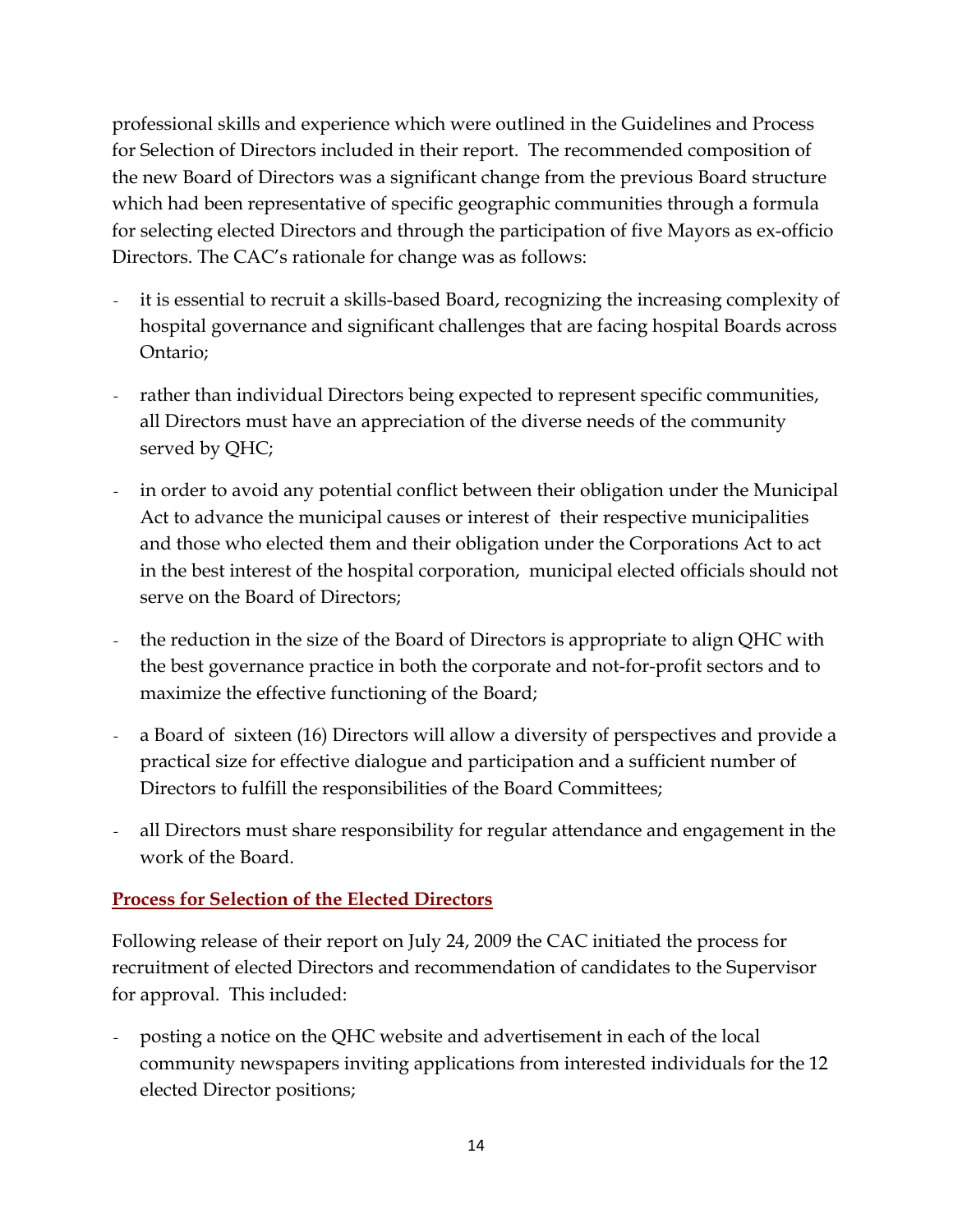professional skills and experience which were outlined in the Guidelines and Process for Selection of Directors included in their report. The recommended composition of the new Board of Directors was a significant change from the previous Board structure which had been representative of specific geographic communities through a formula for selecting elected Directors and through the participation of five Mayors as ex-officio Directors. The CAC's rationale for change was as follows:

- *-* it is essential to recruit a skills-based Board, recognizing the increasing complexity of hospital governance and significant challenges that are facing hospital Boards across Ontario;
- rather than individual Directors being expected to represent specific communities, all Directors must have an appreciation of the diverse needs of the community served by QHC;
- *-* in order to avoid any potential conflict between their obligation under the Municipal Act to advance the municipal causes or interest of their respective municipalities and those who elected them and their obligation under the Corporations Act to act in the best interest of the hospital corporation, municipal elected officials should not serve on the Board of Directors;
- *-* the reduction in the size of the Board of Directors is appropriate to align QHC with the best governance practice in both the corporate and not-for-profit sectors and to maximize the effective functioning of the Board;
- *-* a Board of sixteen (16) Directors will allow a diversity of perspectives and provide a practical size for effective dialogue and participation and a sufficient number of Directors to fulfill the responsibilities of the Board Committees;
- *-* all Directors must share responsibility for regular attendance and engagement in the work of the Board.

#### **Process for Selection of the Elected Directors**

Following release of their report on July 24, 2009 the CAC initiated the process for recruitment of elected Directors and recommendation of candidates to the Supervisor for approval. This included:

*-* posting a notice on the QHC website and advertisement in each of the local community newspapers inviting applications from interested individuals for the 12 elected Director positions;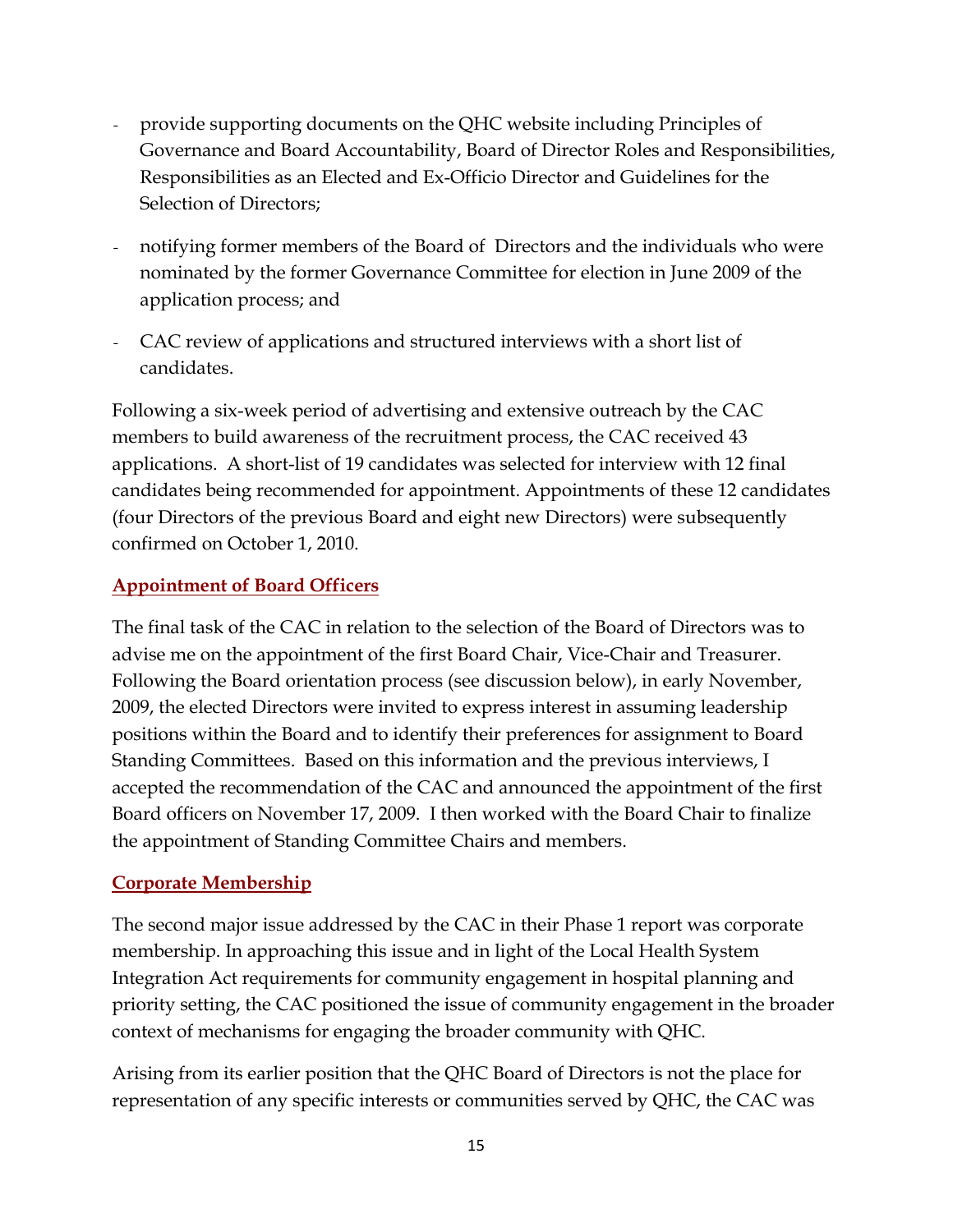- *-* provide supporting documents on the QHC website including Principles of Governance and Board Accountability, Board of Director Roles and Responsibilities, Responsibilities as an Elected and Ex-Officio Director and Guidelines for the Selection of Directors;
- *-* notifying former members of the Board of Directors and the individuals who were nominated by the former Governance Committee for election in June 2009 of the application process; and
- *-* CAC review of applications and structured interviews with a short list of candidates.

Following a six-week period of advertising and extensive outreach by the CAC members to build awareness of the recruitment process, the CAC received 43 applications. A short-list of 19 candidates was selected for interview with 12 final candidates being recommended for appointment. Appointments of these 12 candidates (four Directors of the previous Board and eight new Directors) were subsequently confirmed on October 1, 2010.

## **Appointment of Board Officers**

The final task of the CAC in relation to the selection of the Board of Directors was to advise me on the appointment of the first Board Chair, Vice-Chair and Treasurer. Following the Board orientation process (see discussion below), in early November, 2009, the elected Directors were invited to express interest in assuming leadership positions within the Board and to identify their preferences for assignment to Board Standing Committees. Based on this information and the previous interviews, I accepted the recommendation of the CAC and announced the appointment of the first Board officers on November 17, 2009. I then worked with the Board Chair to finalize the appointment of Standing Committee Chairs and members.

#### **Corporate Membership**

The second major issue addressed by the CAC in their Phase 1 report was corporate membership. In approaching this issue and in light of the Local Health System Integration Act requirements for community engagement in hospital planning and priority setting, the CAC positioned the issue of community engagement in the broader context of mechanisms for engaging the broader community with QHC.

Arising from its earlier position that the QHC Board of Directors is not the place for representation of any specific interests or communities served by QHC, the CAC was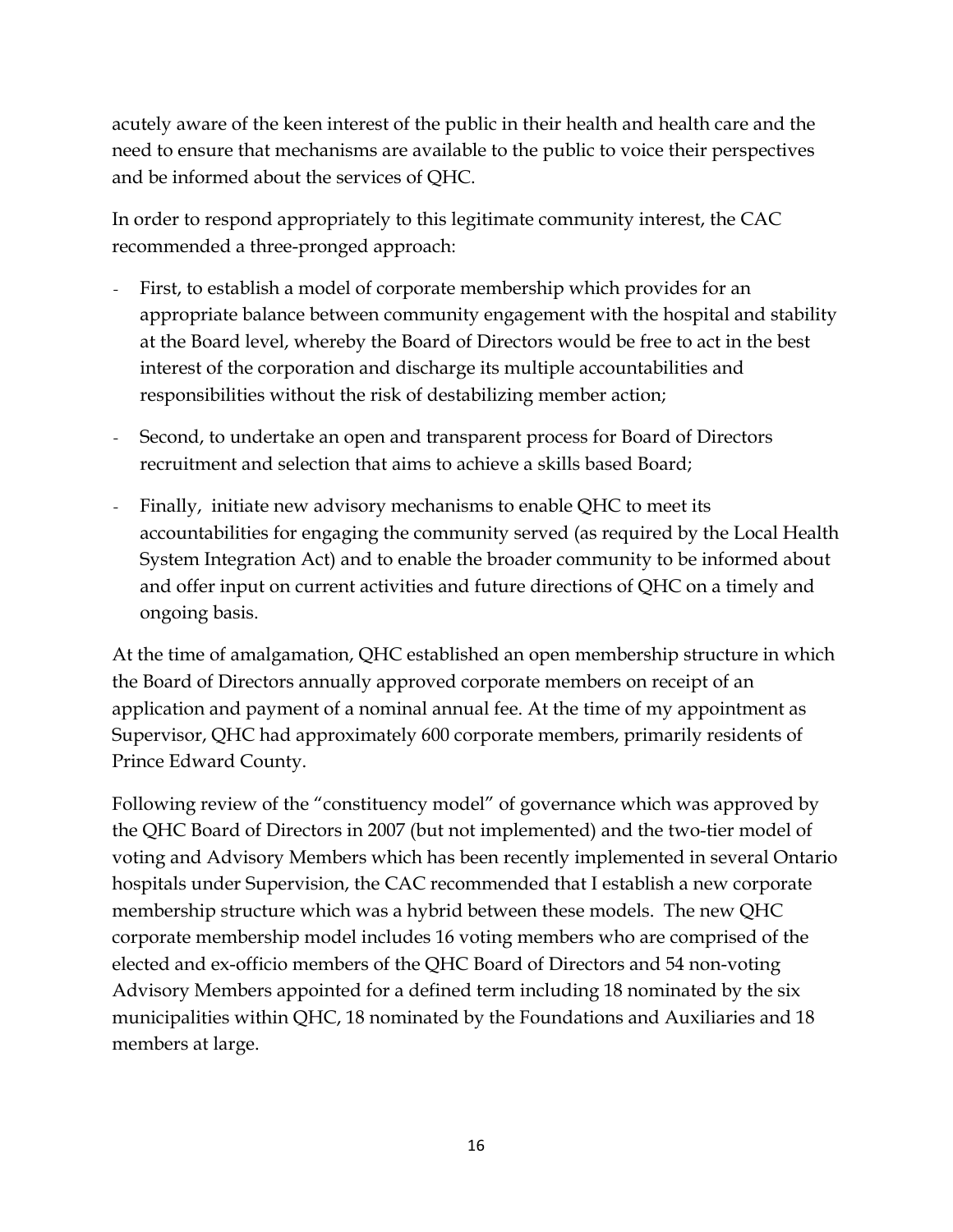acutely aware of the keen interest of the public in their health and health care and the need to ensure that mechanisms are available to the public to voice their perspectives and be informed about the services of QHC.

In order to respond appropriately to this legitimate community interest, the CAC recommended a three-pronged approach:

- First, to establish a model of corporate membership which provides for an appropriate balance between community engagement with the hospital and stability at the Board level, whereby the Board of Directors would be free to act in the best interest of the corporation and discharge its multiple accountabilities and responsibilities without the risk of destabilizing member action;
- *-* Second, to undertake an open and transparent process for Board of Directors recruitment and selection that aims to achieve a skills based Board;
- Finally, initiate new advisory mechanisms to enable QHC to meet its accountabilities for engaging the community served (as required by the Local Health System Integration Act) and to enable the broader community to be informed about and offer input on current activities and future directions of QHC on a timely and ongoing basis.

At the time of amalgamation, QHC established an open membership structure in which the Board of Directors annually approved corporate members on receipt of an application and payment of a nominal annual fee. At the time of my appointment as Supervisor, QHC had approximately 600 corporate members, primarily residents of Prince Edward County.

Following review of the "constituency model" of governance which was approved by the QHC Board of Directors in 2007 (but not implemented) and the two-tier model of voting and Advisory Members which has been recently implemented in several Ontario hospitals under Supervision, the CAC recommended that I establish a new corporate membership structure which was a hybrid between these models. The new QHC corporate membership model includes 16 voting members who are comprised of the elected and ex-officio members of the QHC Board of Directors and 54 non-voting Advisory Members appointed for a defined term including 18 nominated by the six municipalities within QHC, 18 nominated by the Foundations and Auxiliaries and 18 members at large.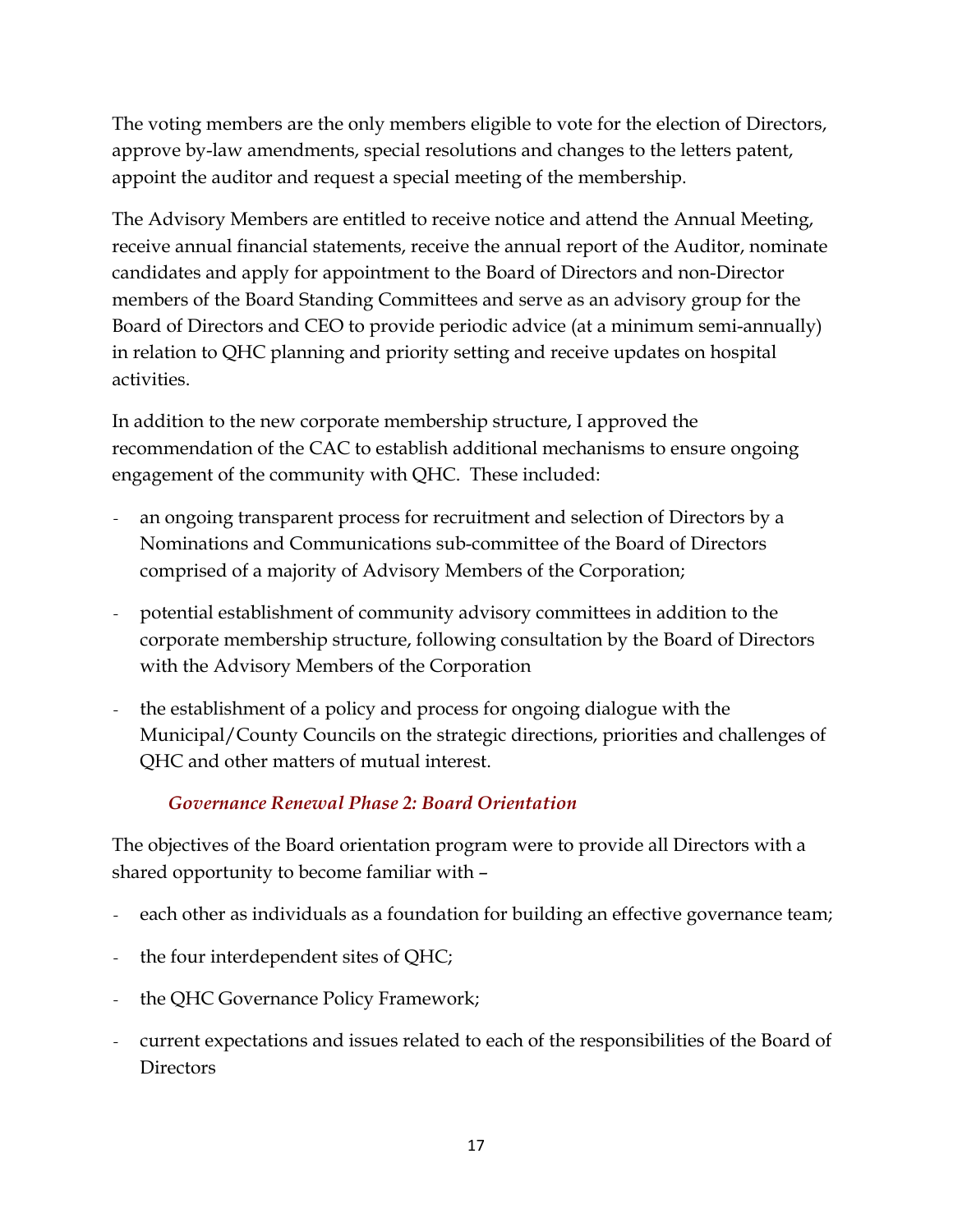The voting members are the only members eligible to vote for the election of Directors, approve by-law amendments, special resolutions and changes to the letters patent, appoint the auditor and request a special meeting of the membership.

The Advisory Members are entitled to receive notice and attend the Annual Meeting, receive annual financial statements, receive the annual report of the Auditor, nominate candidates and apply for appointment to the Board of Directors and non-Director members of the Board Standing Committees and serve as an advisory group for the Board of Directors and CEO to provide periodic advice (at a minimum semi-annually) in relation to QHC planning and priority setting and receive updates on hospital activities.

In addition to the new corporate membership structure, I approved the recommendation of the CAC to establish additional mechanisms to ensure ongoing engagement of the community with QHC. These included:

- *-* an ongoing transparent process for recruitment and selection of Directors by a Nominations and Communications sub-committee of the Board of Directors comprised of a majority of Advisory Members of the Corporation;
- *-* potential establishment of community advisory committees in addition to the corporate membership structure, following consultation by the Board of Directors with the Advisory Members of the Corporation
- *-* the establishment of a policy and process for ongoing dialogue with the Municipal/County Councils on the strategic directions, priorities and challenges of QHC and other matters of mutual interest.

## *Governance Renewal Phase 2: Board Orientation*

The objectives of the Board orientation program were to provide all Directors with a shared opportunity to become familiar with –

- *-* each other as individuals as a foundation for building an effective governance team;
- *-* the four interdependent sites of QHC;
- *-* the QHC Governance Policy Framework;
- *-* current expectations and issues related to each of the responsibilities of the Board of **Directors**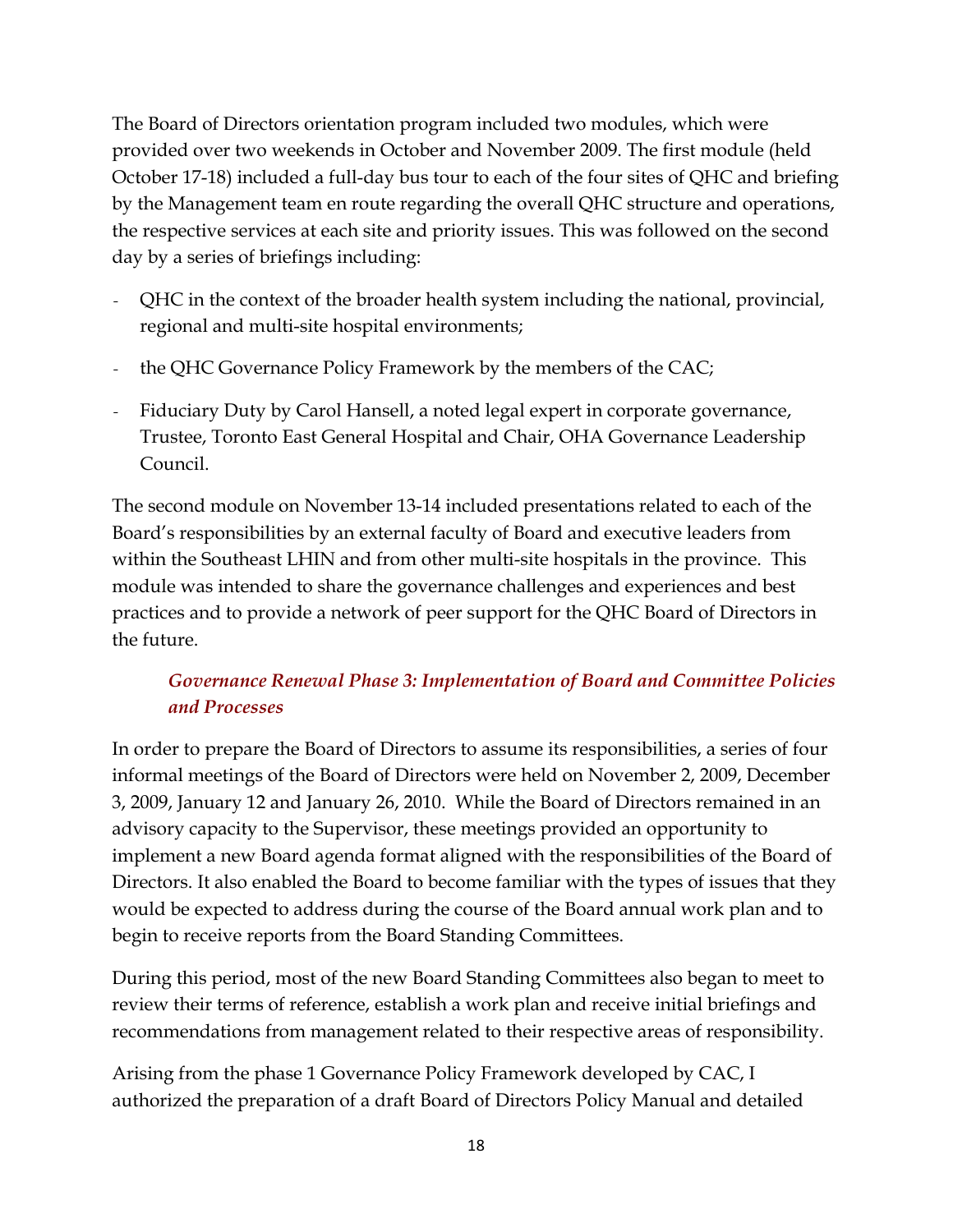The Board of Directors orientation program included two modules, which were provided over two weekends in October and November 2009. The first module (held October 17-18) included a full-day bus tour to each of the four sites of QHC and briefing by the Management team en route regarding the overall QHC structure and operations, the respective services at each site and priority issues. This was followed on the second day by a series of briefings including:

- *-* QHC in the context of the broader health system including the national, provincial, regional and multi-site hospital environments;
- *-* the QHC Governance Policy Framework by the members of the CAC;
- *-* Fiduciary Duty by Carol Hansell, a noted legal expert in corporate governance, Trustee, Toronto East General Hospital and Chair, OHA Governance Leadership Council.

The second module on November 13-14 included presentations related to each of the Board's responsibilities by an external faculty of Board and executive leaders from within the Southeast LHIN and from other multi-site hospitals in the province. This module was intended to share the governance challenges and experiences and best practices and to provide a network of peer support for the QHC Board of Directors in the future.

## *Governance Renewal Phase 3: Implementation of Board and Committee Policies and Processes*

In order to prepare the Board of Directors to assume its responsibilities, a series of four informal meetings of the Board of Directors were held on November 2, 2009, December 3, 2009, January 12 and January 26, 2010. While the Board of Directors remained in an advisory capacity to the Supervisor, these meetings provided an opportunity to implement a new Board agenda format aligned with the responsibilities of the Board of Directors. It also enabled the Board to become familiar with the types of issues that they would be expected to address during the course of the Board annual work plan and to begin to receive reports from the Board Standing Committees.

During this period, most of the new Board Standing Committees also began to meet to review their terms of reference, establish a work plan and receive initial briefings and recommendations from management related to their respective areas of responsibility.

Arising from the phase 1 Governance Policy Framework developed by CAC, I authorized the preparation of a draft Board of Directors Policy Manual and detailed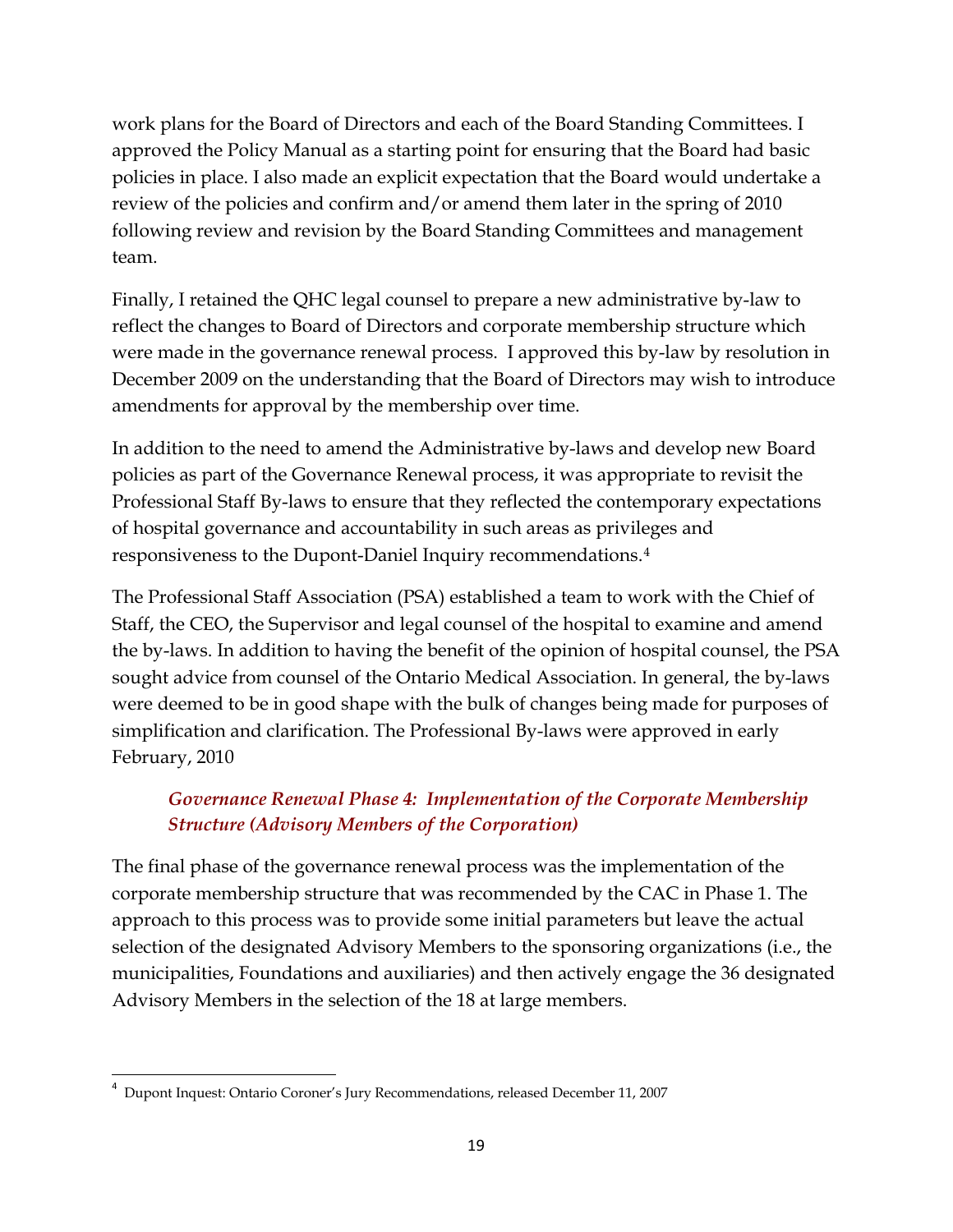work plans for the Board of Directors and each of the Board Standing Committees. I approved the Policy Manual as a starting point for ensuring that the Board had basic policies in place. I also made an explicit expectation that the Board would undertake a review of the policies and confirm and/or amend them later in the spring of 2010 following review and revision by the Board Standing Committees and management team.

Finally, I retained the QHC legal counsel to prepare a new administrative by-law to reflect the changes to Board of Directors and corporate membership structure which were made in the governance renewal process. I approved this by-law by resolution in December 2009 on the understanding that the Board of Directors may wish to introduce amendments for approval by the membership over time.

In addition to the need to amend the Administrative by-laws and develop new Board policies as part of the Governance Renewal process, it was appropriate to revisit the Professional Staff By-laws to ensure that they reflected the contemporary expectations of hospital governance and accountability in such areas as privileges and responsiveness to the Dupont-Daniel Inquiry recommendations.[4](#page-18-0)

The Professional Staff Association (PSA) established a team to work with the Chief of Staff, the CEO, the Supervisor and legal counsel of the hospital to examine and amend the by-laws. In addition to having the benefit of the opinion of hospital counsel, the PSA sought advice from counsel of the Ontario Medical Association. In general, the by-laws were deemed to be in good shape with the bulk of changes being made for purposes of simplification and clarification. The Professional By-laws were approved in early February, 2010

## *Governance Renewal Phase 4: Implementation of the Corporate Membership Structure (Advisory Members of the Corporation)*

The final phase of the governance renewal process was the implementation of the corporate membership structure that was recommended by the CAC in Phase 1. The approach to this process was to provide some initial parameters but leave the actual selection of the designated Advisory Members to the sponsoring organizations (i.e., the municipalities, Foundations and auxiliaries) and then actively engage the 36 designated Advisory Members in the selection of the 18 at large members.

<span id="page-18-0"></span><sup>4</sup> Dupont Inquest: Ontario Coroner's Jury Recommendations, released December 11, 2007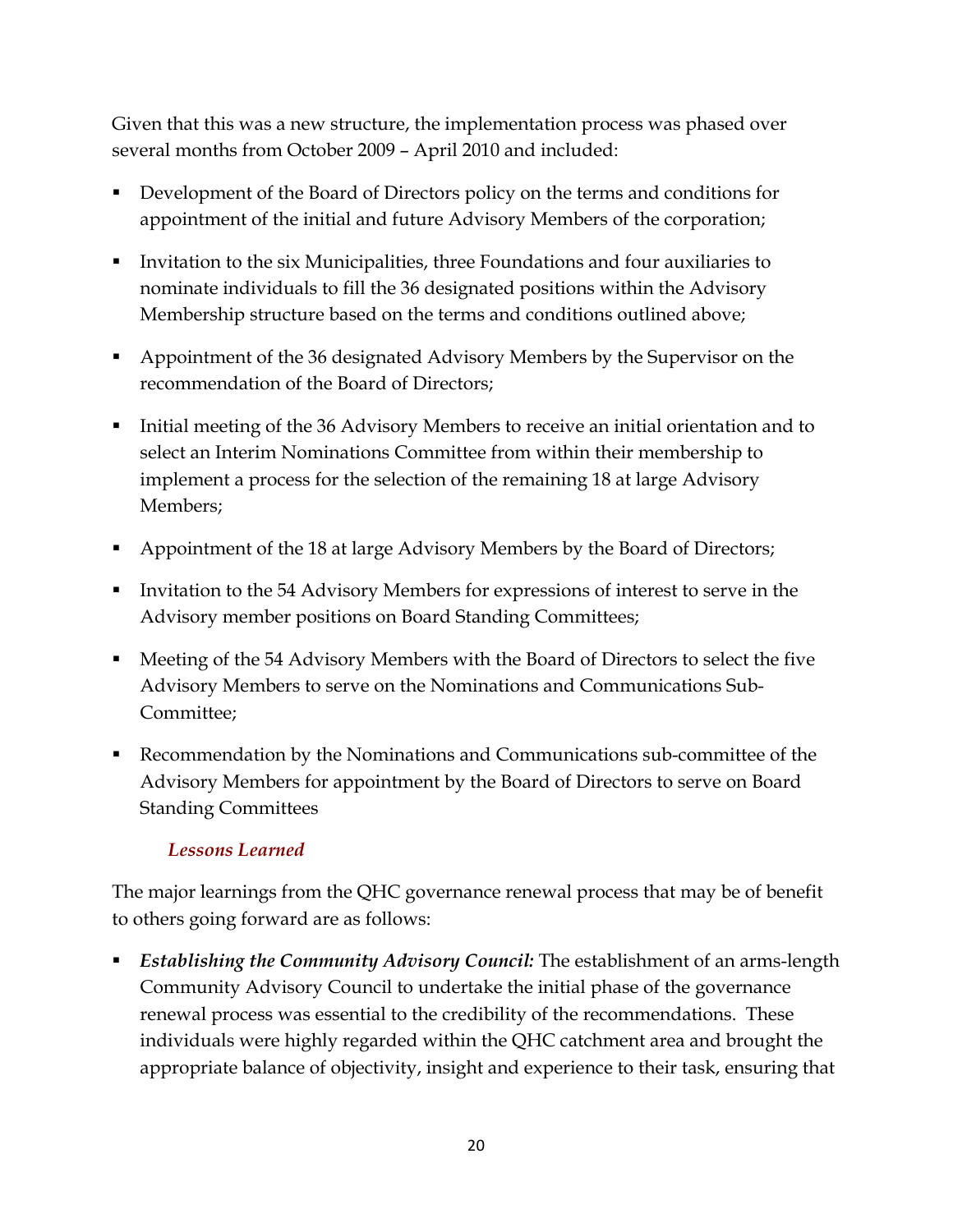Given that this was a new structure, the implementation process was phased over several months from October 2009 – April 2010 and included:

- Development of the Board of Directors policy on the terms and conditions for appointment of the initial and future Advisory Members of the corporation;
- Invitation to the six Municipalities, three Foundations and four auxiliaries to nominate individuals to fill the 36 designated positions within the Advisory Membership structure based on the terms and conditions outlined above;
- Appointment of the 36 designated Advisory Members by the Supervisor on the recommendation of the Board of Directors;
- Initial meeting of the 36 Advisory Members to receive an initial orientation and to select an Interim Nominations Committee from within their membership to implement a process for the selection of the remaining 18 at large Advisory Members;
- Appointment of the 18 at large Advisory Members by the Board of Directors;
- Invitation to the 54 Advisory Members for expressions of interest to serve in the Advisory member positions on Board Standing Committees;
- Meeting of the 54 Advisory Members with the Board of Directors to select the five Advisory Members to serve on the Nominations and Communications Sub-Committee;
- Recommendation by the Nominations and Communications sub-committee of the Advisory Members for appointment by the Board of Directors to serve on Board Standing Committees

#### *Lessons Learned*

The major learnings from the QHC governance renewal process that may be of benefit to others going forward are as follows:

 *Establishing the Community Advisory Council:* The establishment of an arms-length Community Advisory Council to undertake the initial phase of the governance renewal process was essential to the credibility of the recommendations. These individuals were highly regarded within the QHC catchment area and brought the appropriate balance of objectivity, insight and experience to their task, ensuring that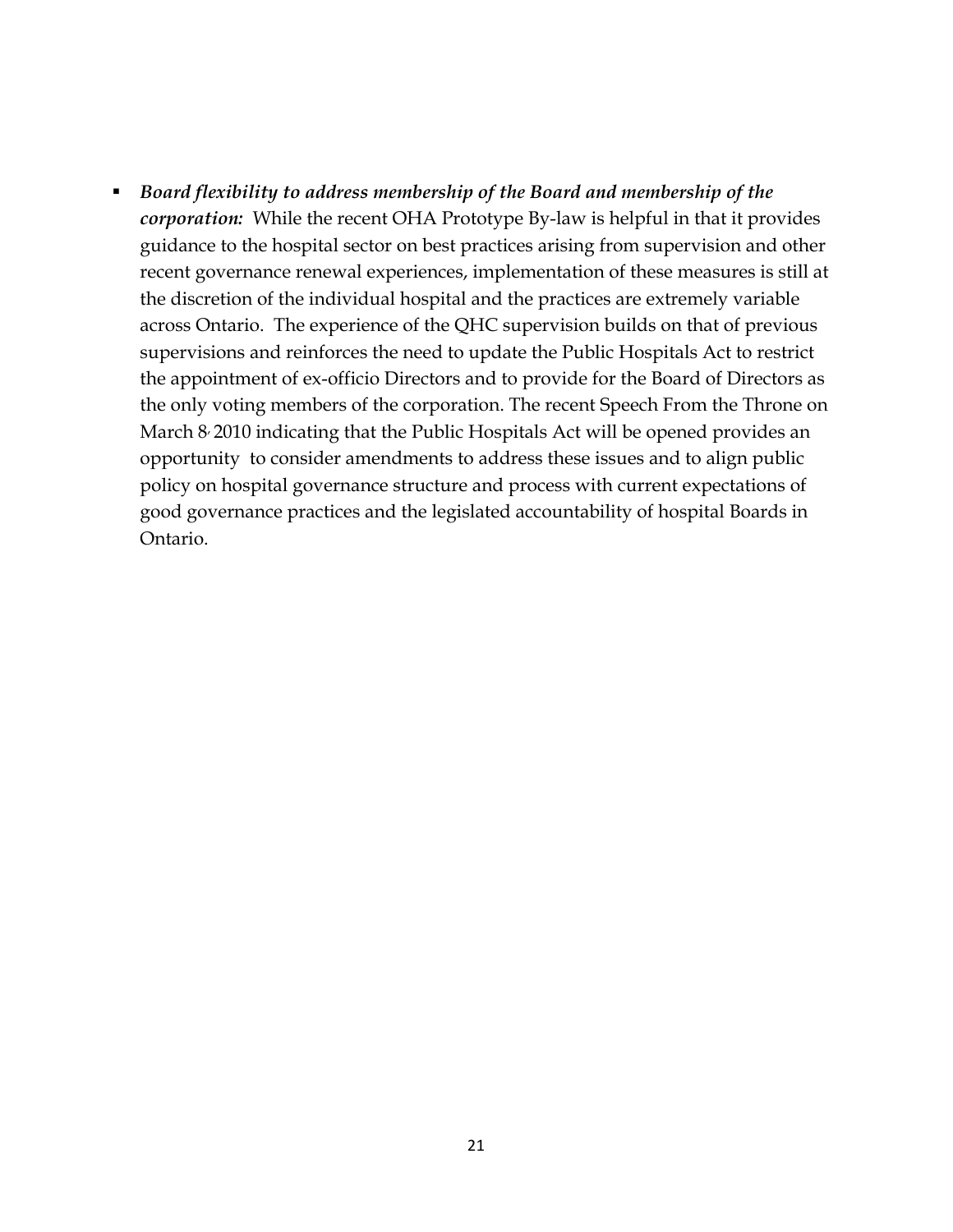*Board flexibility to address membership of the Board and membership of the corporation:* While the recent OHA Prototype By-law is helpful in that it provides guidance to the hospital sector on best practices arising from supervision and other recent governance renewal experiences, implementation of these measures is still at the discretion of the individual hospital and the practices are extremely variable across Ontario. The experience of the QHC supervision builds on that of previous supervisions and reinforces the need to update the Public Hospitals Act to restrict the appointment of ex-officio Directors and to provide for the Board of Directors as the only voting members of the corporation. The recent Speech From the Throne on March 8<sup>,</sup> 2010 indicating that the Public Hospitals Act will be opened provides an opportunity to consider amendments to address these issues and to align public policy on hospital governance structure and process with current expectations of good governance practices and the legislated accountability of hospital Boards in Ontario.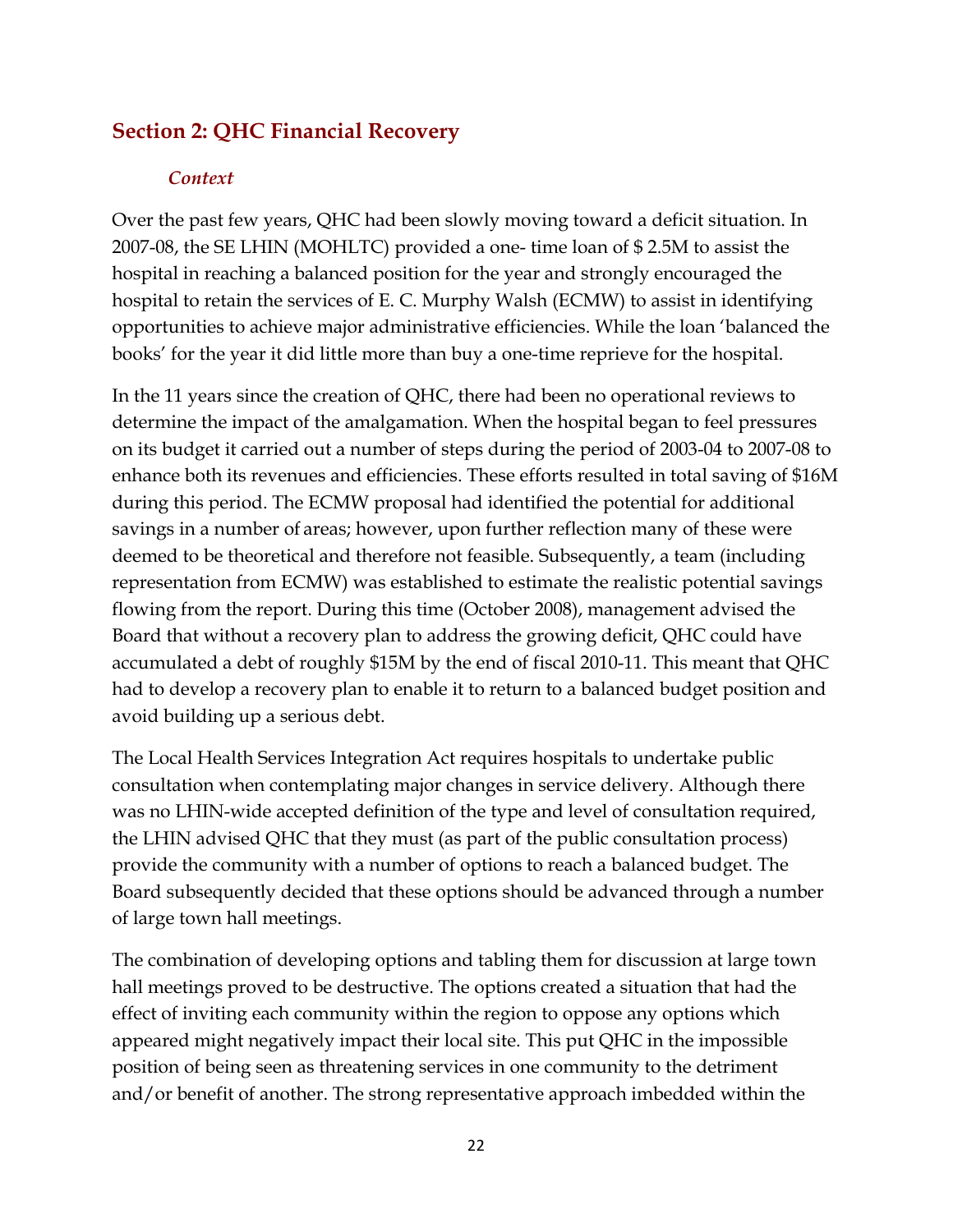## <span id="page-21-0"></span>**Section 2: QHC Financial Recovery**

#### *Context*

Over the past few years, QHC had been slowly moving toward a deficit situation. In 2007-08, the SE LHIN (MOHLTC) provided a one- time loan of \$ 2.5M to assist the hospital in reaching a balanced position for the year and strongly encouraged the hospital to retain the services of E. C. Murphy Walsh (ECMW) to assist in identifying opportunities to achieve major administrative efficiencies. While the loan 'balanced the books' for the year it did little more than buy a one-time reprieve for the hospital.

In the 11 years since the creation of QHC, there had been no operational reviews to determine the impact of the amalgamation. When the hospital began to feel pressures on its budget it carried out a number of steps during the period of 2003-04 to 2007-08 to enhance both its revenues and efficiencies. These efforts resulted in total saving of \$16M during this period. The ECMW proposal had identified the potential for additional savings in a number of areas; however, upon further reflection many of these were deemed to be theoretical and therefore not feasible. Subsequently, a team (including representation from ECMW) was established to estimate the realistic potential savings flowing from the report. During this time (October 2008), management advised the Board that without a recovery plan to address the growing deficit, QHC could have accumulated a debt of roughly \$15M by the end of fiscal 2010-11. This meant that QHC had to develop a recovery plan to enable it to return to a balanced budget position and avoid building up a serious debt.

The Local Health Services Integration Act requires hospitals to undertake public consultation when contemplating major changes in service delivery. Although there was no LHIN-wide accepted definition of the type and level of consultation required, the LHIN advised QHC that they must (as part of the public consultation process) provide the community with a number of options to reach a balanced budget. The Board subsequently decided that these options should be advanced through a number of large town hall meetings.

The combination of developing options and tabling them for discussion at large town hall meetings proved to be destructive. The options created a situation that had the effect of inviting each community within the region to oppose any options which appeared might negatively impact their local site. This put QHC in the impossible position of being seen as threatening services in one community to the detriment and/or benefit of another. The strong representative approach imbedded within the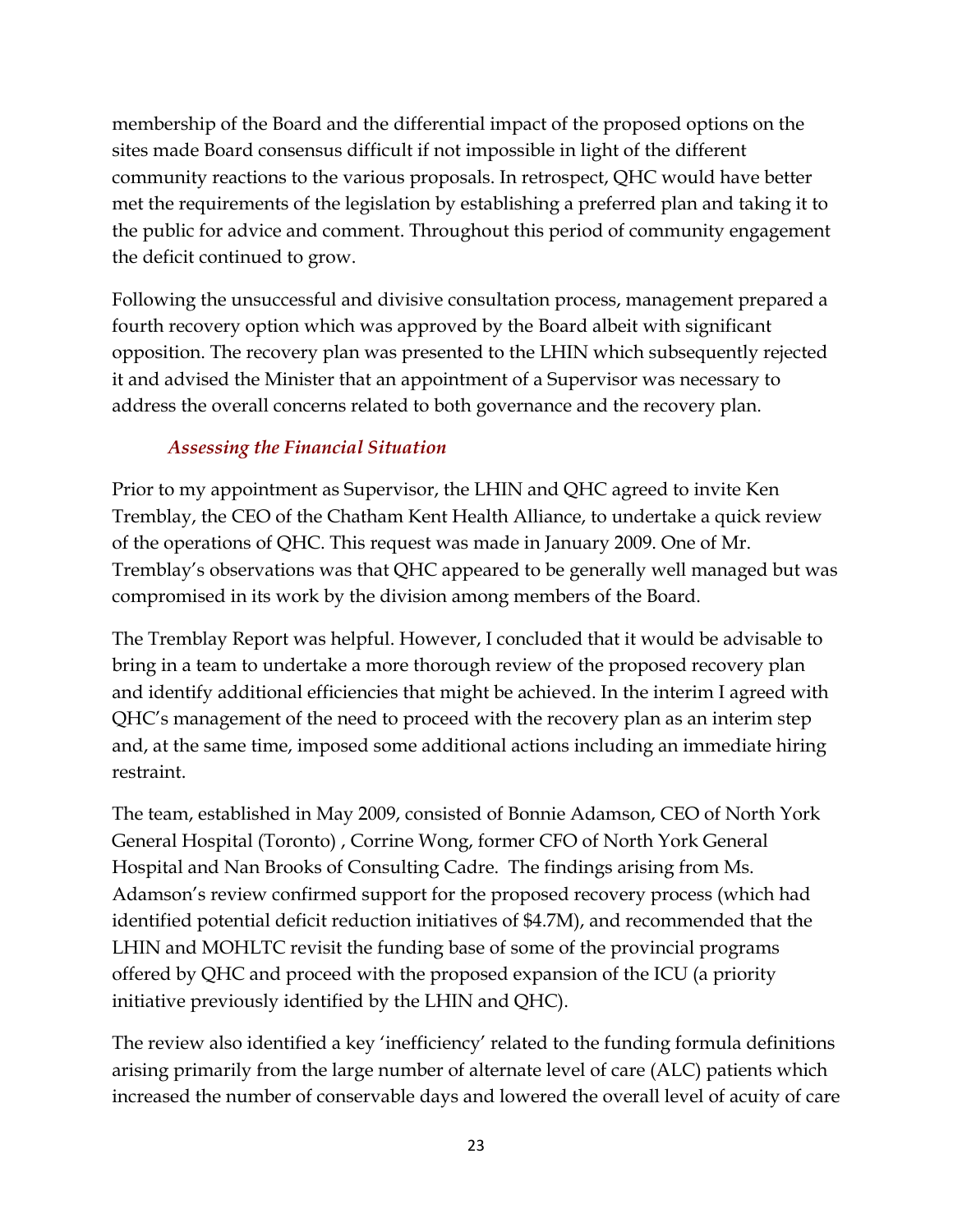membership of the Board and the differential impact of the proposed options on the sites made Board consensus difficult if not impossible in light of the different community reactions to the various proposals. In retrospect, QHC would have better met the requirements of the legislation by establishing a preferred plan and taking it to the public for advice and comment. Throughout this period of community engagement the deficit continued to grow.

Following the unsuccessful and divisive consultation process, management prepared a fourth recovery option which was approved by the Board albeit with significant opposition. The recovery plan was presented to the LHIN which subsequently rejected it and advised the Minister that an appointment of a Supervisor was necessary to address the overall concerns related to both governance and the recovery plan.

## *Assessing the Financial Situation*

Prior to my appointment as Supervisor, the LHIN and QHC agreed to invite Ken Tremblay, the CEO of the Chatham Kent Health Alliance, to undertake a quick review of the operations of QHC. This request was made in January 2009. One of Mr. Tremblay's observations was that QHC appeared to be generally well managed but was compromised in its work by the division among members of the Board.

The Tremblay Report was helpful. However, I concluded that it would be advisable to bring in a team to undertake a more thorough review of the proposed recovery plan and identify additional efficiencies that might be achieved. In the interim I agreed with QHC's management of the need to proceed with the recovery plan as an interim step and, at the same time, imposed some additional actions including an immediate hiring restraint.

The team, established in May 2009, consisted of Bonnie Adamson, CEO of North York General Hospital (Toronto) , Corrine Wong, former CFO of North York General Hospital and Nan Brooks of Consulting Cadre. The findings arising from Ms. Adamson's review confirmed support for the proposed recovery process (which had identified potential deficit reduction initiatives of \$4.7M), and recommended that the LHIN and MOHLTC revisit the funding base of some of the provincial programs offered by QHC and proceed with the proposed expansion of the ICU (a priority initiative previously identified by the LHIN and QHC).

The review also identified a key 'inefficiency' related to the funding formula definitions arising primarily from the large number of alternate level of care (ALC) patients which increased the number of conservable days and lowered the overall level of acuity of care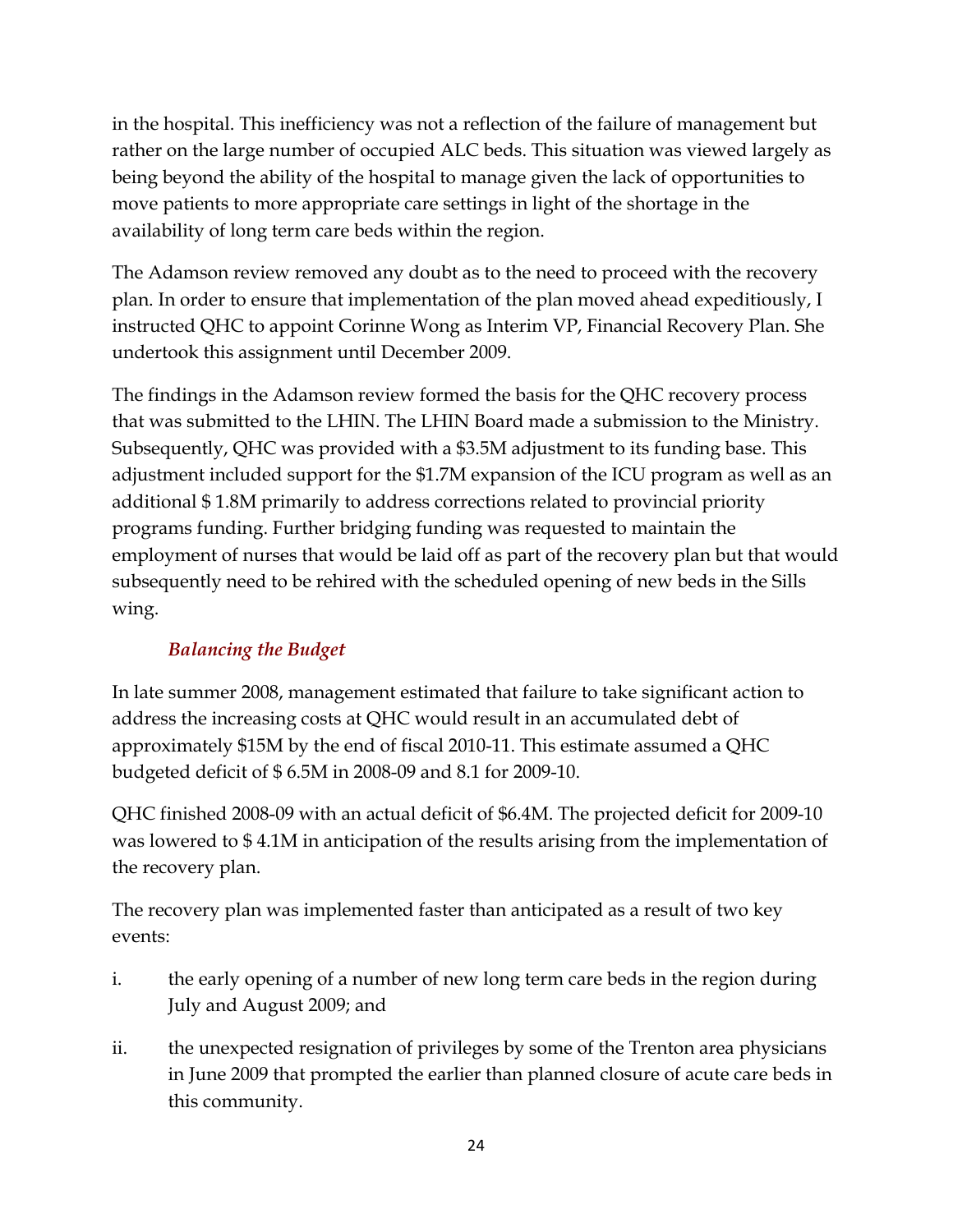in the hospital. This inefficiency was not a reflection of the failure of management but rather on the large number of occupied ALC beds. This situation was viewed largely as being beyond the ability of the hospital to manage given the lack of opportunities to move patients to more appropriate care settings in light of the shortage in the availability of long term care beds within the region.

The Adamson review removed any doubt as to the need to proceed with the recovery plan. In order to ensure that implementation of the plan moved ahead expeditiously, I instructed QHC to appoint Corinne Wong as Interim VP, Financial Recovery Plan. She undertook this assignment until December 2009.

The findings in the Adamson review formed the basis for the QHC recovery process that was submitted to the LHIN. The LHIN Board made a submission to the Ministry. Subsequently, QHC was provided with a \$3.5M adjustment to its funding base. This adjustment included support for the \$1.7M expansion of the ICU program as well as an additional \$ 1.8M primarily to address corrections related to provincial priority programs funding. Further bridging funding was requested to maintain the employment of nurses that would be laid off as part of the recovery plan but that would subsequently need to be rehired with the scheduled opening of new beds in the Sills wing.

## *Balancing the Budget*

In late summer 2008, management estimated that failure to take significant action to address the increasing costs at QHC would result in an accumulated debt of approximately \$15M by the end of fiscal 2010-11. This estimate assumed a QHC budgeted deficit of \$ 6.5M in 2008-09 and 8.1 for 2009-10.

QHC finished 2008-09 with an actual deficit of \$6.4M. The projected deficit for 2009-10 was lowered to \$ 4.1M in anticipation of the results arising from the implementation of the recovery plan.

The recovery plan was implemented faster than anticipated as a result of two key events:

- i. the early opening of a number of new long term care beds in the region during July and August 2009; and
- ii. the unexpected resignation of privileges by some of the Trenton area physicians in June 2009 that prompted the earlier than planned closure of acute care beds in this community.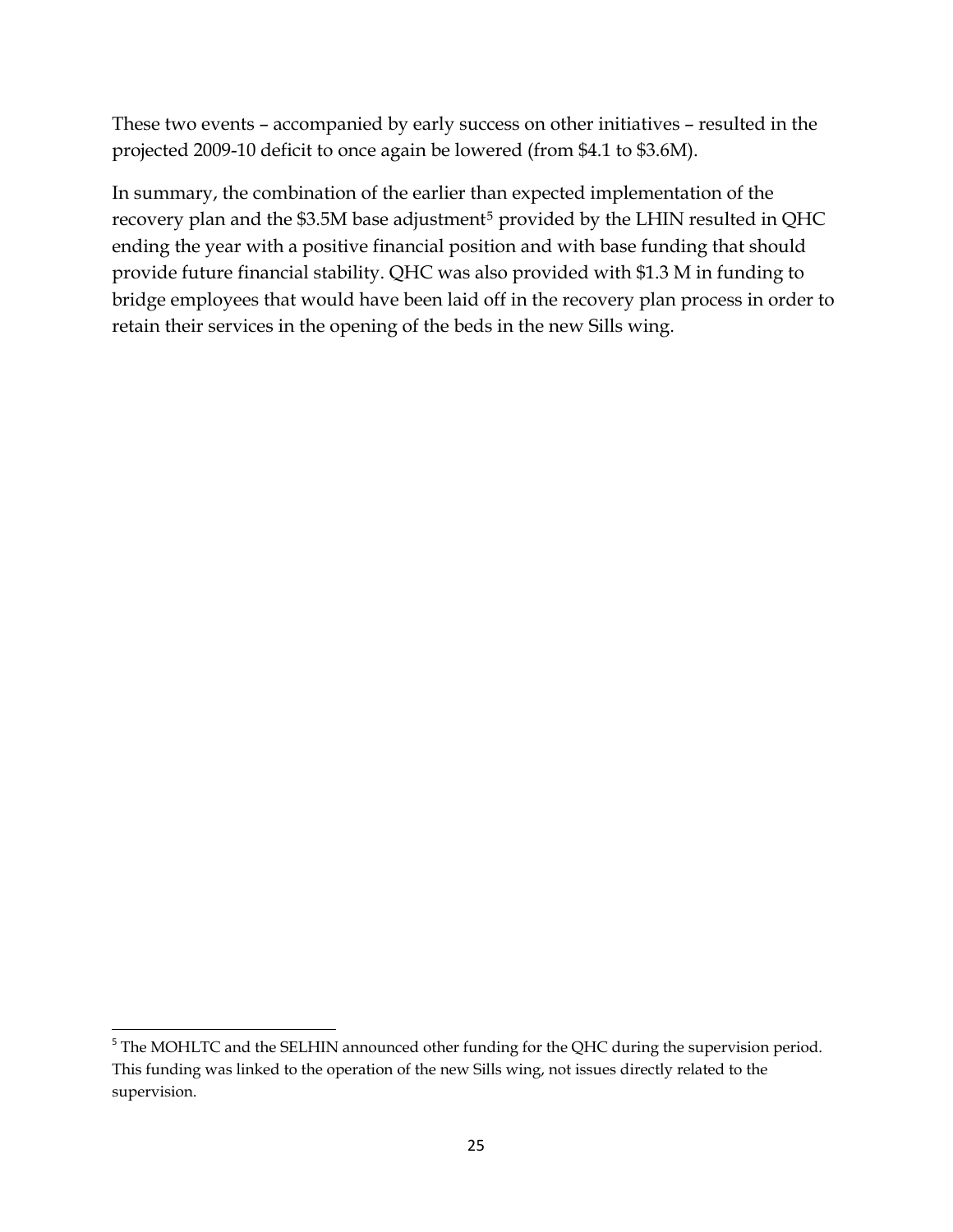These two events – accompanied by early success on other initiatives – resulted in the projected 2009-10 deficit to once again be lowered (from \$4.1 to \$3.6M).

In summary, the combination of the earlier than expected implementation of the recovery plan and the \$3.[5](#page-24-0)M base adjustment<sup>5</sup> provided by the LHIN resulted in QHC ending the year with a positive financial position and with base funding that should provide future financial stability. QHC was also provided with \$1.3 M in funding to bridge employees that would have been laid off in the recovery plan process in order to retain their services in the opening of the beds in the new Sills wing.

<span id="page-24-0"></span> <sup>5</sup> The MOHLTC and the SELHIN announced other funding for the QHC during the supervision period. This funding was linked to the operation of the new Sills wing, not issues directly related to the supervision.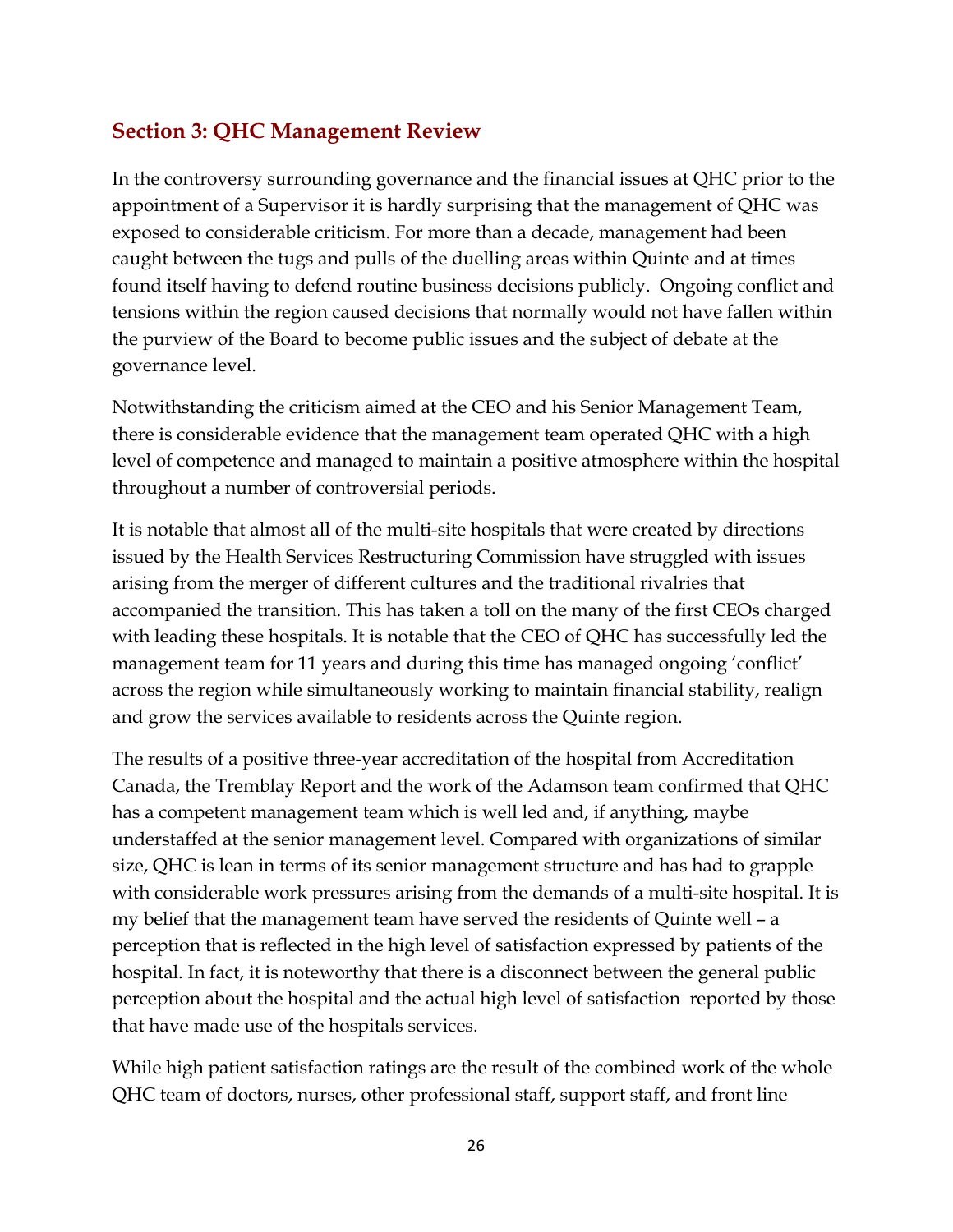## <span id="page-25-0"></span>**Section 3: QHC Management Review**

In the controversy surrounding governance and the financial issues at QHC prior to the appointment of a Supervisor it is hardly surprising that the management of QHC was exposed to considerable criticism. For more than a decade, management had been caught between the tugs and pulls of the duelling areas within Quinte and at times found itself having to defend routine business decisions publicly. Ongoing conflict and tensions within the region caused decisions that normally would not have fallen within the purview of the Board to become public issues and the subject of debate at the governance level.

Notwithstanding the criticism aimed at the CEO and his Senior Management Team, there is considerable evidence that the management team operated QHC with a high level of competence and managed to maintain a positive atmosphere within the hospital throughout a number of controversial periods.

It is notable that almost all of the multi-site hospitals that were created by directions issued by the Health Services Restructuring Commission have struggled with issues arising from the merger of different cultures and the traditional rivalries that accompanied the transition. This has taken a toll on the many of the first CEOs charged with leading these hospitals. It is notable that the CEO of QHC has successfully led the management team for 11 years and during this time has managed ongoing 'conflict' across the region while simultaneously working to maintain financial stability, realign and grow the services available to residents across the Quinte region.

The results of a positive three-year accreditation of the hospital from Accreditation Canada, the Tremblay Report and the work of the Adamson team confirmed that QHC has a competent management team which is well led and, if anything, maybe understaffed at the senior management level. Compared with organizations of similar size, QHC is lean in terms of its senior management structure and has had to grapple with considerable work pressures arising from the demands of a multi-site hospital. It is my belief that the management team have served the residents of Quinte well – a perception that is reflected in the high level of satisfaction expressed by patients of the hospital. In fact, it is noteworthy that there is a disconnect between the general public perception about the hospital and the actual high level of satisfaction reported by those that have made use of the hospitals services.

While high patient satisfaction ratings are the result of the combined work of the whole QHC team of doctors, nurses, other professional staff, support staff, and front line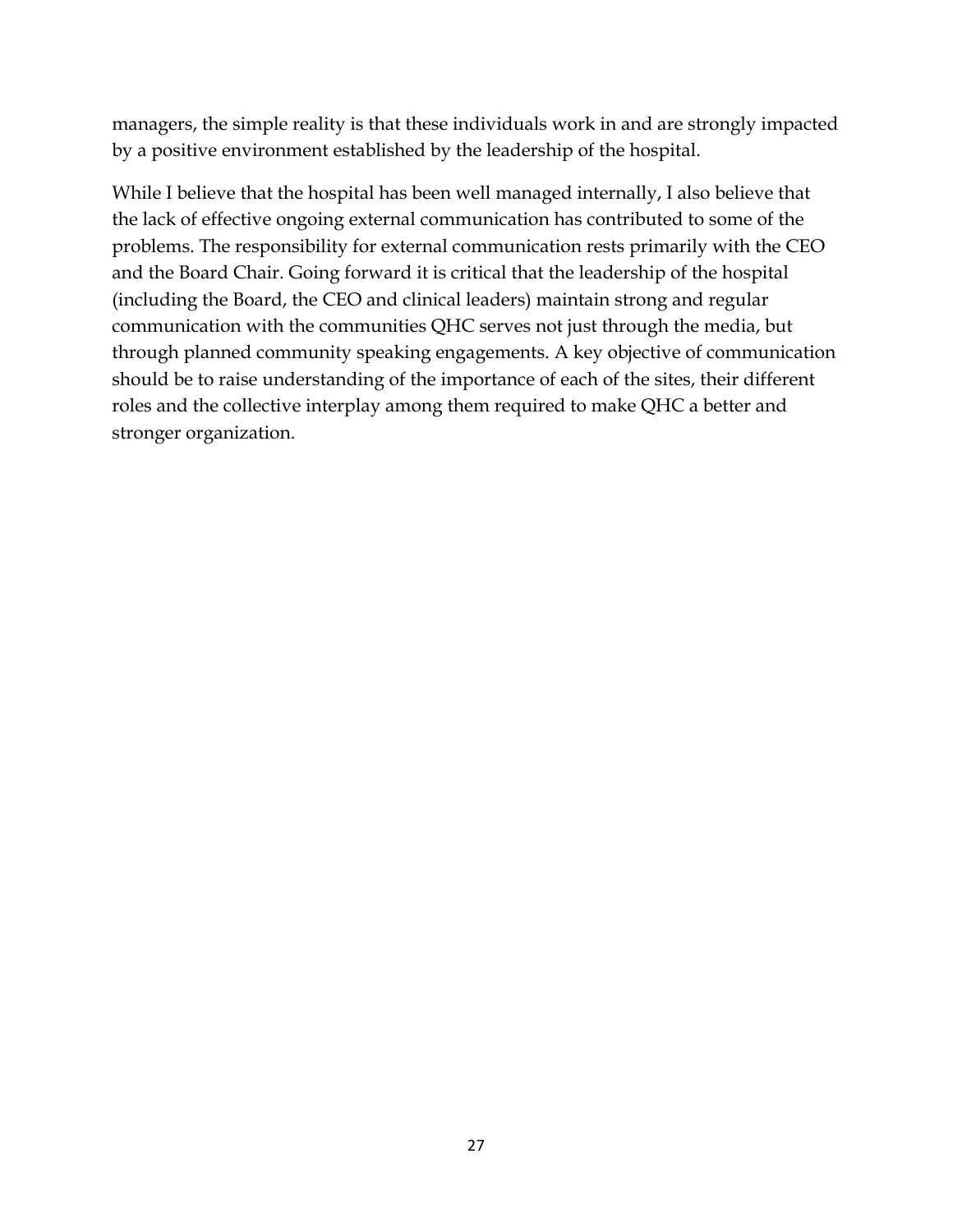managers, the simple reality is that these individuals work in and are strongly impacted by a positive environment established by the leadership of the hospital.

While I believe that the hospital has been well managed internally, I also believe that the lack of effective ongoing external communication has contributed to some of the problems. The responsibility for external communication rests primarily with the CEO and the Board Chair. Going forward it is critical that the leadership of the hospital (including the Board, the CEO and clinical leaders) maintain strong and regular communication with the communities QHC serves not just through the media, but through planned community speaking engagements. A key objective of communication should be to raise understanding of the importance of each of the sites, their different roles and the collective interplay among them required to make QHC a better and stronger organization.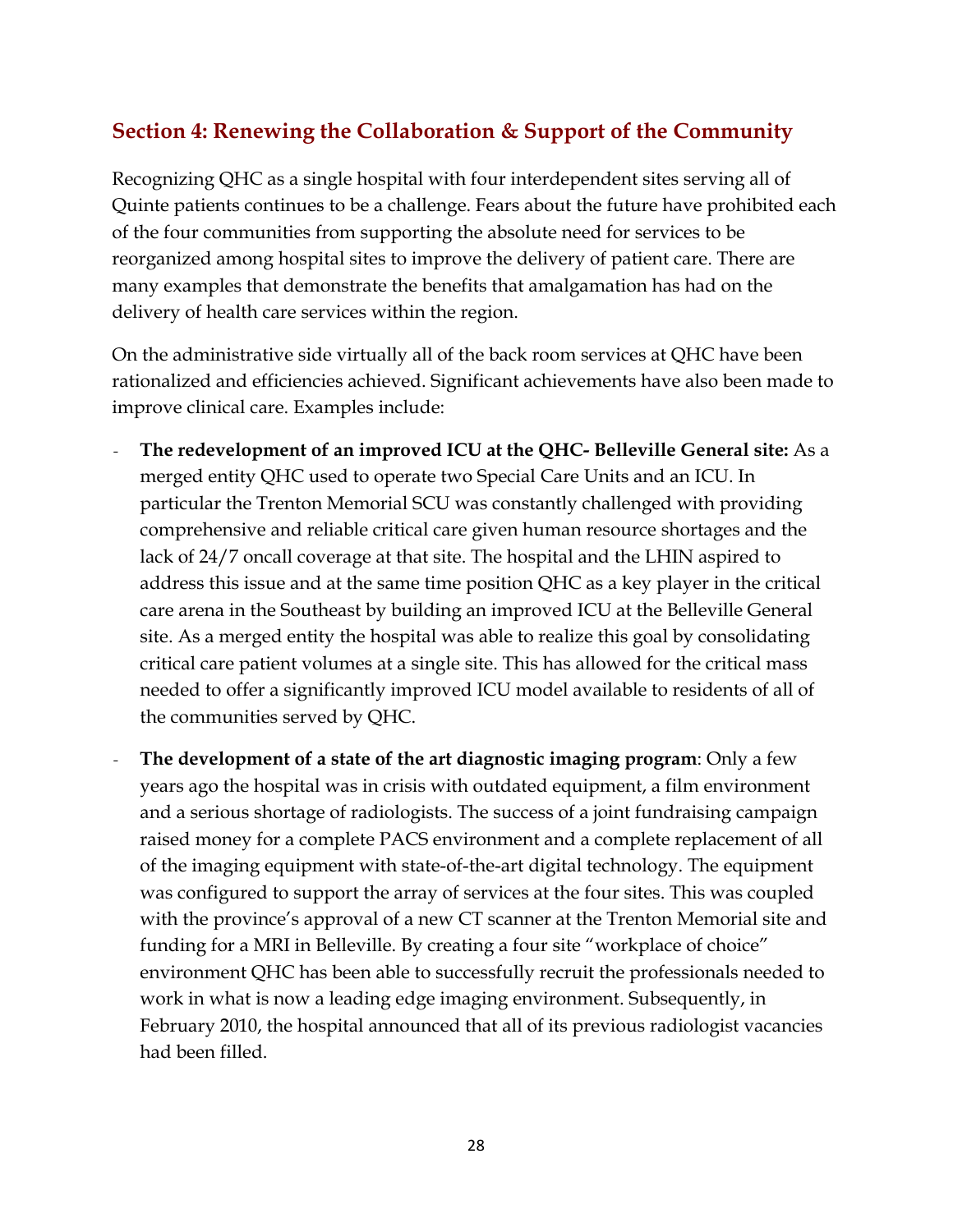## <span id="page-27-0"></span>**Section 4: Renewing the Collaboration & Support of the Community**

Recognizing QHC as a single hospital with four interdependent sites serving all of Quinte patients continues to be a challenge. Fears about the future have prohibited each of the four communities from supporting the absolute need for services to be reorganized among hospital sites to improve the delivery of patient care. There are many examples that demonstrate the benefits that amalgamation has had on the delivery of health care services within the region.

On the administrative side virtually all of the back room services at QHC have been rationalized and efficiencies achieved. Significant achievements have also been made to improve clinical care. Examples include:

- *-* **The redevelopment of an improved ICU at the QHC- Belleville General site:** As a merged entity QHC used to operate two Special Care Units and an ICU. In particular the Trenton Memorial SCU was constantly challenged with providing comprehensive and reliable critical care given human resource shortages and the lack of 24/7 oncall coverage at that site. The hospital and the LHIN aspired to address this issue and at the same time position QHC as a key player in the critical care arena in the Southeast by building an improved ICU at the Belleville General site. As a merged entity the hospital was able to realize this goal by consolidating critical care patient volumes at a single site. This has allowed for the critical mass needed to offer a significantly improved ICU model available to residents of all of the communities served by QHC.
- *-* **The development of a state of the art diagnostic imaging program**: Only a few years ago the hospital was in crisis with outdated equipment, a film environment and a serious shortage of radiologists. The success of a joint fundraising campaign raised money for a complete PACS environment and a complete replacement of all of the imaging equipment with state-of-the-art digital technology. The equipment was configured to support the array of services at the four sites. This was coupled with the province's approval of a new CT scanner at the Trenton Memorial site and funding for a MRI in Belleville. By creating a four site "workplace of choice" environment QHC has been able to successfully recruit the professionals needed to work in what is now a leading edge imaging environment. Subsequently, in February 2010, the hospital announced that all of its previous radiologist vacancies had been filled.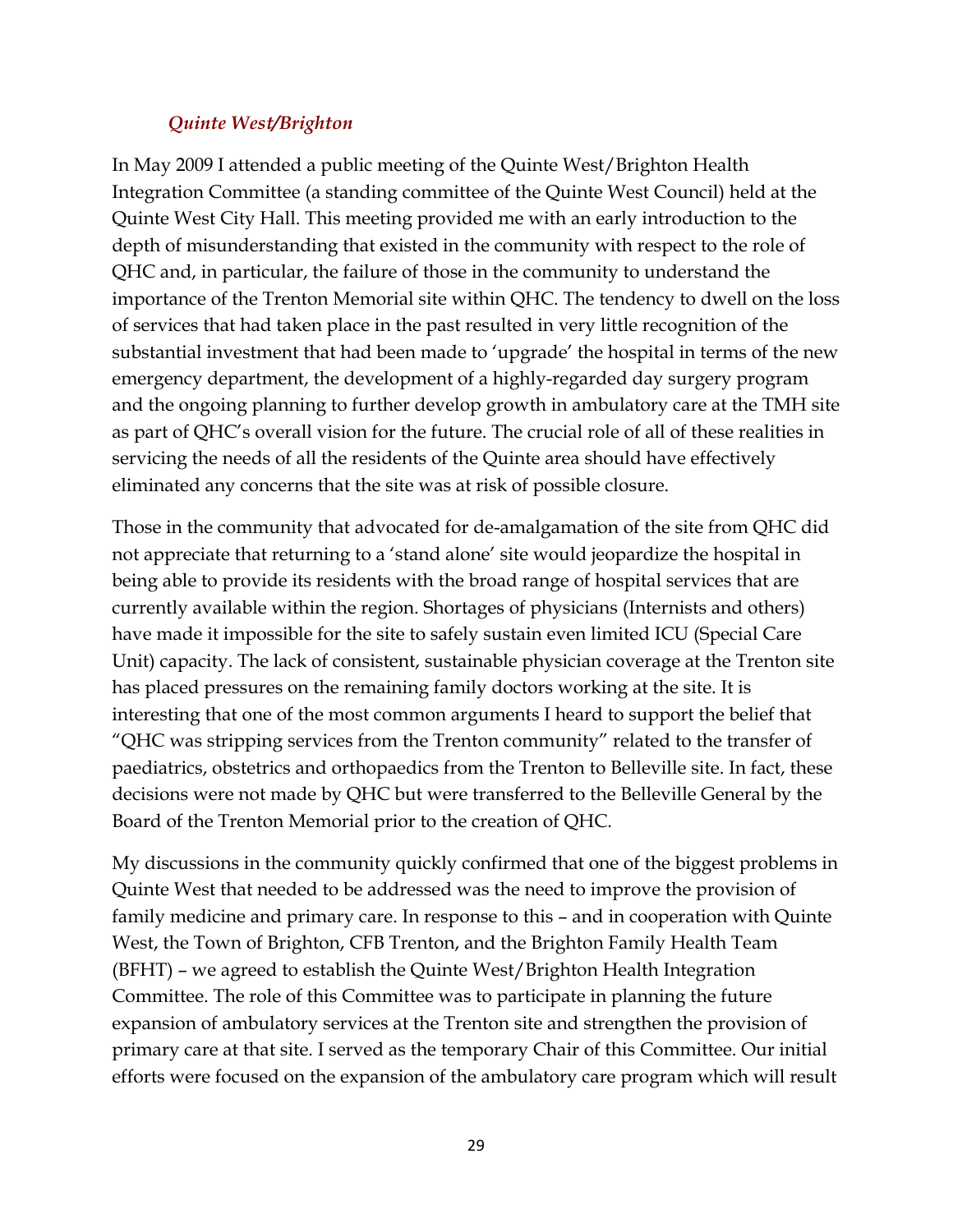#### *Quinte West/Brighton*

In May 2009 I attended a public meeting of the Quinte West/Brighton Health Integration Committee (a standing committee of the Quinte West Council) held at the Quinte West City Hall. This meeting provided me with an early introduction to the depth of misunderstanding that existed in the community with respect to the role of QHC and, in particular, the failure of those in the community to understand the importance of the Trenton Memorial site within QHC. The tendency to dwell on the loss of services that had taken place in the past resulted in very little recognition of the substantial investment that had been made to 'upgrade' the hospital in terms of the new emergency department, the development of a highly-regarded day surgery program and the ongoing planning to further develop growth in ambulatory care at the TMH site as part of QHC's overall vision for the future. The crucial role of all of these realities in servicing the needs of all the residents of the Quinte area should have effectively eliminated any concerns that the site was at risk of possible closure.

Those in the community that advocated for de-amalgamation of the site from QHC did not appreciate that returning to a 'stand alone' site would jeopardize the hospital in being able to provide its residents with the broad range of hospital services that are currently available within the region. Shortages of physicians (Internists and others) have made it impossible for the site to safely sustain even limited ICU (Special Care Unit) capacity. The lack of consistent, sustainable physician coverage at the Trenton site has placed pressures on the remaining family doctors working at the site. It is interesting that one of the most common arguments I heard to support the belief that "QHC was stripping services from the Trenton community" related to the transfer of paediatrics, obstetrics and orthopaedics from the Trenton to Belleville site. In fact, these decisions were not made by QHC but were transferred to the Belleville General by the Board of the Trenton Memorial prior to the creation of QHC.

My discussions in the community quickly confirmed that one of the biggest problems in Quinte West that needed to be addressed was the need to improve the provision of family medicine and primary care. In response to this – and in cooperation with Quinte West, the Town of Brighton, CFB Trenton, and the Brighton Family Health Team (BFHT) – we agreed to establish the Quinte West/Brighton Health Integration Committee. The role of this Committee was to participate in planning the future expansion of ambulatory services at the Trenton site and strengthen the provision of primary care at that site. I served as the temporary Chair of this Committee. Our initial efforts were focused on the expansion of the ambulatory care program which will result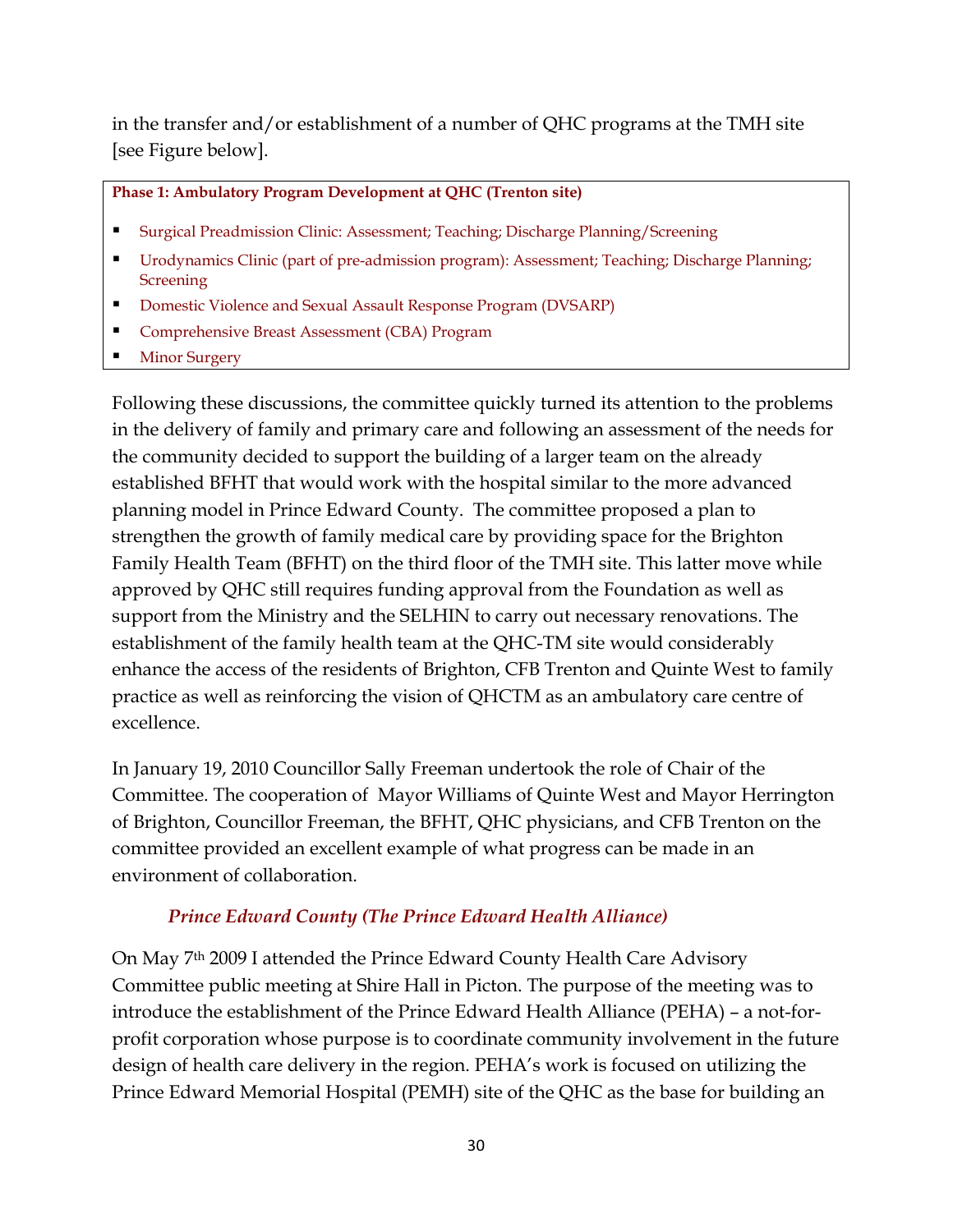in the transfer and/or establishment of a number of QHC programs at the TMH site [see Figure below].

#### **Phase 1: Ambulatory Program Development at QHC (Trenton site)**

- Surgical Preadmission Clinic: Assessment; Teaching; Discharge Planning/Screening
- Urodynamics Clinic (part of pre-admission program): Assessment; Teaching; Discharge Planning; **Screening**
- Domestic Violence and Sexual Assault Response Program (DVSARP)
- Comprehensive Breast Assessment (CBA) Program
- Minor Surgery

Following these discussions, the committee quickly turned its attention to the problems in the delivery of family and primary care and following an assessment of the needs for the community decided to support the building of a larger team on the already established BFHT that would work with the hospital similar to the more advanced planning model in Prince Edward County. The committee proposed a plan to strengthen the growth of family medical care by providing space for the Brighton Family Health Team (BFHT) on the third floor of the TMH site. This latter move while approved by QHC still requires funding approval from the Foundation as well as support from the Ministry and the SELHIN to carry out necessary renovations. The establishment of the family health team at the QHC-TM site would considerably enhance the access of the residents of Brighton, CFB Trenton and Quinte West to family practice as well as reinforcing the vision of QHCTM as an ambulatory care centre of excellence.

In January 19, 2010 Councillor Sally Freeman undertook the role of Chair of the Committee. The cooperation of Mayor Williams of Quinte West and Mayor Herrington of Brighton, Councillor Freeman, the BFHT, QHC physicians, and CFB Trenton on the committee provided an excellent example of what progress can be made in an environment of collaboration.

#### *Prince Edward County (The Prince Edward Health Alliance)*

On May 7th 2009 I attended the Prince Edward County Health Care Advisory Committee public meeting at Shire Hall in Picton. The purpose of the meeting was to introduce the establishment of the Prince Edward Health Alliance (PEHA) – a not-forprofit corporation whose purpose is to coordinate community involvement in the future design of health care delivery in the region. PEHA's work is focused on utilizing the Prince Edward Memorial Hospital (PEMH) site of the QHC as the base for building an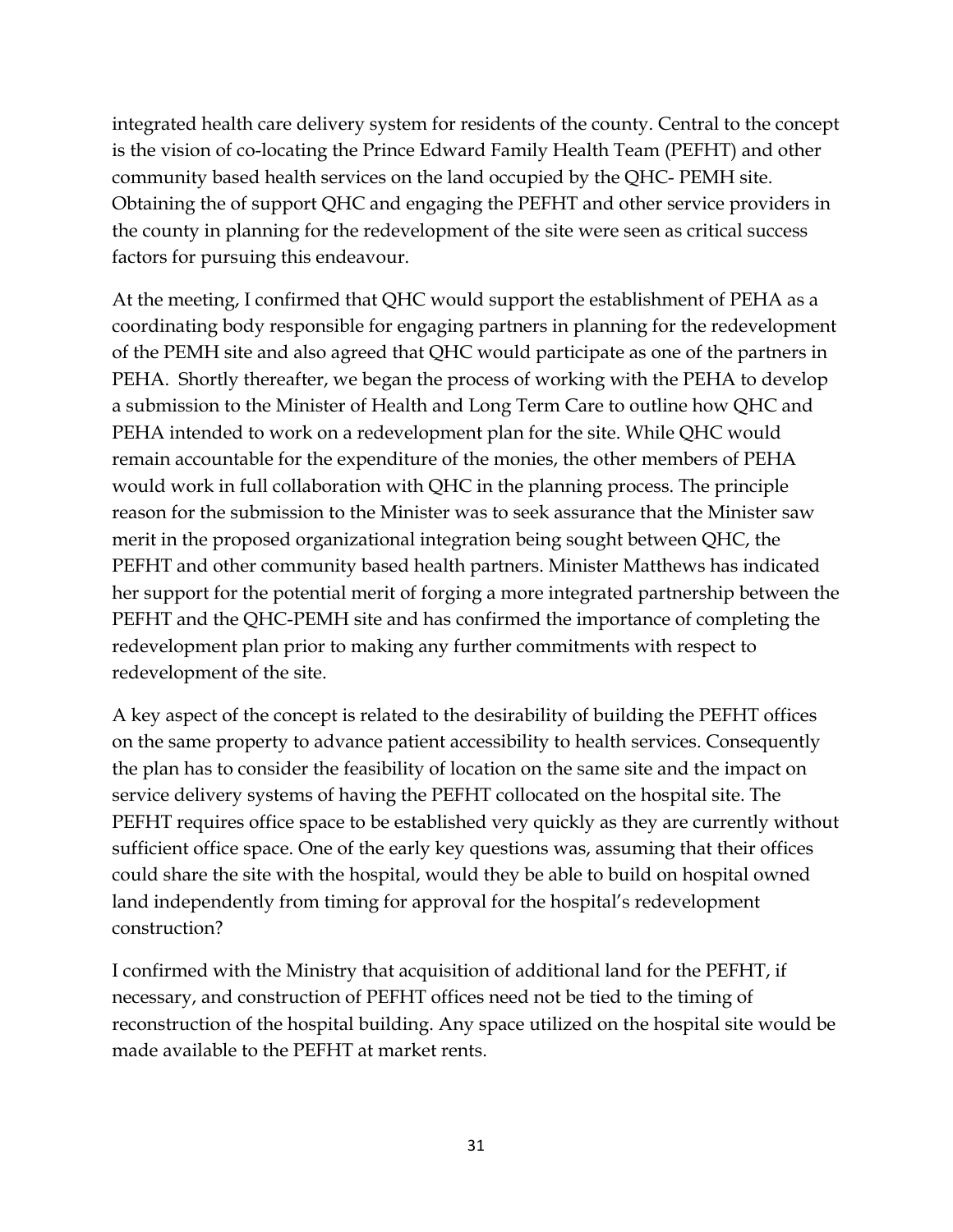integrated health care delivery system for residents of the county. Central to the concept is the vision of co-locating the Prince Edward Family Health Team (PEFHT) and other community based health services on the land occupied by the QHC- PEMH site. Obtaining the of support QHC and engaging the PEFHT and other service providers in the county in planning for the redevelopment of the site were seen as critical success factors for pursuing this endeavour.

At the meeting, I confirmed that QHC would support the establishment of PEHA as a coordinating body responsible for engaging partners in planning for the redevelopment of the PEMH site and also agreed that QHC would participate as one of the partners in PEHA. Shortly thereafter, we began the process of working with the PEHA to develop a submission to the Minister of Health and Long Term Care to outline how QHC and PEHA intended to work on a redevelopment plan for the site. While QHC would remain accountable for the expenditure of the monies, the other members of PEHA would work in full collaboration with QHC in the planning process. The principle reason for the submission to the Minister was to seek assurance that the Minister saw merit in the proposed organizational integration being sought between QHC, the PEFHT and other community based health partners. Minister Matthews has indicated her support for the potential merit of forging a more integrated partnership between the PEFHT and the QHC-PEMH site and has confirmed the importance of completing the redevelopment plan prior to making any further commitments with respect to redevelopment of the site.

A key aspect of the concept is related to the desirability of building the PEFHT offices on the same property to advance patient accessibility to health services. Consequently the plan has to consider the feasibility of location on the same site and the impact on service delivery systems of having the PEFHT collocated on the hospital site. The PEFHT requires office space to be established very quickly as they are currently without sufficient office space. One of the early key questions was, assuming that their offices could share the site with the hospital, would they be able to build on hospital owned land independently from timing for approval for the hospital's redevelopment construction?

I confirmed with the Ministry that acquisition of additional land for the PEFHT, if necessary, and construction of PEFHT offices need not be tied to the timing of reconstruction of the hospital building. Any space utilized on the hospital site would be made available to the PEFHT at market rents.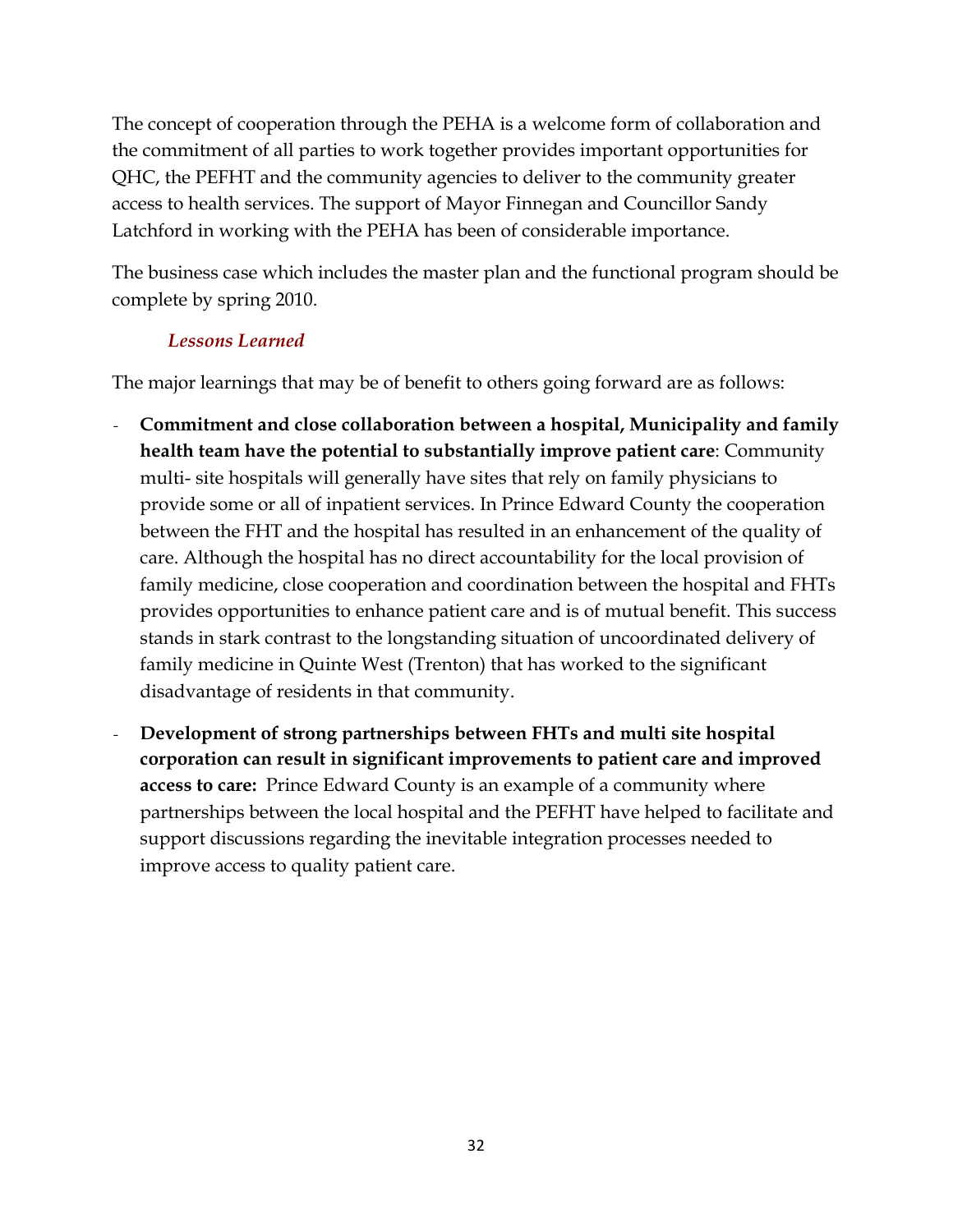The concept of cooperation through the PEHA is a welcome form of collaboration and the commitment of all parties to work together provides important opportunities for QHC, the PEFHT and the community agencies to deliver to the community greater access to health services. The support of Mayor Finnegan and Councillor Sandy Latchford in working with the PEHA has been of considerable importance.

The business case which includes the master plan and the functional program should be complete by spring 2010.

### *Lessons Learned*

The major learnings that may be of benefit to others going forward are as follows:

- *-* **Commitment and close collaboration between a hospital, Municipality and family health team have the potential to substantially improve patient care**: Community multi- site hospitals will generally have sites that rely on family physicians to provide some or all of inpatient services. In Prince Edward County the cooperation between the FHT and the hospital has resulted in an enhancement of the quality of care. Although the hospital has no direct accountability for the local provision of family medicine, close cooperation and coordination between the hospital and FHTs provides opportunities to enhance patient care and is of mutual benefit. This success stands in stark contrast to the longstanding situation of uncoordinated delivery of family medicine in Quinte West (Trenton) that has worked to the significant disadvantage of residents in that community.
- *-* **Development of strong partnerships between FHTs and multi site hospital corporation can result in significant improvements to patient care and improved access to care:** Prince Edward County is an example of a community where partnerships between the local hospital and the PEFHT have helped to facilitate and support discussions regarding the inevitable integration processes needed to improve access to quality patient care.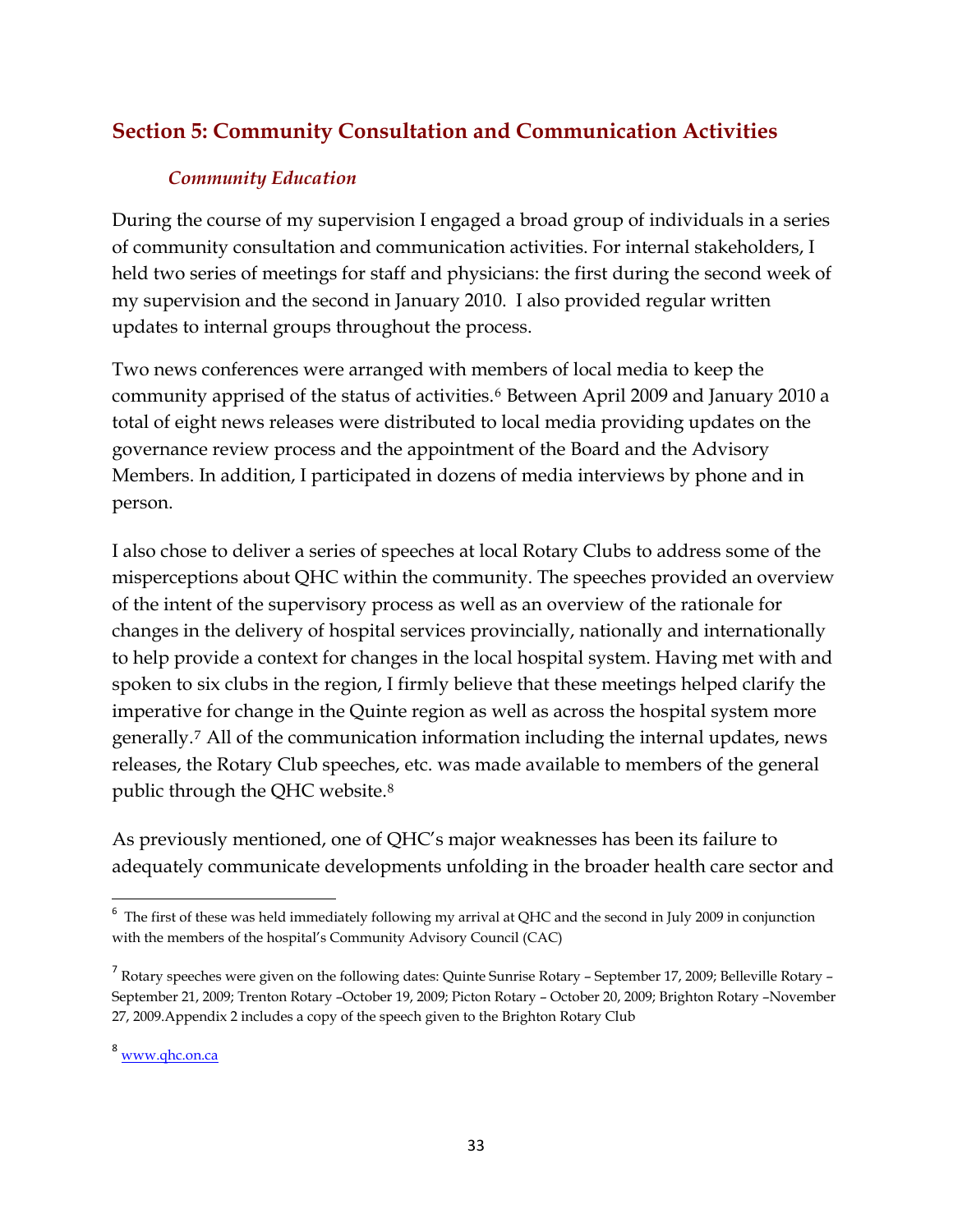## <span id="page-32-0"></span>**Section 5: Community Consultation and Communication Activities**

#### *Community Education*

During the course of my supervision I engaged a broad group of individuals in a series of community consultation and communication activities. For internal stakeholders, I held two series of meetings for staff and physicians: the first during the second week of my supervision and the second in January 2010. I also provided regular written updates to internal groups throughout the process.

Two news conferences were arranged with members of local media to keep the community apprised of the status of activities.<sup>[6](#page-32-1)</sup> Between April 2009 and January 2010 a total of eight news releases were distributed to local media providing updates on the governance review process and the appointment of the Board and the Advisory Members. In addition, I participated in dozens of media interviews by phone and in person.

I also chose to deliver a series of speeches at local Rotary Clubs to address some of the misperceptions about QHC within the community. The speeches provided an overview of the intent of the supervisory process as well as an overview of the rationale for changes in the delivery of hospital services provincially, nationally and internationally to help provide a context for changes in the local hospital system. Having met with and spoken to six clubs in the region, I firmly believe that these meetings helped clarify the imperative for change in the Quinte region as well as across the hospital system more generally.[7](#page-32-2) All of the communication information including the internal updates, news releases, the Rotary Club speeches, etc. was made available to members of the general public through the QHC website.[8](#page-32-3)

As previously mentioned, one of QHC's major weaknesses has been its failure to adequately communicate developments unfolding in the broader health care sector and

<span id="page-32-1"></span> $6$  The first of these was held immediately following my arrival at QHC and the second in July 2009 in conjunction with the members of the hospital's Community Advisory Council (CAC)

<span id="page-32-2"></span><sup>&</sup>lt;sup>7</sup> Rotary speeches were given on the following dates: Quinte Sunrise Rotary - September 17, 2009; Belleville Rotary -September 21, 2009; Trenton Rotary –October 19, 2009; Picton Rotary – October 20, 2009; Brighton Rotary –November 27, 2009.Appendix 2 includes a copy of the speech given to the Brighton Rotary Club

<span id="page-32-3"></span><sup>8</sup> [www.qhc.on.ca](http://www.qhc.on.ca/)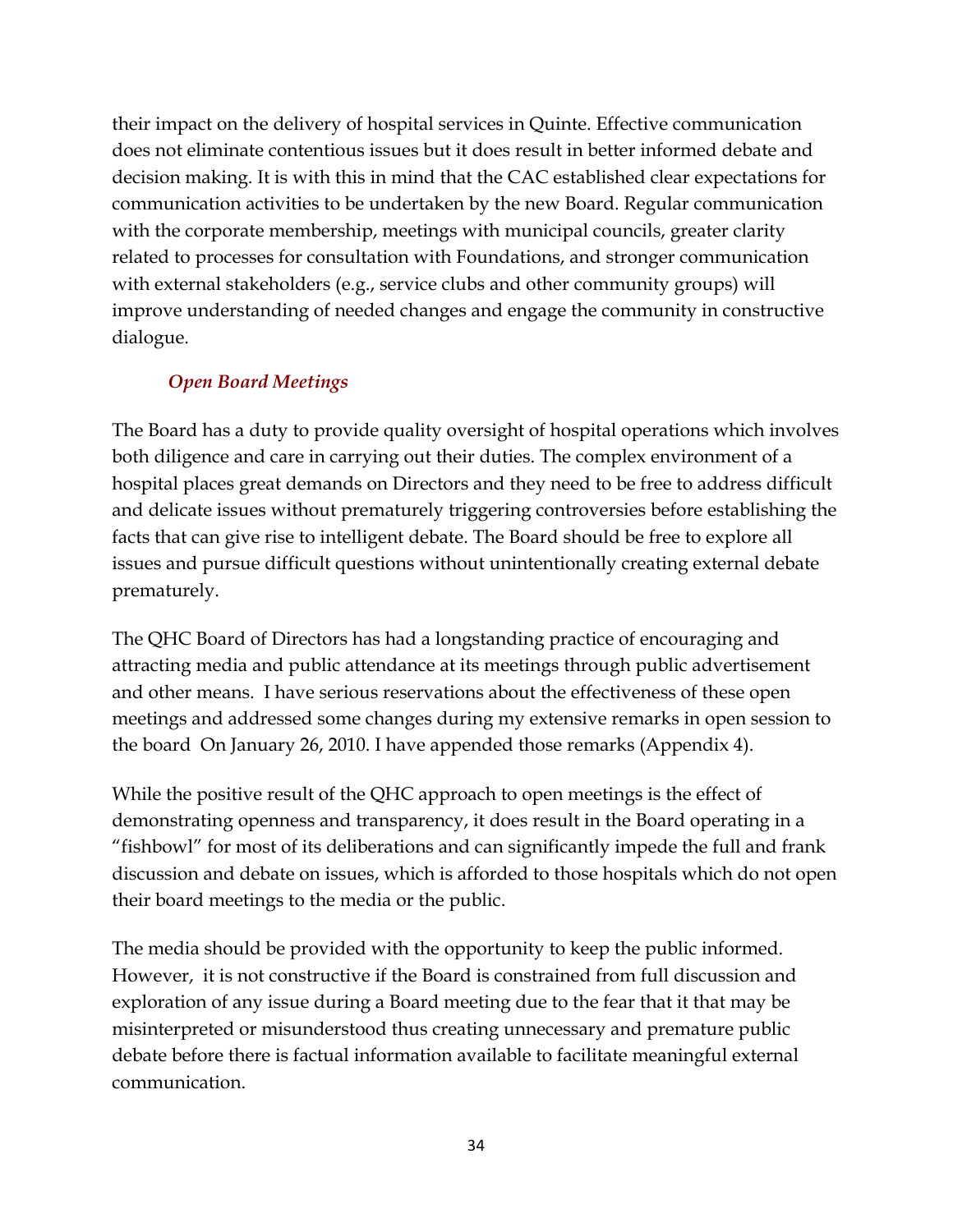their impact on the delivery of hospital services in Quinte. Effective communication does not eliminate contentious issues but it does result in better informed debate and decision making. It is with this in mind that the CAC established clear expectations for communication activities to be undertaken by the new Board. Regular communication with the corporate membership, meetings with municipal councils, greater clarity related to processes for consultation with Foundations, and stronger communication with external stakeholders (e.g., service clubs and other community groups) will improve understanding of needed changes and engage the community in constructive dialogue.

## *Open Board Meetings*

The Board has a duty to provide quality oversight of hospital operations which involves both diligence and care in carrying out their duties. The complex environment of a hospital places great demands on Directors and they need to be free to address difficult and delicate issues without prematurely triggering controversies before establishing the facts that can give rise to intelligent debate. The Board should be free to explore all issues and pursue difficult questions without unintentionally creating external debate prematurely.

The QHC Board of Directors has had a longstanding practice of encouraging and attracting media and public attendance at its meetings through public advertisement and other means. I have serious reservations about the effectiveness of these open meetings and addressed some changes during my extensive remarks in open session to the board On January 26, 2010. I have appended those remarks (Appendix 4).

While the positive result of the QHC approach to open meetings is the effect of demonstrating openness and transparency, it does result in the Board operating in a "fishbowl" for most of its deliberations and can significantly impede the full and frank discussion and debate on issues, which is afforded to those hospitals which do not open their board meetings to the media or the public.

The media should be provided with the opportunity to keep the public informed. However, it is not constructive if the Board is constrained from full discussion and exploration of any issue during a Board meeting due to the fear that it that may be misinterpreted or misunderstood thus creating unnecessary and premature public debate before there is factual information available to facilitate meaningful external communication.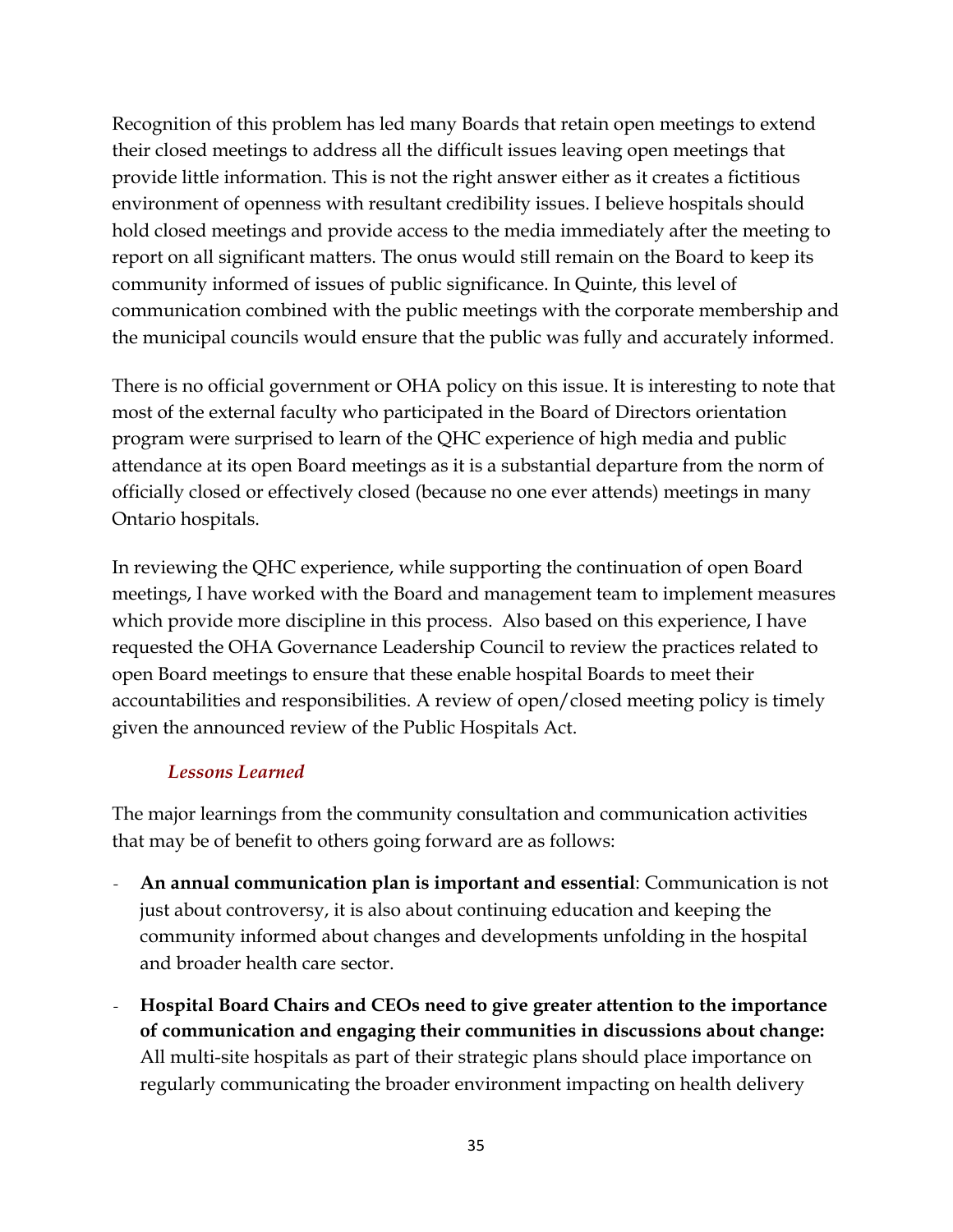Recognition of this problem has led many Boards that retain open meetings to extend their closed meetings to address all the difficult issues leaving open meetings that provide little information. This is not the right answer either as it creates a fictitious environment of openness with resultant credibility issues. I believe hospitals should hold closed meetings and provide access to the media immediately after the meeting to report on all significant matters. The onus would still remain on the Board to keep its community informed of issues of public significance. In Quinte, this level of communication combined with the public meetings with the corporate membership and the municipal councils would ensure that the public was fully and accurately informed.

There is no official government or OHA policy on this issue. It is interesting to note that most of the external faculty who participated in the Board of Directors orientation program were surprised to learn of the QHC experience of high media and public attendance at its open Board meetings as it is a substantial departure from the norm of officially closed or effectively closed (because no one ever attends) meetings in many Ontario hospitals.

In reviewing the QHC experience, while supporting the continuation of open Board meetings, I have worked with the Board and management team to implement measures which provide more discipline in this process. Also based on this experience, I have requested the OHA Governance Leadership Council to review the practices related to open Board meetings to ensure that these enable hospital Boards to meet their accountabilities and responsibilities. A review of open/closed meeting policy is timely given the announced review of the Public Hospitals Act.

#### *Lessons Learned*

The major learnings from the community consultation and communication activities that may be of benefit to others going forward are as follows:

- *-* **An annual communication plan is important and essential**: Communication is not just about controversy, it is also about continuing education and keeping the community informed about changes and developments unfolding in the hospital and broader health care sector.
- *-* **Hospital Board Chairs and CEOs need to give greater attention to the importance of communication and engaging their communities in discussions about change:** All multi-site hospitals as part of their strategic plans should place importance on regularly communicating the broader environment impacting on health delivery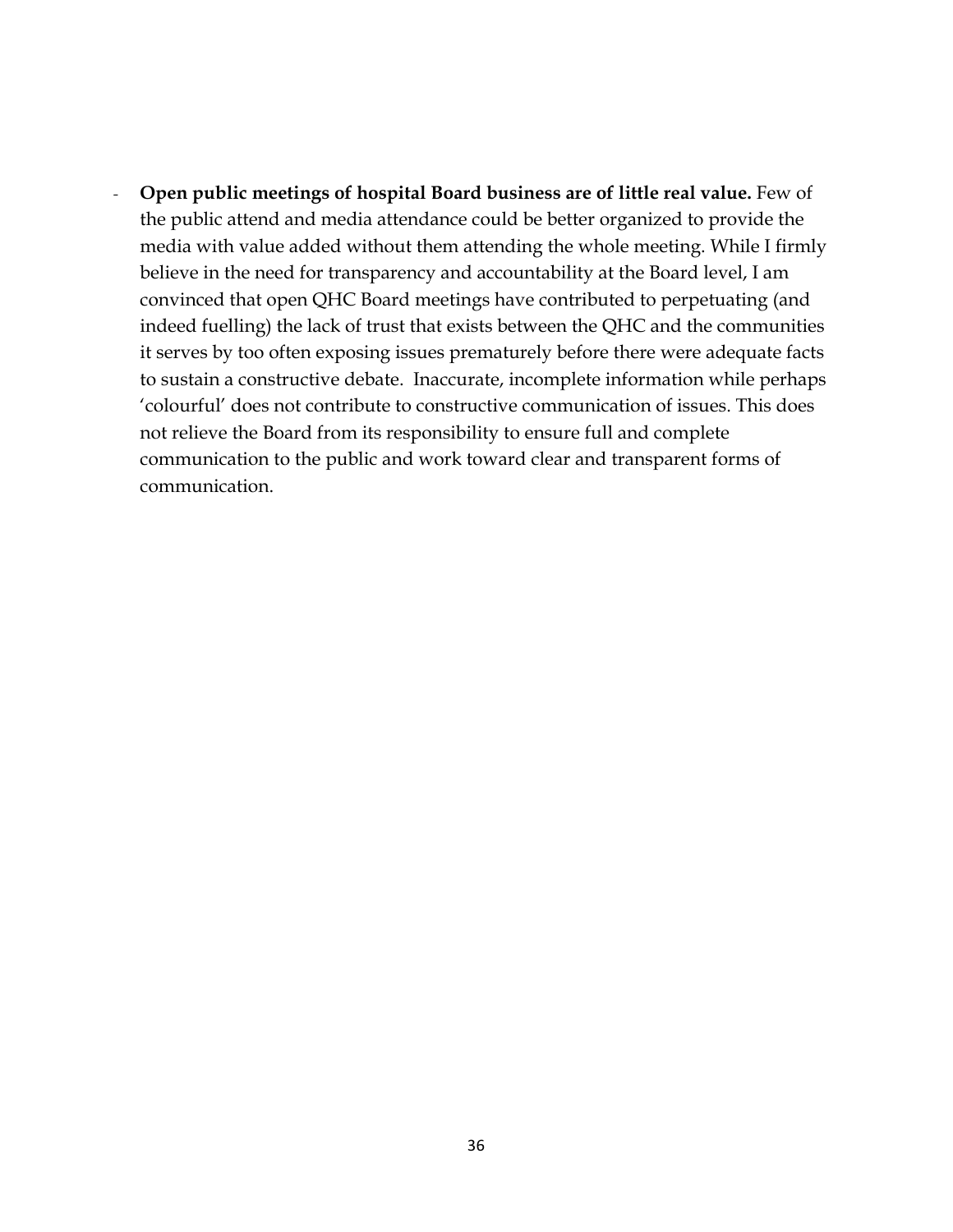*-* **Open public meetings of hospital Board business are of little real value.** Few of the public attend and media attendance could be better organized to provide the media with value added without them attending the whole meeting. While I firmly believe in the need for transparency and accountability at the Board level, I am convinced that open QHC Board meetings have contributed to perpetuating (and indeed fuelling) the lack of trust that exists between the QHC and the communities it serves by too often exposing issues prematurely before there were adequate facts to sustain a constructive debate. Inaccurate, incomplete information while perhaps 'colourful' does not contribute to constructive communication of issues. This does not relieve the Board from its responsibility to ensure full and complete communication to the public and work toward clear and transparent forms of communication.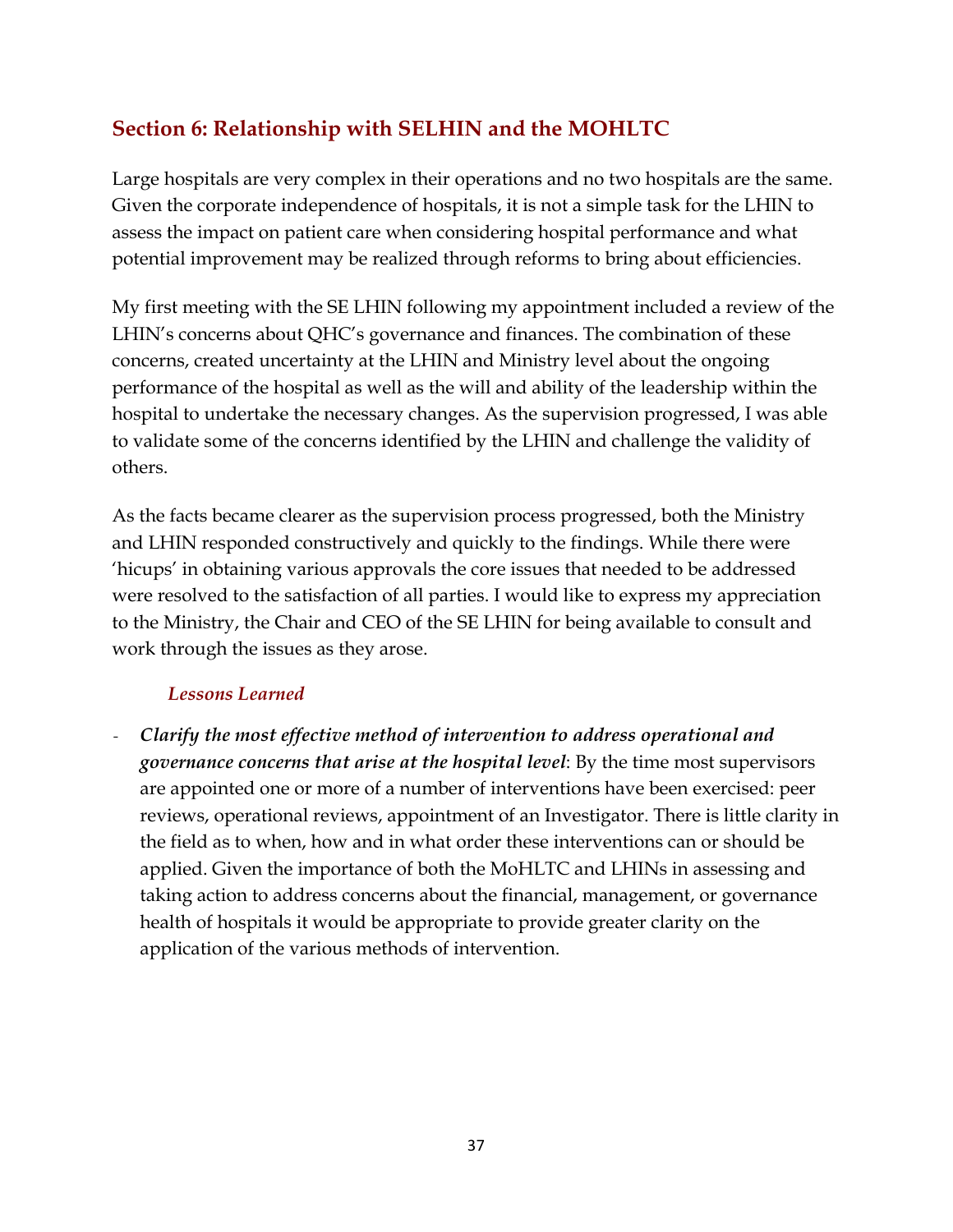## <span id="page-36-0"></span>**Section 6: Relationship with SELHIN and the MOHLTC**

Large hospitals are very complex in their operations and no two hospitals are the same. Given the corporate independence of hospitals, it is not a simple task for the LHIN to assess the impact on patient care when considering hospital performance and what potential improvement may be realized through reforms to bring about efficiencies.

My first meeting with the SE LHIN following my appointment included a review of the LHIN's concerns about QHC's governance and finances. The combination of these concerns, created uncertainty at the LHIN and Ministry level about the ongoing performance of the hospital as well as the will and ability of the leadership within the hospital to undertake the necessary changes. As the supervision progressed, I was able to validate some of the concerns identified by the LHIN and challenge the validity of others.

As the facts became clearer as the supervision process progressed, both the Ministry and LHIN responded constructively and quickly to the findings. While there were 'hicups' in obtaining various approvals the core issues that needed to be addressed were resolved to the satisfaction of all parties. I would like to express my appreciation to the Ministry, the Chair and CEO of the SE LHIN for being available to consult and work through the issues as they arose.

## *Lessons Learned*

*- Clarify the most effective method of intervention to address operational and governance concerns that arise at the hospital level*: By the time most supervisors are appointed one or more of a number of interventions have been exercised: peer reviews, operational reviews, appointment of an Investigator. There is little clarity in the field as to when, how and in what order these interventions can or should be applied. Given the importance of both the MoHLTC and LHINs in assessing and taking action to address concerns about the financial, management, or governance health of hospitals it would be appropriate to provide greater clarity on the application of the various methods of intervention.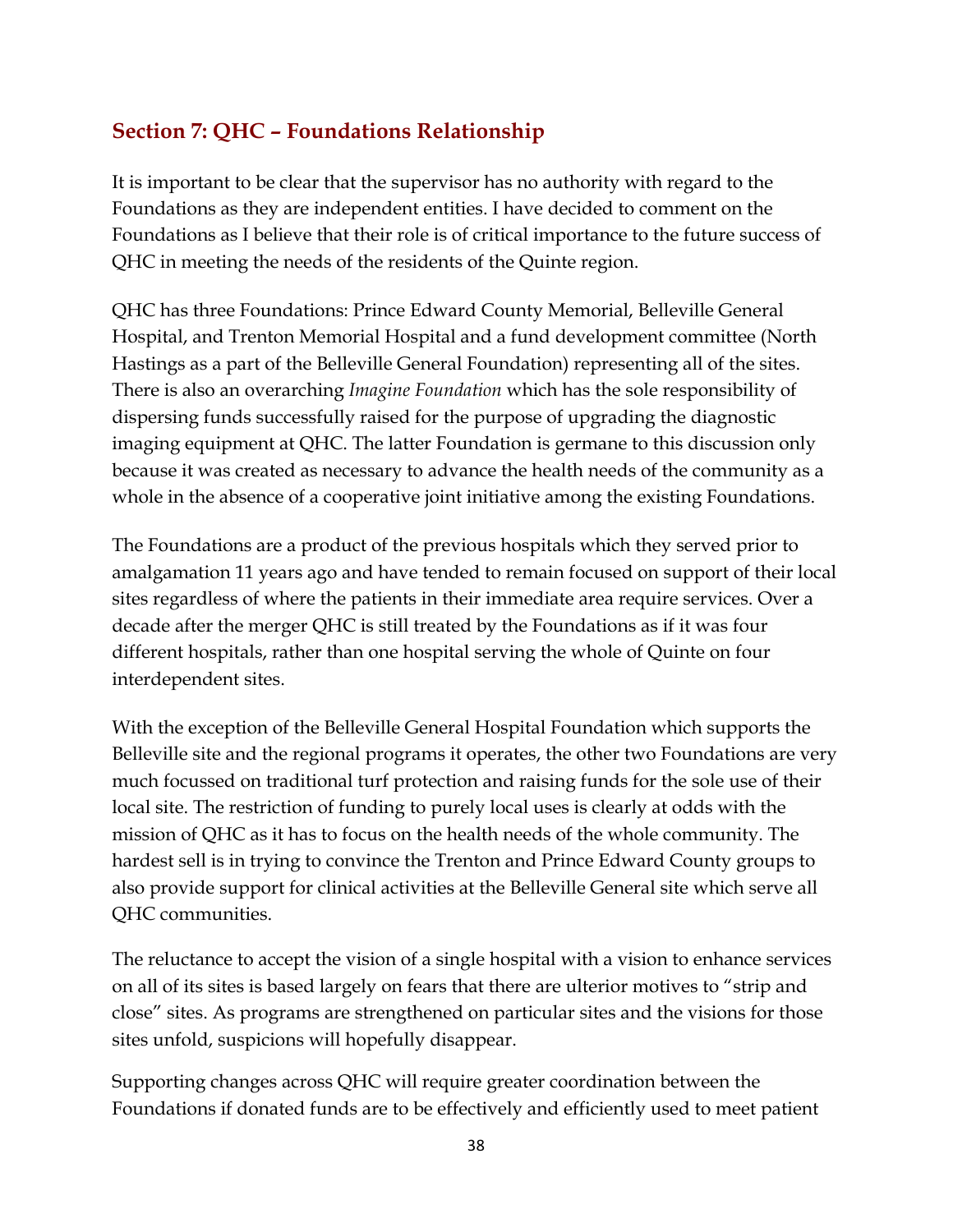## <span id="page-37-0"></span>**Section 7: QHC – Foundations Relationship**

It is important to be clear that the supervisor has no authority with regard to the Foundations as they are independent entities. I have decided to comment on the Foundations as I believe that their role is of critical importance to the future success of QHC in meeting the needs of the residents of the Quinte region.

QHC has three Foundations: Prince Edward County Memorial, Belleville General Hospital, and Trenton Memorial Hospital and a fund development committee (North Hastings as a part of the Belleville General Foundation) representing all of the sites. There is also an overarching *Imagine Foundation* which has the sole responsibility of dispersing funds successfully raised for the purpose of upgrading the diagnostic imaging equipment at QHC. The latter Foundation is germane to this discussion only because it was created as necessary to advance the health needs of the community as a whole in the absence of a cooperative joint initiative among the existing Foundations.

The Foundations are a product of the previous hospitals which they served prior to amalgamation 11 years ago and have tended to remain focused on support of their local sites regardless of where the patients in their immediate area require services. Over a decade after the merger QHC is still treated by the Foundations as if it was four different hospitals, rather than one hospital serving the whole of Quinte on four interdependent sites.

With the exception of the Belleville General Hospital Foundation which supports the Belleville site and the regional programs it operates, the other two Foundations are very much focussed on traditional turf protection and raising funds for the sole use of their local site. The restriction of funding to purely local uses is clearly at odds with the mission of QHC as it has to focus on the health needs of the whole community. The hardest sell is in trying to convince the Trenton and Prince Edward County groups to also provide support for clinical activities at the Belleville General site which serve all QHC communities.

The reluctance to accept the vision of a single hospital with a vision to enhance services on all of its sites is based largely on fears that there are ulterior motives to "strip and close" sites. As programs are strengthened on particular sites and the visions for those sites unfold, suspicions will hopefully disappear.

Supporting changes across QHC will require greater coordination between the Foundations if donated funds are to be effectively and efficiently used to meet patient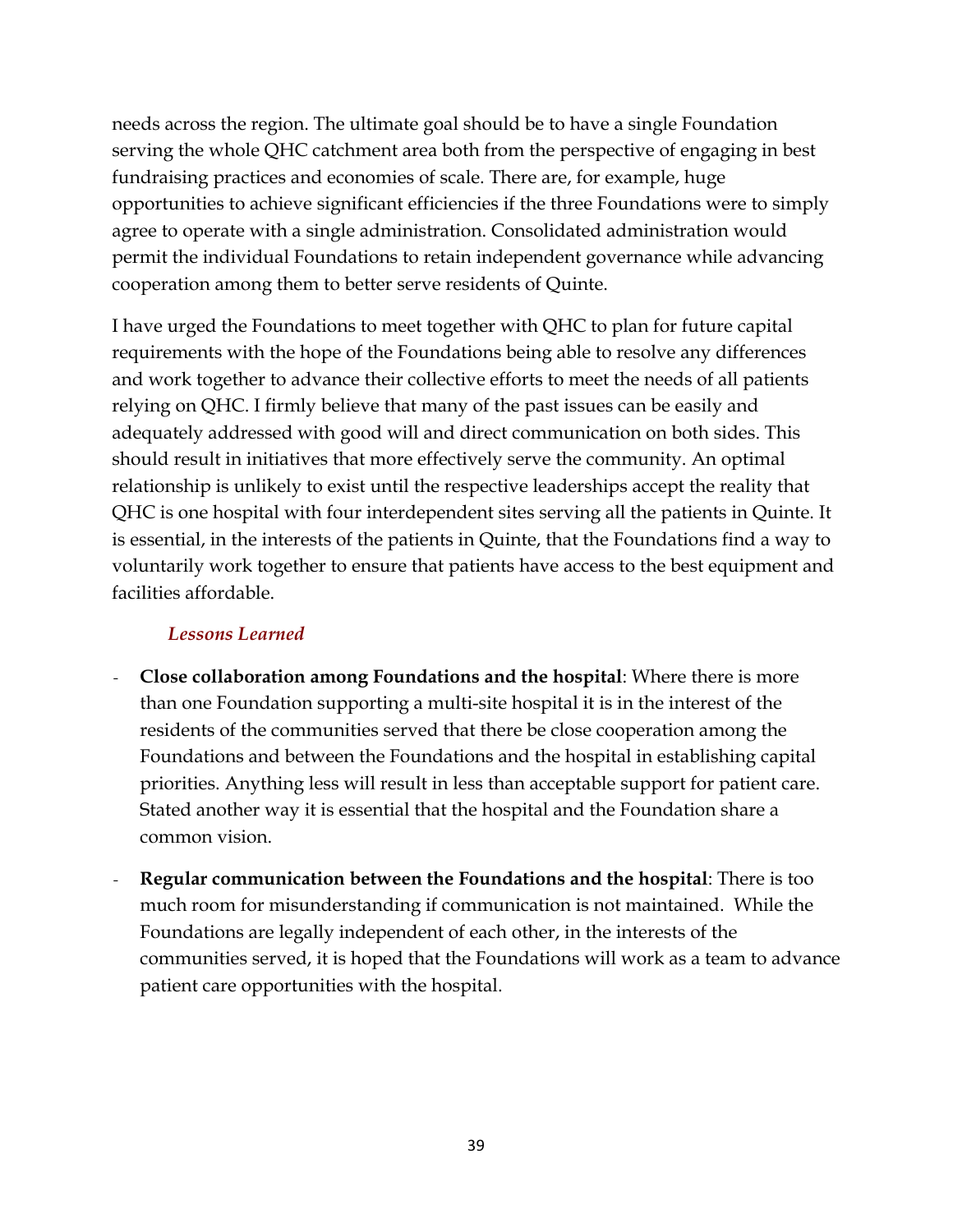needs across the region. The ultimate goal should be to have a single Foundation serving the whole QHC catchment area both from the perspective of engaging in best fundraising practices and economies of scale. There are, for example, huge opportunities to achieve significant efficiencies if the three Foundations were to simply agree to operate with a single administration. Consolidated administration would permit the individual Foundations to retain independent governance while advancing cooperation among them to better serve residents of Quinte.

I have urged the Foundations to meet together with QHC to plan for future capital requirements with the hope of the Foundations being able to resolve any differences and work together to advance their collective efforts to meet the needs of all patients relying on QHC. I firmly believe that many of the past issues can be easily and adequately addressed with good will and direct communication on both sides. This should result in initiatives that more effectively serve the community. An optimal relationship is unlikely to exist until the respective leaderships accept the reality that QHC is one hospital with four interdependent sites serving all the patients in Quinte. It is essential, in the interests of the patients in Quinte, that the Foundations find a way to voluntarily work together to ensure that patients have access to the best equipment and facilities affordable.

#### *Lessons Learned*

- *-* **Close collaboration among Foundations and the hospital**: Where there is more than one Foundation supporting a multi-site hospital it is in the interest of the residents of the communities served that there be close cooperation among the Foundations and between the Foundations and the hospital in establishing capital priorities. Anything less will result in less than acceptable support for patient care. Stated another way it is essential that the hospital and the Foundation share a common vision.
- *-* **Regular communication between the Foundations and the hospital**: There is too much room for misunderstanding if communication is not maintained. While the Foundations are legally independent of each other, in the interests of the communities served, it is hoped that the Foundations will work as a team to advance patient care opportunities with the hospital.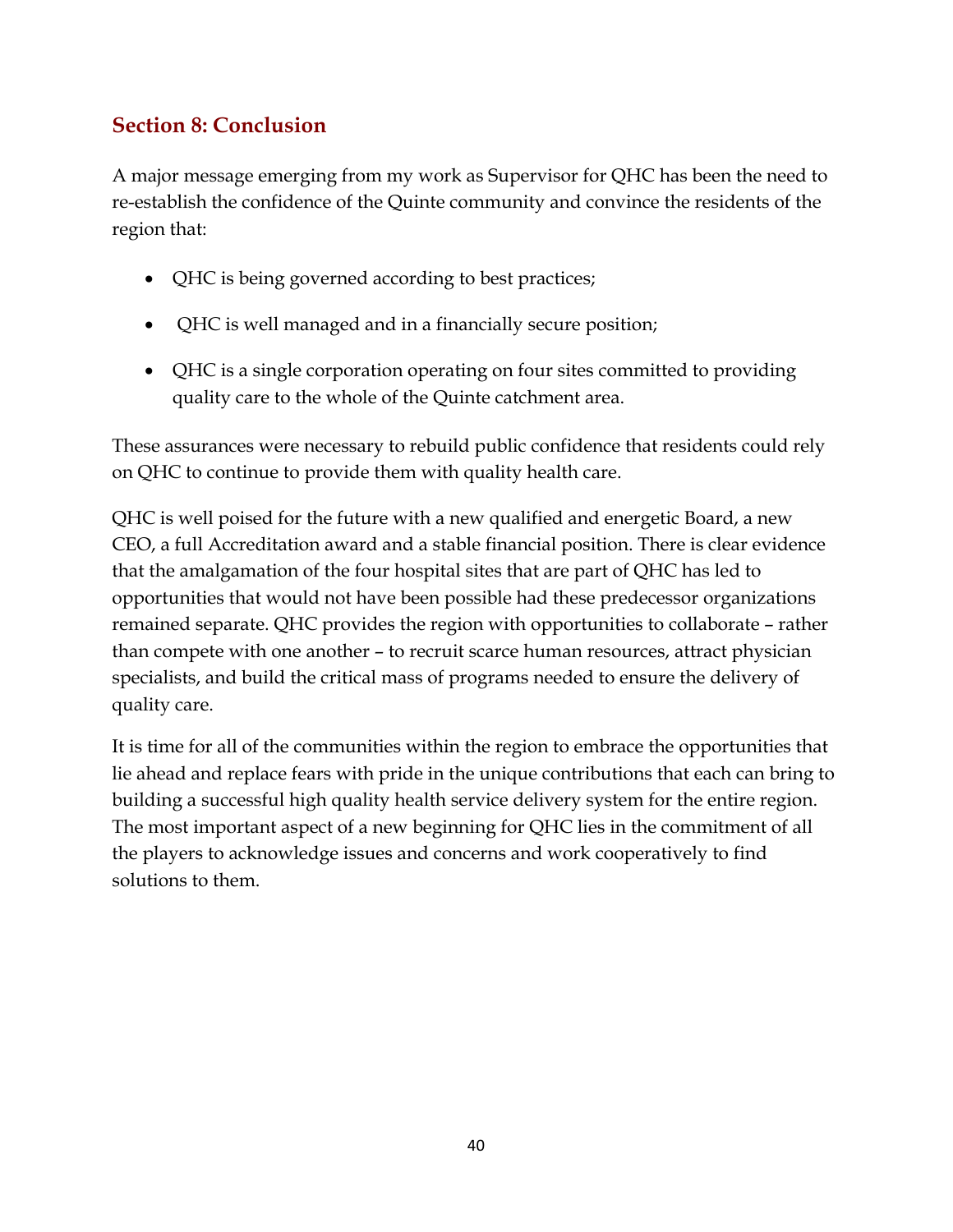## <span id="page-39-0"></span>**Section 8: Conclusion**

A major message emerging from my work as Supervisor for QHC has been the need to re-establish the confidence of the Quinte community and convince the residents of the region that:

- QHC is being governed according to best practices;
- QHC is well managed and in a financially secure position;
- QHC is a single corporation operating on four sites committed to providing quality care to the whole of the Quinte catchment area.

These assurances were necessary to rebuild public confidence that residents could rely on QHC to continue to provide them with quality health care.

QHC is well poised for the future with a new qualified and energetic Board, a new CEO, a full Accreditation award and a stable financial position. There is clear evidence that the amalgamation of the four hospital sites that are part of QHC has led to opportunities that would not have been possible had these predecessor organizations remained separate. QHC provides the region with opportunities to collaborate – rather than compete with one another – to recruit scarce human resources, attract physician specialists, and build the critical mass of programs needed to ensure the delivery of quality care.

It is time for all of the communities within the region to embrace the opportunities that lie ahead and replace fears with pride in the unique contributions that each can bring to building a successful high quality health service delivery system for the entire region. The most important aspect of a new beginning for QHC lies in the commitment of all the players to acknowledge issues and concerns and work cooperatively to find solutions to them.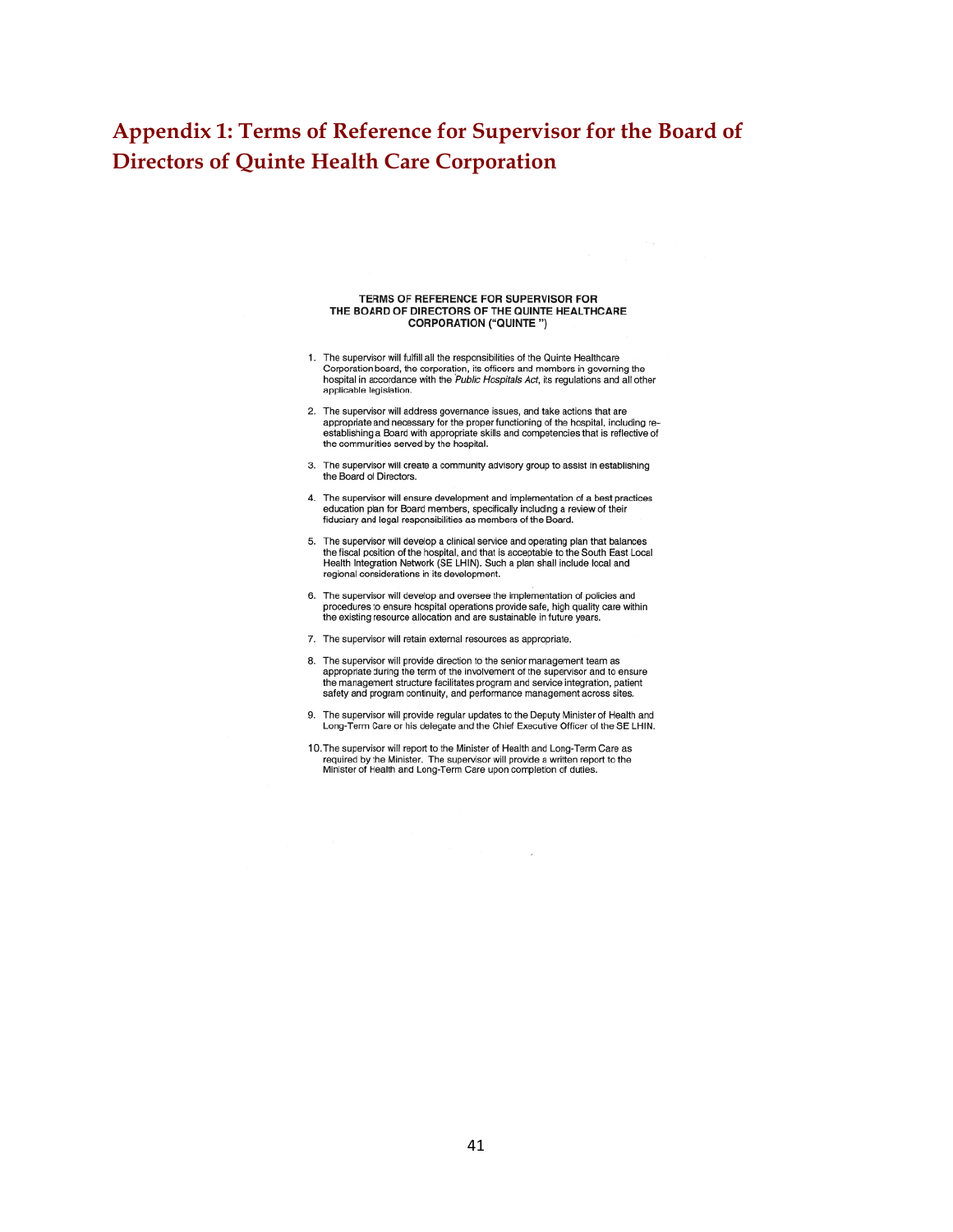## <span id="page-40-0"></span>**Appendix 1: Terms of Reference for Supervisor for the Board of Directors of Quinte Health Care Corporation**

#### TERMS OF REFERENCE FOR SUPERVISOR FOR TERMS OF REFERENCE FOR SUPERVISOR FOR<br>THE BOARD OF DIRECTORS OF THE QUINTE HEALTHCARE<br>CORPORATION ("QUINTE ")

- 1. The supervisor will fulfill all the responsibilities of the Quinte Healthcare Corporation board, the corporation, its officers and members in governing the hospital in accordance with the Public Hospitals Act, its regulations and all other applicable legislation.
- 2. The supervisor will address governance issues, and take actions that are The superpriate and necessary for the proper functioning of the hospital, including re-<br>establishing a Board with appropriate skills and competencies that is reflective of<br>the communities served by the hospital.
- 3. The supervisor will create a community advisory group to assist in establishing the Board of Directors.
- 4. The supervisor will ensure development and implementation of a best practices education plan for Board members, specifically including a review of their fiduciary and legal responsibilities as members of the Board.
- 5. The supervisor will develop a clinical service and operating plan that balances the fiscal position of the hospital, and that is acceptable to the South East Local Health Integration Network (SE LHIN). Such a plan shall include local and regional considerations in its development.
- 6. The supervisor will develop and oversee the implementation of policies and the order is the master hospital operations provide safe, high quality care within<br>the existing resource allocation and are sustainable in future years.
- 7. The supervisor will retain external resources as appropriate.
- 8. The supervisor will provide direction to the senior management team as appropriate during the term of the involvement of the supervisor and to ensure<br>the management structure facilitates program and service integration, patient safety and program continuity, and performance management across sites.
- 9. The supervisor will provide regular updates to the Deputy Minister of Health and Long-Term Care or his delegate and the Chief Executive Officer of the SE LHIN.
- 10. The supervisor will report to the Minister of Health and Long-Term Care as required by the Minister. The supervisor will provide a written report to the Minister of Health and Long-Term Care upon completion of duties.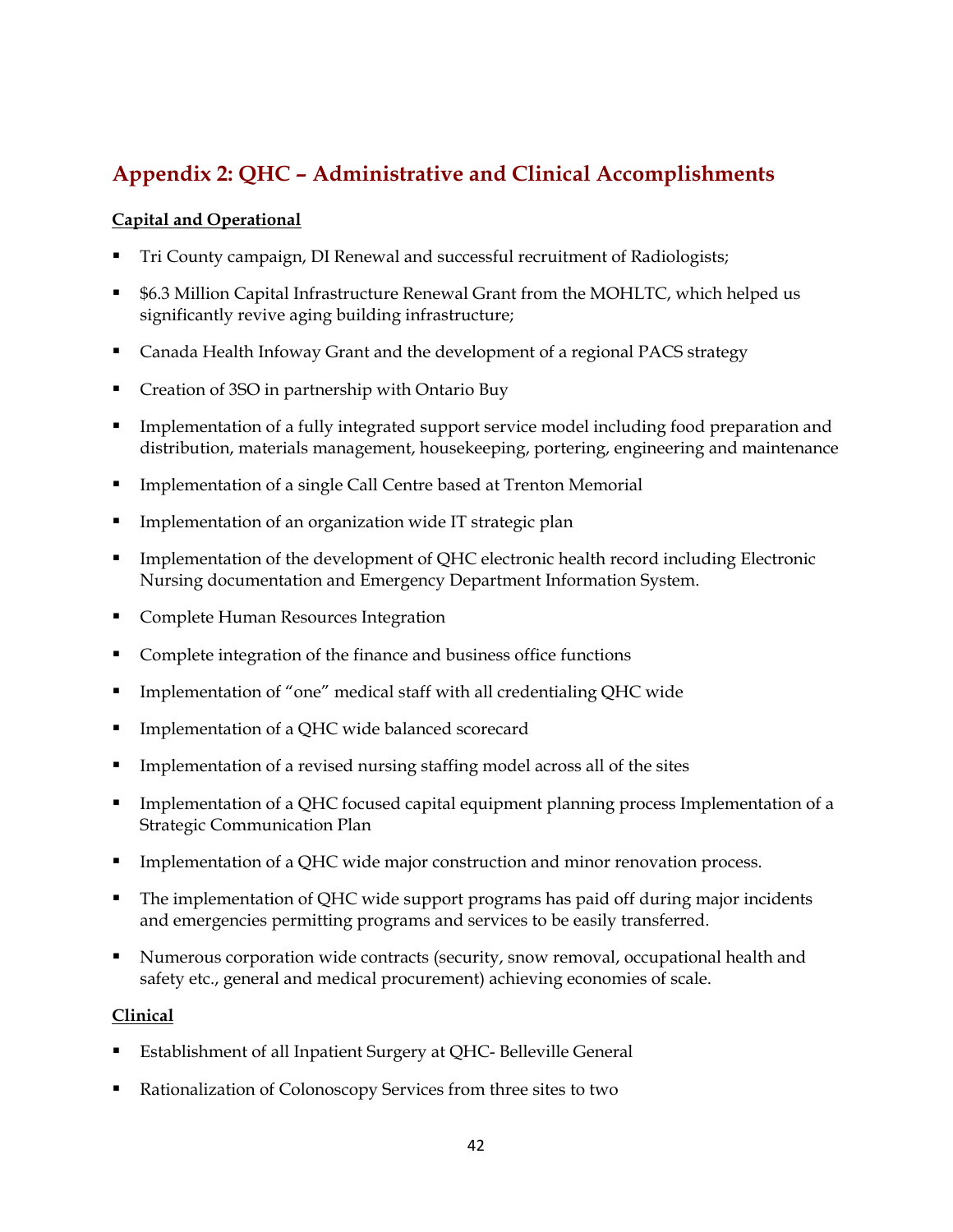## <span id="page-41-0"></span>**Appendix 2: QHC – Administrative and Clinical Accomplishments**

#### **Capital and Operational**

- Tri County campaign, DI Renewal and successful recruitment of Radiologists;
- \$6.3 Million Capital Infrastructure Renewal Grant from the MOHLTC, which helped us significantly revive aging building infrastructure;
- Canada Health Infoway Grant and the development of a regional PACS strategy
- Creation of 3SO in partnership with Ontario Buy
- Implementation of a fully integrated support service model including food preparation and distribution, materials management, housekeeping, portering, engineering and maintenance
- Implementation of a single Call Centre based at Trenton Memorial
- Implementation of an organization wide IT strategic plan
- Implementation of the development of QHC electronic health record including Electronic Nursing documentation and Emergency Department Information System.
- Complete Human Resources Integration
- Complete integration of the finance and business office functions
- **Implementation of "one" medical staff with all credentialing QHC wide**
- Implementation of a QHC wide balanced scorecard
- Implementation of a revised nursing staffing model across all of the sites
- Implementation of a QHC focused capital equipment planning process Implementation of a Strategic Communication Plan
- Implementation of a QHC wide major construction and minor renovation process.
- The implementation of QHC wide support programs has paid off during major incidents and emergencies permitting programs and services to be easily transferred.
- Numerous corporation wide contracts (security, snow removal, occupational health and safety etc., general and medical procurement) achieving economies of scale.

#### **Clinical**

- Establishment of all Inpatient Surgery at QHC- Belleville General
- Rationalization of Colonoscopy Services from three sites to two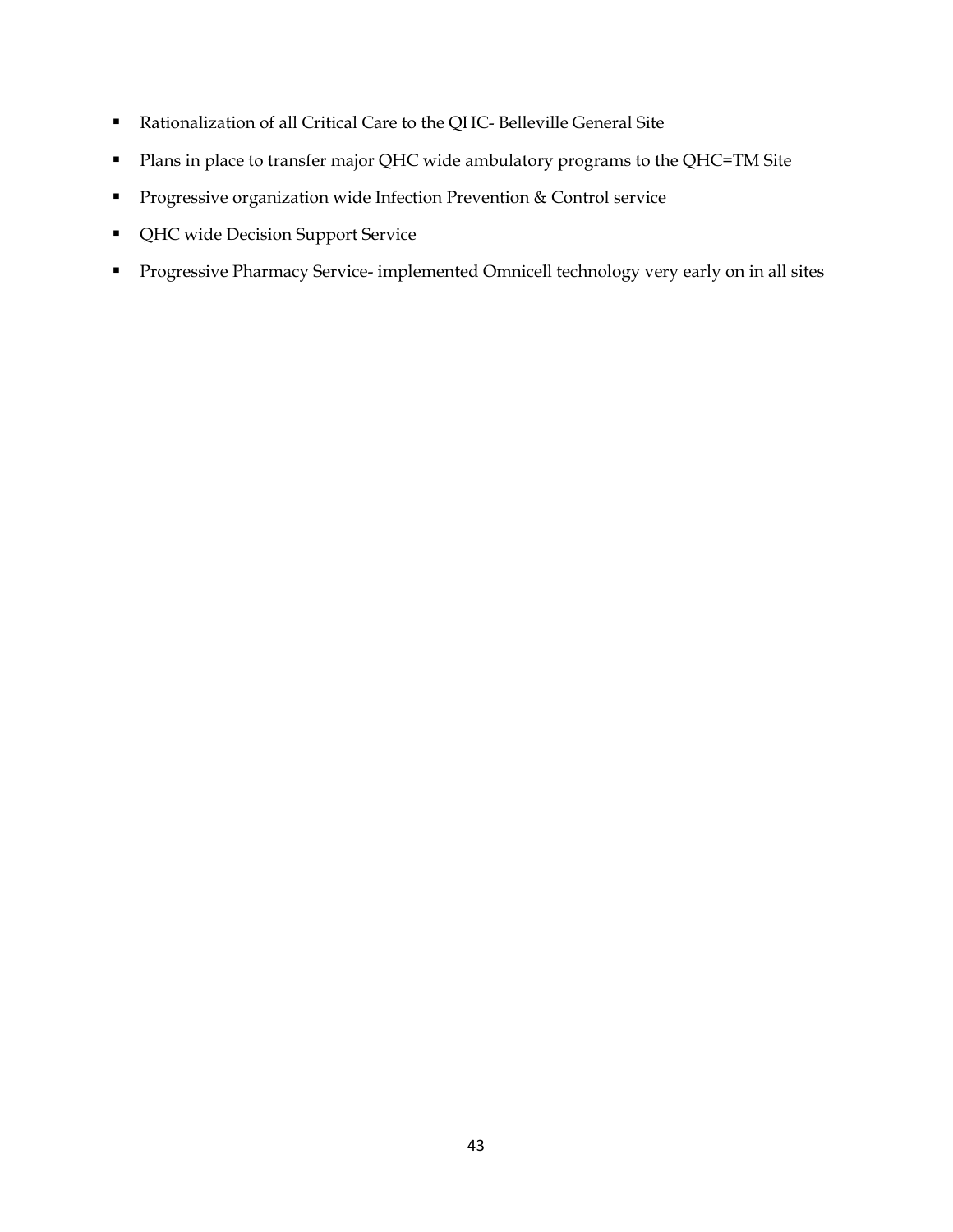- Rationalization of all Critical Care to the QHC- Belleville General Site
- **Plans in place to transfer major QHC wide ambulatory programs to the QHC=TM Site**
- **Progressive organization wide Infection Prevention & Control service**
- QHC wide Decision Support Service
- **Progressive Pharmacy Service- implemented Omnicell technology very early on in all sites**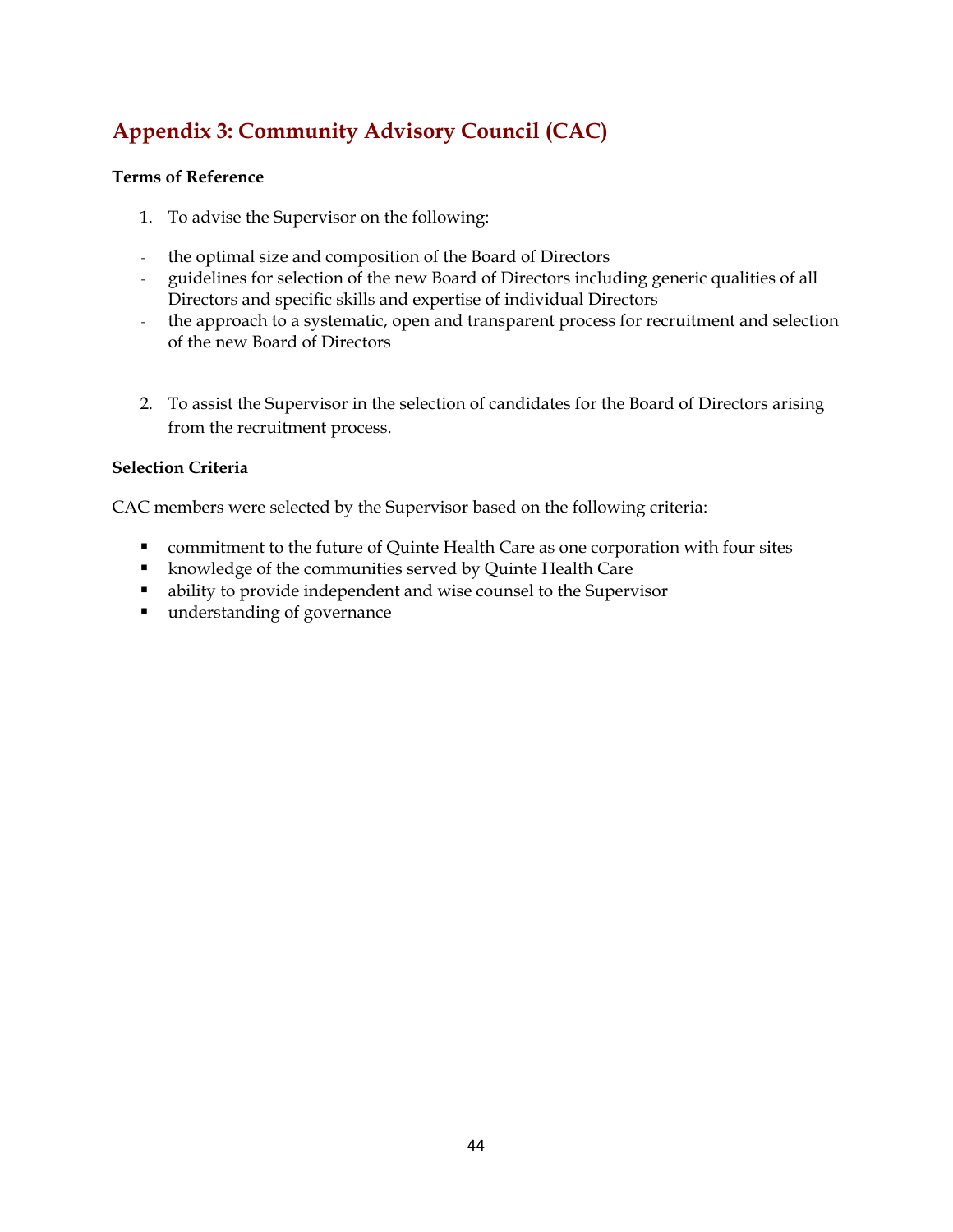## <span id="page-43-0"></span>**Appendix 3: Community Advisory Council (CAC)**

#### **Terms of Reference**

- 1. To advise the Supervisor on the following:
- *-* the optimal size and composition of the Board of Directors
- *-* guidelines for selection of the new Board of Directors including generic qualities of all Directors and specific skills and expertise of individual Directors
- *-* the approach to a systematic, open and transparent process for recruitment and selection of the new Board of Directors
- 2. To assist the Supervisor in the selection of candidates for the Board of Directors arising from the recruitment process.

#### **Selection Criteria**

CAC members were selected by the Supervisor based on the following criteria:

- commitment to the future of Quinte Health Care as one corporation with four sites
- **K** knowledge of the communities served by Quinte Health Care
- ability to provide independent and wise counsel to the Supervisor
- understanding of governance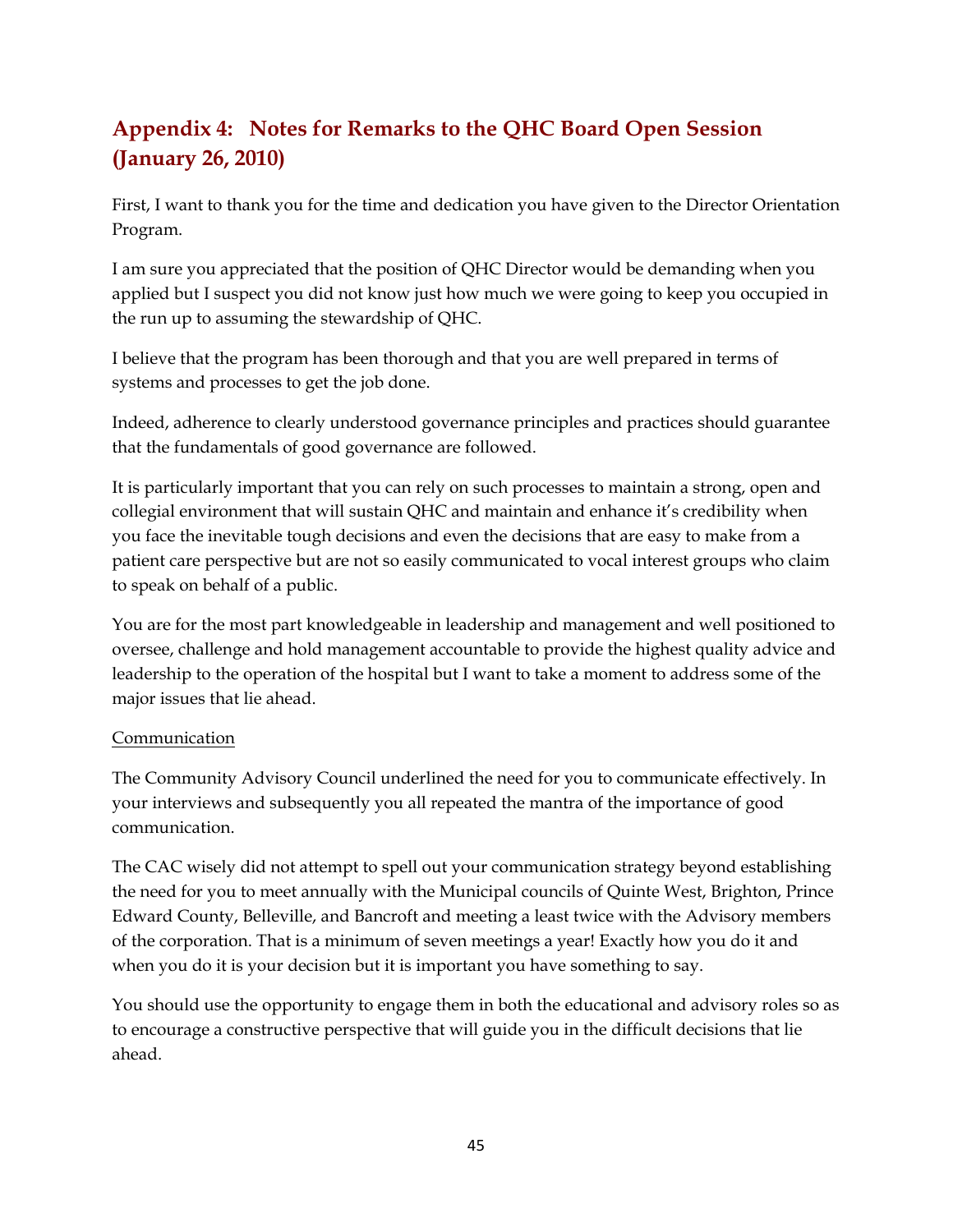## <span id="page-44-0"></span>**Appendix 4: Notes for Remarks to the QHC Board Open Session (January 26, 2010)**

First, I want to thank you for the time and dedication you have given to the Director Orientation Program.

I am sure you appreciated that the position of QHC Director would be demanding when you applied but I suspect you did not know just how much we were going to keep you occupied in the run up to assuming the stewardship of QHC.

I believe that the program has been thorough and that you are well prepared in terms of systems and processes to get the job done.

Indeed, adherence to clearly understood governance principles and practices should guarantee that the fundamentals of good governance are followed.

It is particularly important that you can rely on such processes to maintain a strong, open and collegial environment that will sustain QHC and maintain and enhance it's credibility when you face the inevitable tough decisions and even the decisions that are easy to make from a patient care perspective but are not so easily communicated to vocal interest groups who claim to speak on behalf of a public.

You are for the most part knowledgeable in leadership and management and well positioned to oversee, challenge and hold management accountable to provide the highest quality advice and leadership to the operation of the hospital but I want to take a moment to address some of the major issues that lie ahead.

#### Communication

The Community Advisory Council underlined the need for you to communicate effectively. In your interviews and subsequently you all repeated the mantra of the importance of good communication.

The CAC wisely did not attempt to spell out your communication strategy beyond establishing the need for you to meet annually with the Municipal councils of Quinte West, Brighton, Prince Edward County, Belleville, and Bancroft and meeting a least twice with the Advisory members of the corporation. That is a minimum of seven meetings a year! Exactly how you do it and when you do it is your decision but it is important you have something to say.

You should use the opportunity to engage them in both the educational and advisory roles so as to encourage a constructive perspective that will guide you in the difficult decisions that lie ahead.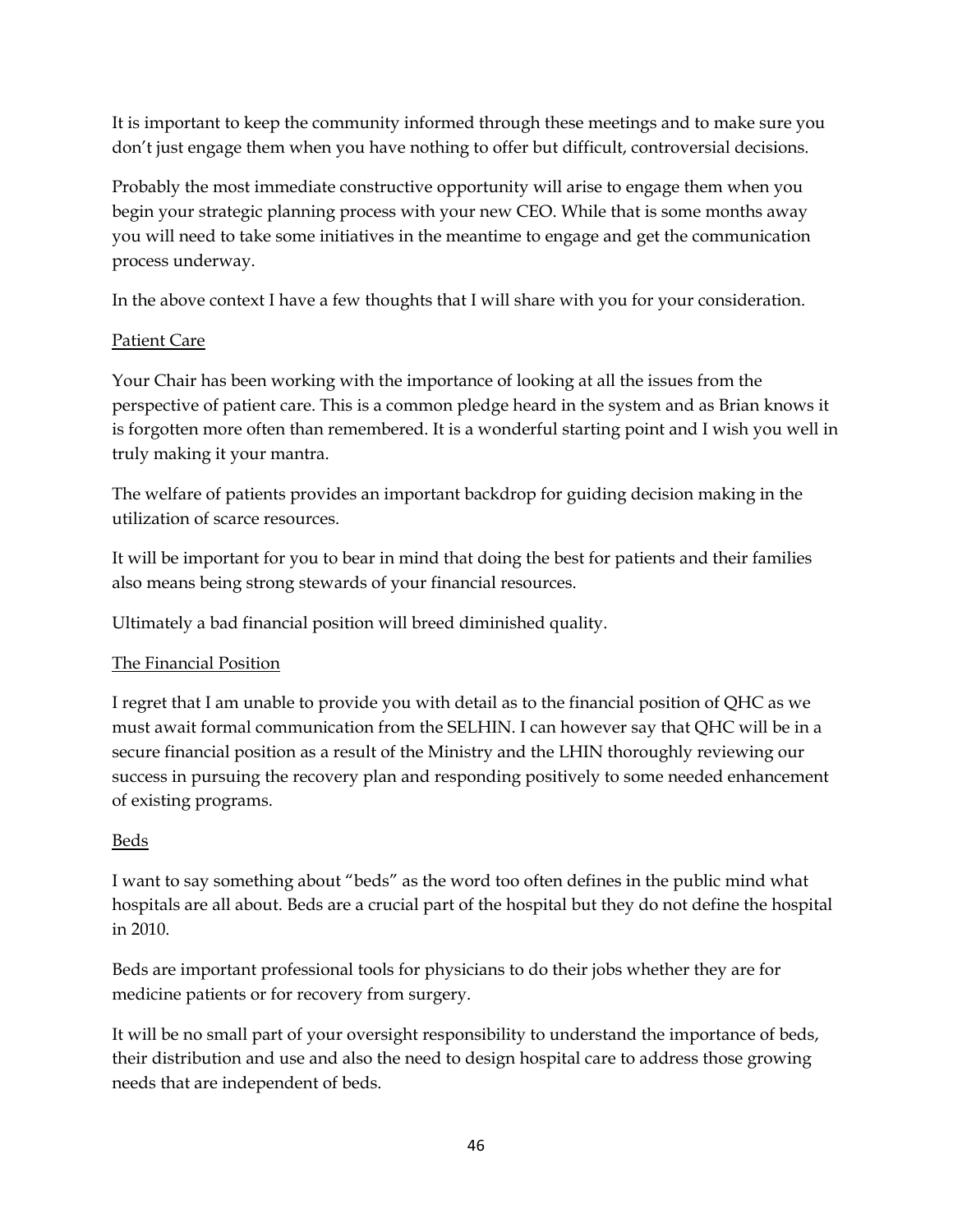It is important to keep the community informed through these meetings and to make sure you don't just engage them when you have nothing to offer but difficult, controversial decisions.

Probably the most immediate constructive opportunity will arise to engage them when you begin your strategic planning process with your new CEO. While that is some months away you will need to take some initiatives in the meantime to engage and get the communication process underway.

In the above context I have a few thoughts that I will share with you for your consideration.

#### Patient Care

Your Chair has been working with the importance of looking at all the issues from the perspective of patient care. This is a common pledge heard in the system and as Brian knows it is forgotten more often than remembered. It is a wonderful starting point and I wish you well in truly making it your mantra.

The welfare of patients provides an important backdrop for guiding decision making in the utilization of scarce resources.

It will be important for you to bear in mind that doing the best for patients and their families also means being strong stewards of your financial resources.

Ultimately a bad financial position will breed diminished quality.

#### The Financial Position

I regret that I am unable to provide you with detail as to the financial position of QHC as we must await formal communication from the SELHIN. I can however say that QHC will be in a secure financial position as a result of the Ministry and the LHIN thoroughly reviewing our success in pursuing the recovery plan and responding positively to some needed enhancement of existing programs.

#### Beds

I want to say something about "beds" as the word too often defines in the public mind what hospitals are all about. Beds are a crucial part of the hospital but they do not define the hospital in 2010.

Beds are important professional tools for physicians to do their jobs whether they are for medicine patients or for recovery from surgery.

It will be no small part of your oversight responsibility to understand the importance of beds, their distribution and use and also the need to design hospital care to address those growing needs that are independent of beds.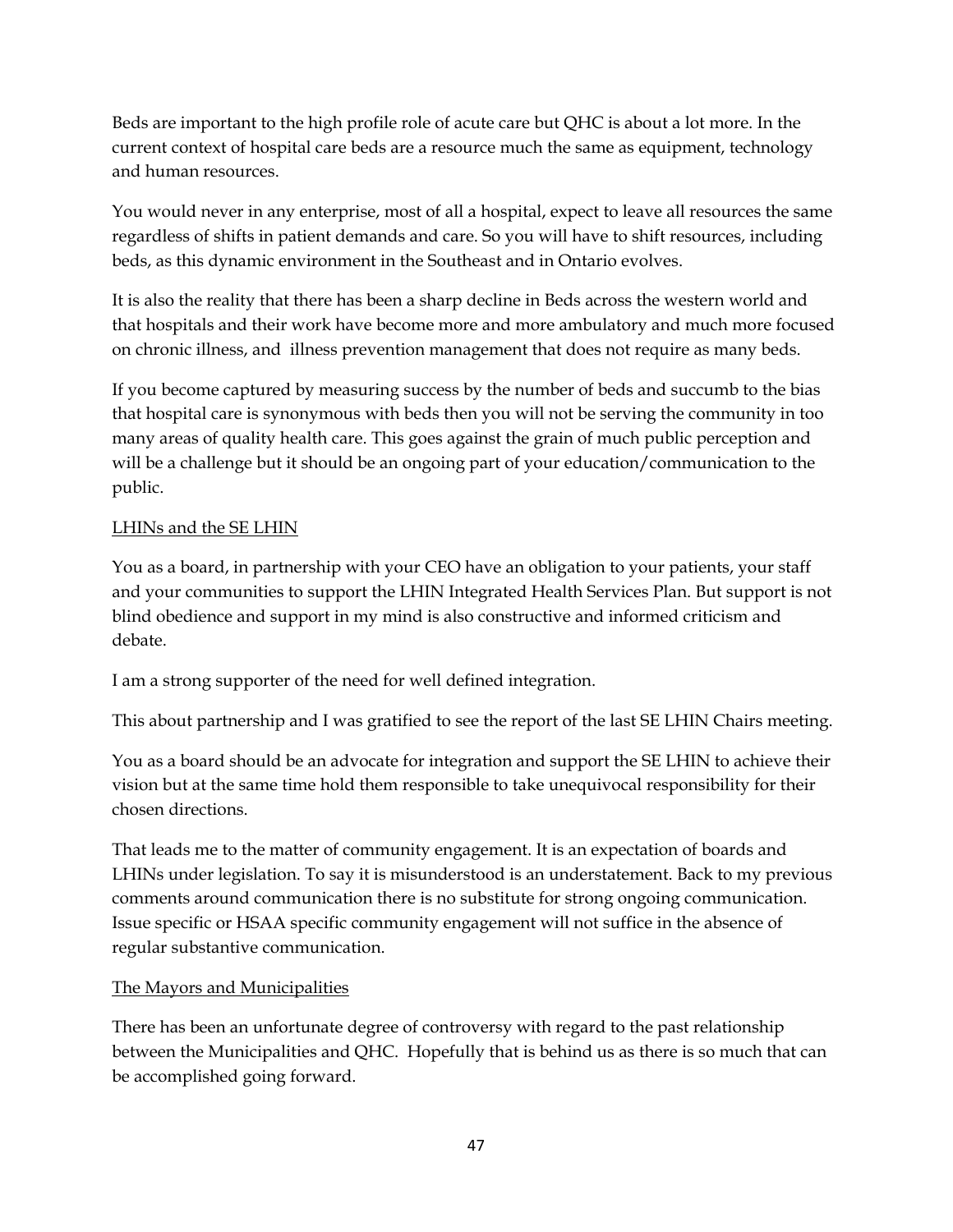Beds are important to the high profile role of acute care but QHC is about a lot more. In the current context of hospital care beds are a resource much the same as equipment, technology and human resources.

You would never in any enterprise, most of all a hospital, expect to leave all resources the same regardless of shifts in patient demands and care. So you will have to shift resources, including beds, as this dynamic environment in the Southeast and in Ontario evolves.

It is also the reality that there has been a sharp decline in Beds across the western world and that hospitals and their work have become more and more ambulatory and much more focused on chronic illness, and illness prevention management that does not require as many beds.

If you become captured by measuring success by the number of beds and succumb to the bias that hospital care is synonymous with beds then you will not be serving the community in too many areas of quality health care. This goes against the grain of much public perception and will be a challenge but it should be an ongoing part of your education/communication to the public.

#### LHINs and the SE LHIN

You as a board, in partnership with your CEO have an obligation to your patients, your staff and your communities to support the LHIN Integrated Health Services Plan. But support is not blind obedience and support in my mind is also constructive and informed criticism and debate.

I am a strong supporter of the need for well defined integration.

This about partnership and I was gratified to see the report of the last SE LHIN Chairs meeting.

You as a board should be an advocate for integration and support the SE LHIN to achieve their vision but at the same time hold them responsible to take unequivocal responsibility for their chosen directions.

That leads me to the matter of community engagement. It is an expectation of boards and LHINs under legislation. To say it is misunderstood is an understatement. Back to my previous comments around communication there is no substitute for strong ongoing communication. Issue specific or HSAA specific community engagement will not suffice in the absence of regular substantive communication.

#### The Mayors and Municipalities

There has been an unfortunate degree of controversy with regard to the past relationship between the Municipalities and QHC. Hopefully that is behind us as there is so much that can be accomplished going forward.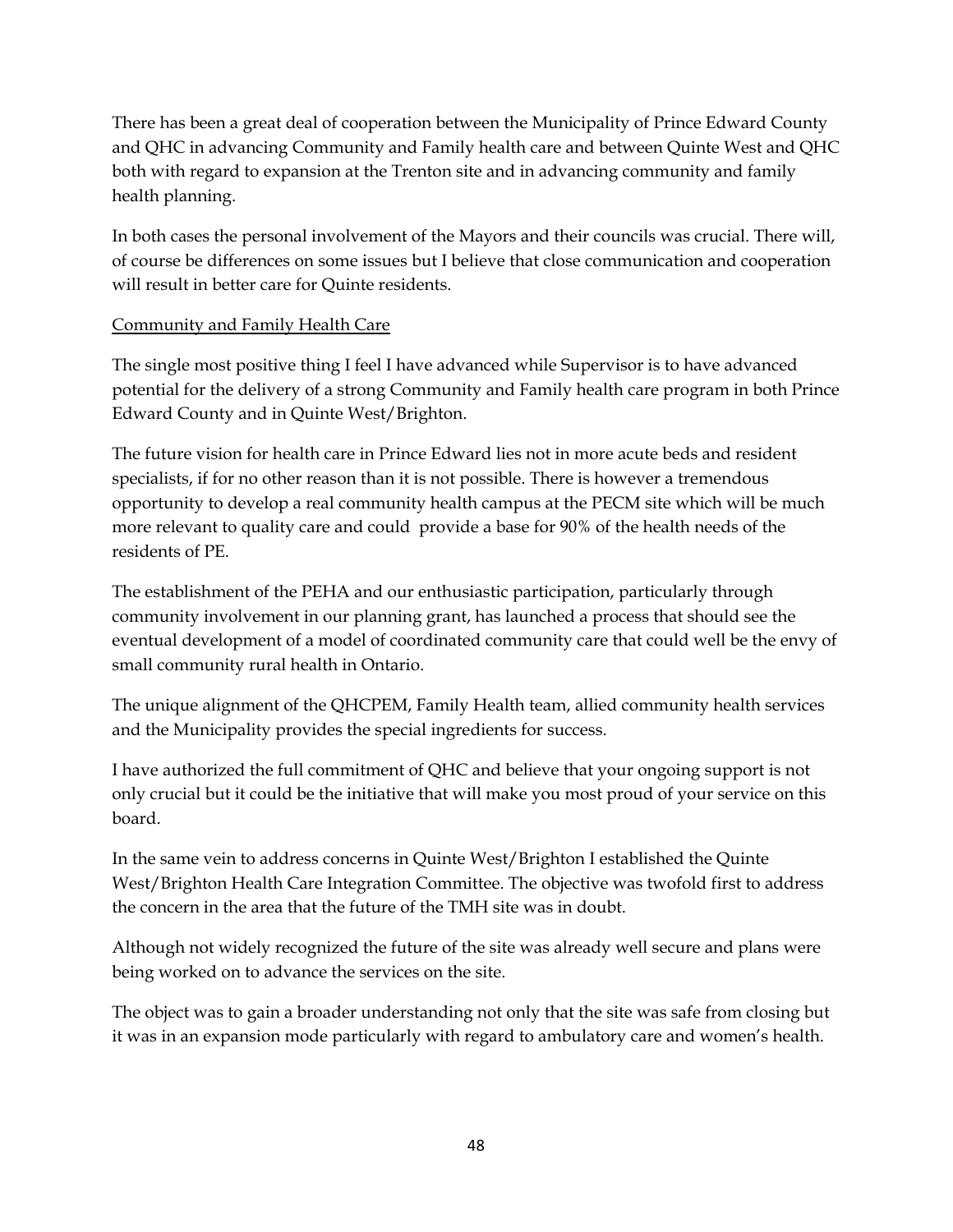There has been a great deal of cooperation between the Municipality of Prince Edward County and QHC in advancing Community and Family health care and between Quinte West and QHC both with regard to expansion at the Trenton site and in advancing community and family health planning.

In both cases the personal involvement of the Mayors and their councils was crucial. There will, of course be differences on some issues but I believe that close communication and cooperation will result in better care for Quinte residents.

#### Community and Family Health Care

The single most positive thing I feel I have advanced while Supervisor is to have advanced potential for the delivery of a strong Community and Family health care program in both Prince Edward County and in Quinte West/Brighton.

The future vision for health care in Prince Edward lies not in more acute beds and resident specialists, if for no other reason than it is not possible. There is however a tremendous opportunity to develop a real community health campus at the PECM site which will be much more relevant to quality care and could provide a base for 90% of the health needs of the residents of PE.

The establishment of the PEHA and our enthusiastic participation, particularly through community involvement in our planning grant, has launched a process that should see the eventual development of a model of coordinated community care that could well be the envy of small community rural health in Ontario.

The unique alignment of the QHCPEM, Family Health team, allied community health services and the Municipality provides the special ingredients for success.

I have authorized the full commitment of QHC and believe that your ongoing support is not only crucial but it could be the initiative that will make you most proud of your service on this board.

In the same vein to address concerns in Quinte West/Brighton I established the Quinte West/Brighton Health Care Integration Committee. The objective was twofold first to address the concern in the area that the future of the TMH site was in doubt.

Although not widely recognized the future of the site was already well secure and plans were being worked on to advance the services on the site.

The object was to gain a broader understanding not only that the site was safe from closing but it was in an expansion mode particularly with regard to ambulatory care and women's health.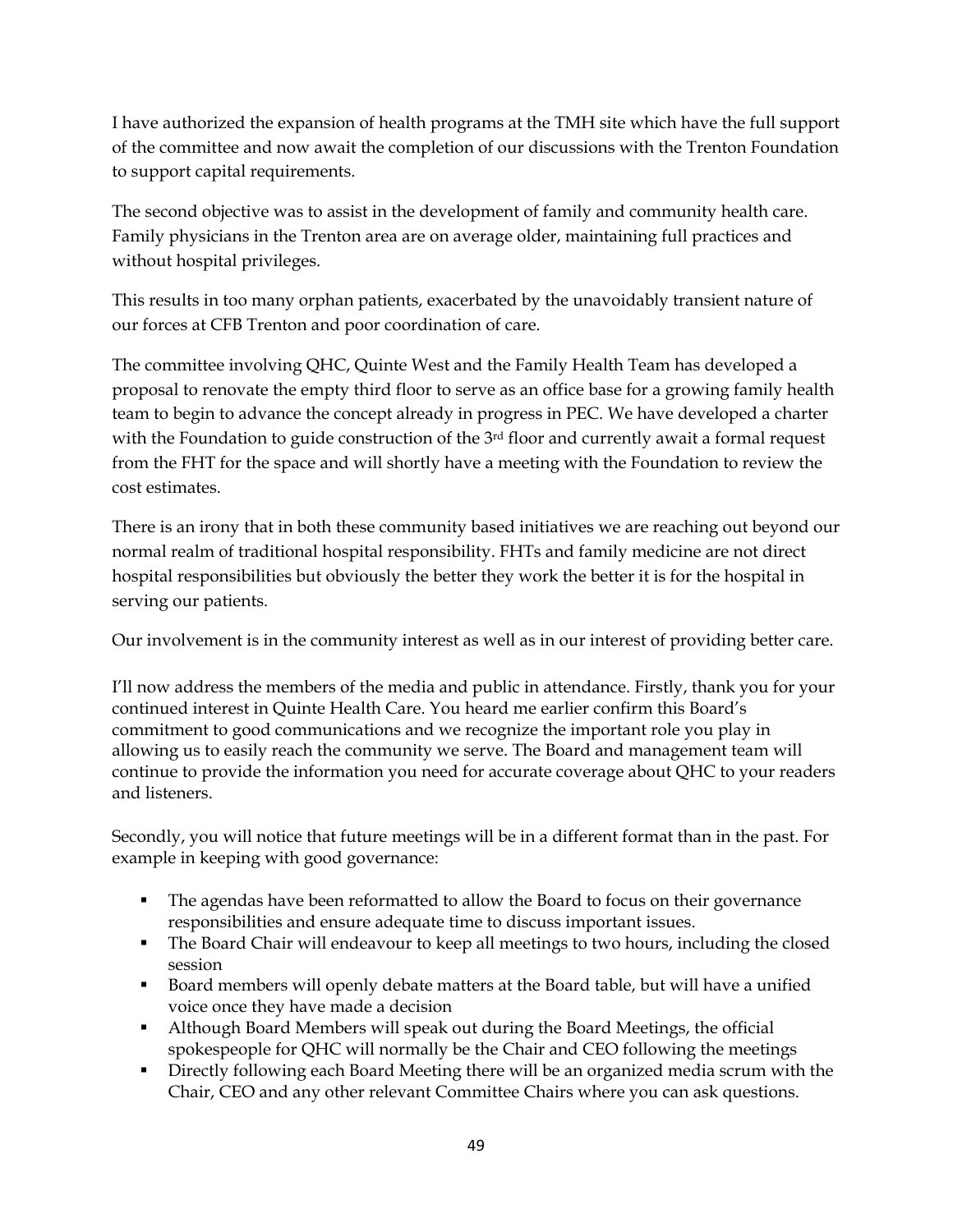I have authorized the expansion of health programs at the TMH site which have the full support of the committee and now await the completion of our discussions with the Trenton Foundation to support capital requirements.

The second objective was to assist in the development of family and community health care. Family physicians in the Trenton area are on average older, maintaining full practices and without hospital privileges.

This results in too many orphan patients, exacerbated by the unavoidably transient nature of our forces at CFB Trenton and poor coordination of care.

The committee involving QHC, Quinte West and the Family Health Team has developed a proposal to renovate the empty third floor to serve as an office base for a growing family health team to begin to advance the concept already in progress in PEC. We have developed a charter with the Foundation to guide construction of the 3<sup>rd</sup> floor and currently await a formal request from the FHT for the space and will shortly have a meeting with the Foundation to review the cost estimates.

There is an irony that in both these community based initiatives we are reaching out beyond our normal realm of traditional hospital responsibility. FHTs and family medicine are not direct hospital responsibilities but obviously the better they work the better it is for the hospital in serving our patients.

Our involvement is in the community interest as well as in our interest of providing better care.

I'll now address the members of the media and public in attendance. Firstly, thank you for your continued interest in Quinte Health Care. You heard me earlier confirm this Board's commitment to good communications and we recognize the important role you play in allowing us to easily reach the community we serve. The Board and management team will continue to provide the information you need for accurate coverage about QHC to your readers and listeners.

Secondly, you will notice that future meetings will be in a different format than in the past. For example in keeping with good governance:

- The agendas have been reformatted to allow the Board to focus on their governance responsibilities and ensure adequate time to discuss important issues.
- The Board Chair will endeavour to keep all meetings to two hours, including the closed session
- Board members will openly debate matters at the Board table, but will have a unified voice once they have made a decision
- Although Board Members will speak out during the Board Meetings, the official spokespeople for QHC will normally be the Chair and CEO following the meetings
- **Directly following each Board Meeting there will be an organized media scrum with the** Chair, CEO and any other relevant Committee Chairs where you can ask questions.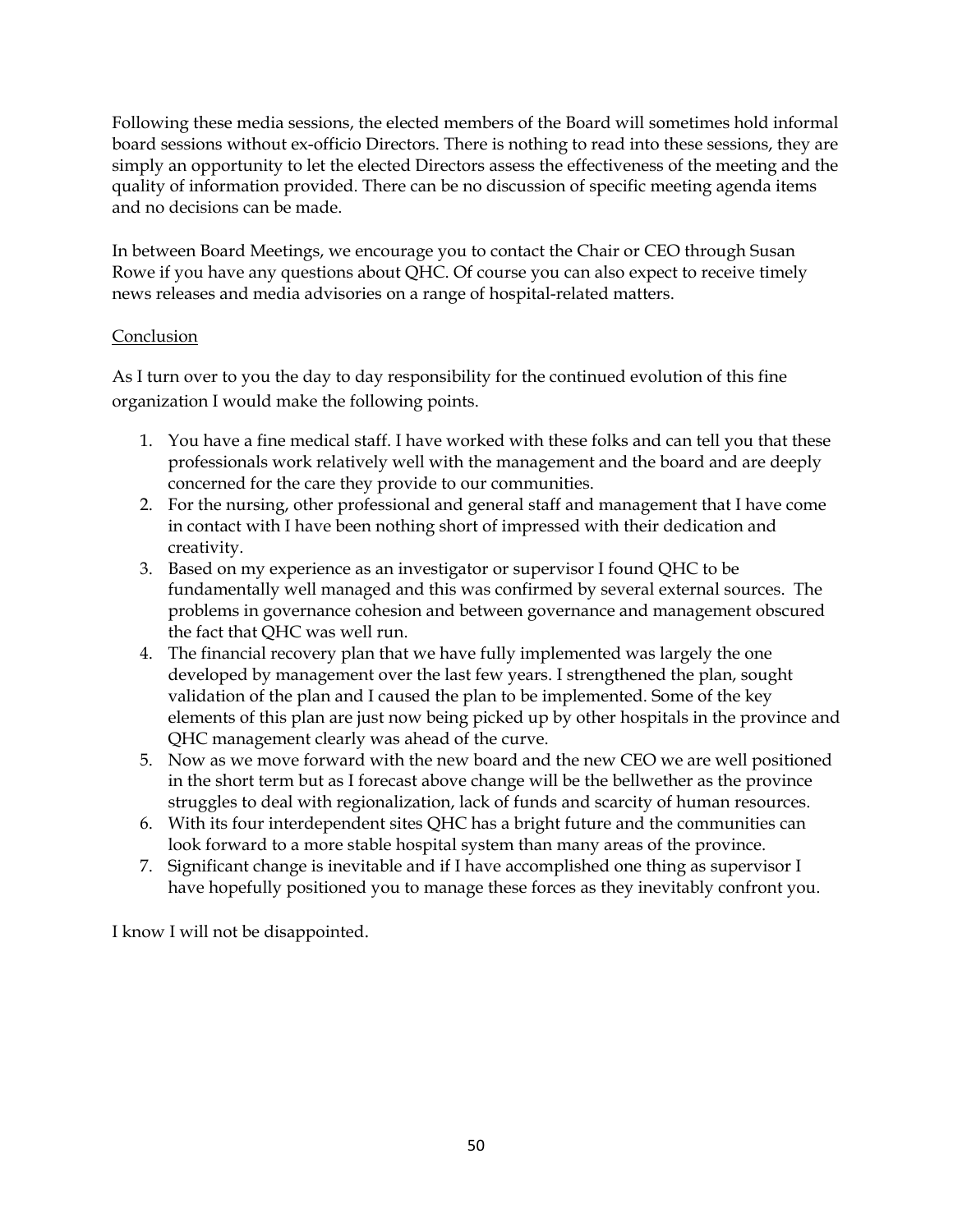Following these media sessions, the elected members of the Board will sometimes hold informal board sessions without ex-officio Directors. There is nothing to read into these sessions, they are simply an opportunity to let the elected Directors assess the effectiveness of the meeting and the quality of information provided. There can be no discussion of specific meeting agenda items and no decisions can be made.

In between Board Meetings, we encourage you to contact the Chair or CEO through Susan Rowe if you have any questions about QHC. Of course you can also expect to receive timely news releases and media advisories on a range of hospital-related matters.

#### Conclusion

As I turn over to you the day to day responsibility for the continued evolution of this fine organization I would make the following points.

- 1. You have a fine medical staff. I have worked with these folks and can tell you that these professionals work relatively well with the management and the board and are deeply concerned for the care they provide to our communities.
- 2. For the nursing, other professional and general staff and management that I have come in contact with I have been nothing short of impressed with their dedication and creativity.
- 3. Based on my experience as an investigator or supervisor I found QHC to be fundamentally well managed and this was confirmed by several external sources. The problems in governance cohesion and between governance and management obscured the fact that QHC was well run.
- 4. The financial recovery plan that we have fully implemented was largely the one developed by management over the last few years. I strengthened the plan, sought validation of the plan and I caused the plan to be implemented. Some of the key elements of this plan are just now being picked up by other hospitals in the province and QHC management clearly was ahead of the curve.
- 5. Now as we move forward with the new board and the new CEO we are well positioned in the short term but as I forecast above change will be the bellwether as the province struggles to deal with regionalization, lack of funds and scarcity of human resources.
- 6. With its four interdependent sites QHC has a bright future and the communities can look forward to a more stable hospital system than many areas of the province.
- 7. Significant change is inevitable and if I have accomplished one thing as supervisor I have hopefully positioned you to manage these forces as they inevitably confront you.

I know I will not be disappointed.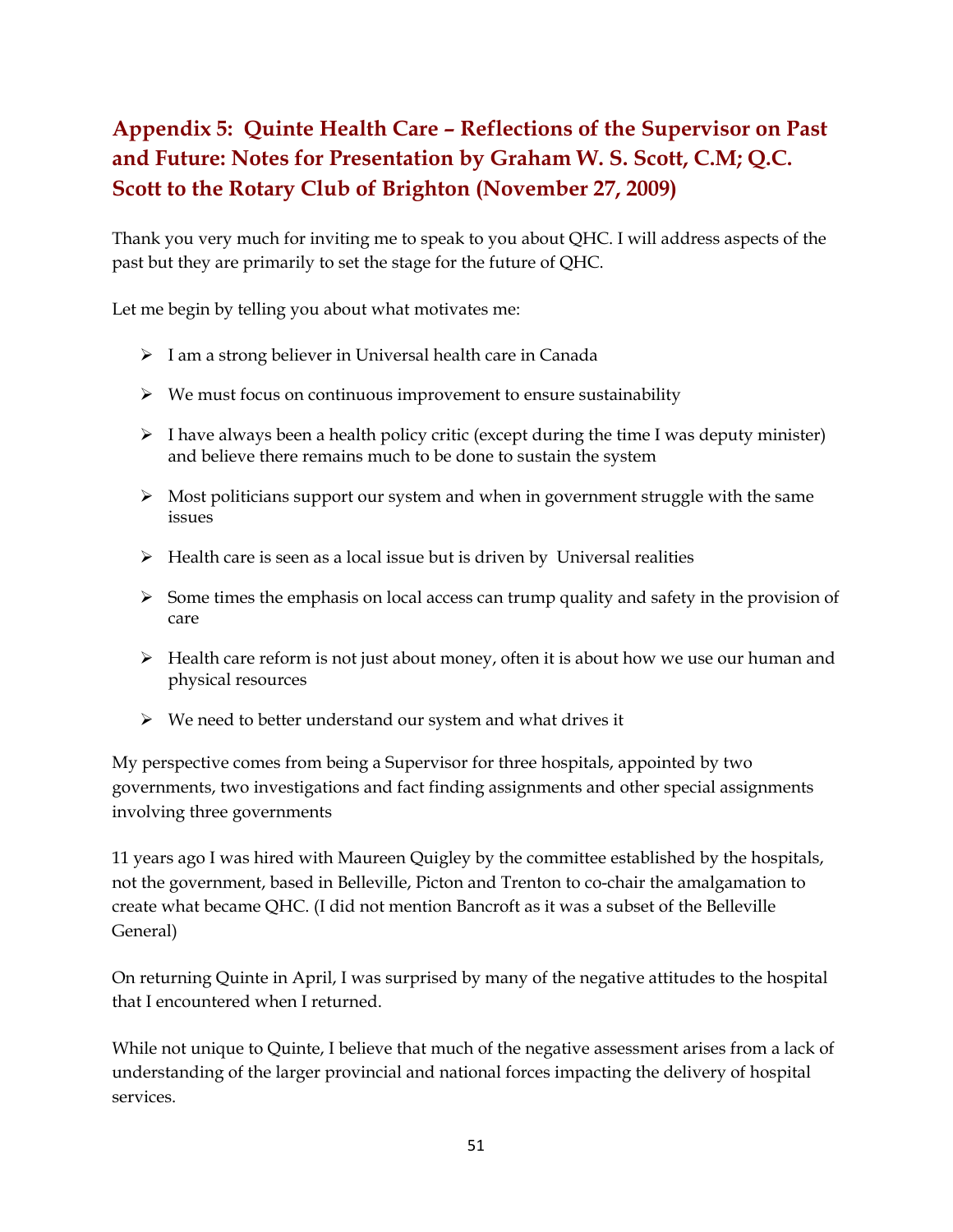## <span id="page-50-0"></span>**Appendix 5: Quinte Health Care – Reflections of the Supervisor on Past and Future: Notes for Presentation by Graham W. S. Scott, C.M; Q.C. Scott to the Rotary Club of Brighton (November 27, 2009)**

Thank you very much for inviting me to speak to you about QHC. I will address aspects of the past but they are primarily to set the stage for the future of QHC.

Let me begin by telling you about what motivates me:

- $\triangleright$  I am a strong believer in Universal health care in Canada
- $\triangleright$  We must focus on continuous improvement to ensure sustainability
- $\triangleright$  I have always been a health policy critic (except during the time I was deputy minister) and believe there remains much to be done to sustain the system
- $\triangleright$  Most politicians support our system and when in government struggle with the same issues
- $\triangleright$  Health care is seen as a local issue but is driven by Universal realities
- $\triangleright$  Some times the emphasis on local access can trump quality and safety in the provision of care
- $\triangleright$  Health care reform is not just about money, often it is about how we use our human and physical resources
- $\triangleright$  We need to better understand our system and what drives it

My perspective comes from being a Supervisor for three hospitals, appointed by two governments, two investigations and fact finding assignments and other special assignments involving three governments

11 years ago I was hired with Maureen Quigley by the committee established by the hospitals, not the government, based in Belleville, Picton and Trenton to co-chair the amalgamation to create what became QHC. (I did not mention Bancroft as it was a subset of the Belleville General)

On returning Quinte in April, I was surprised by many of the negative attitudes to the hospital that I encountered when I returned.

While not unique to Quinte, I believe that much of the negative assessment arises from a lack of understanding of the larger provincial and national forces impacting the delivery of hospital services.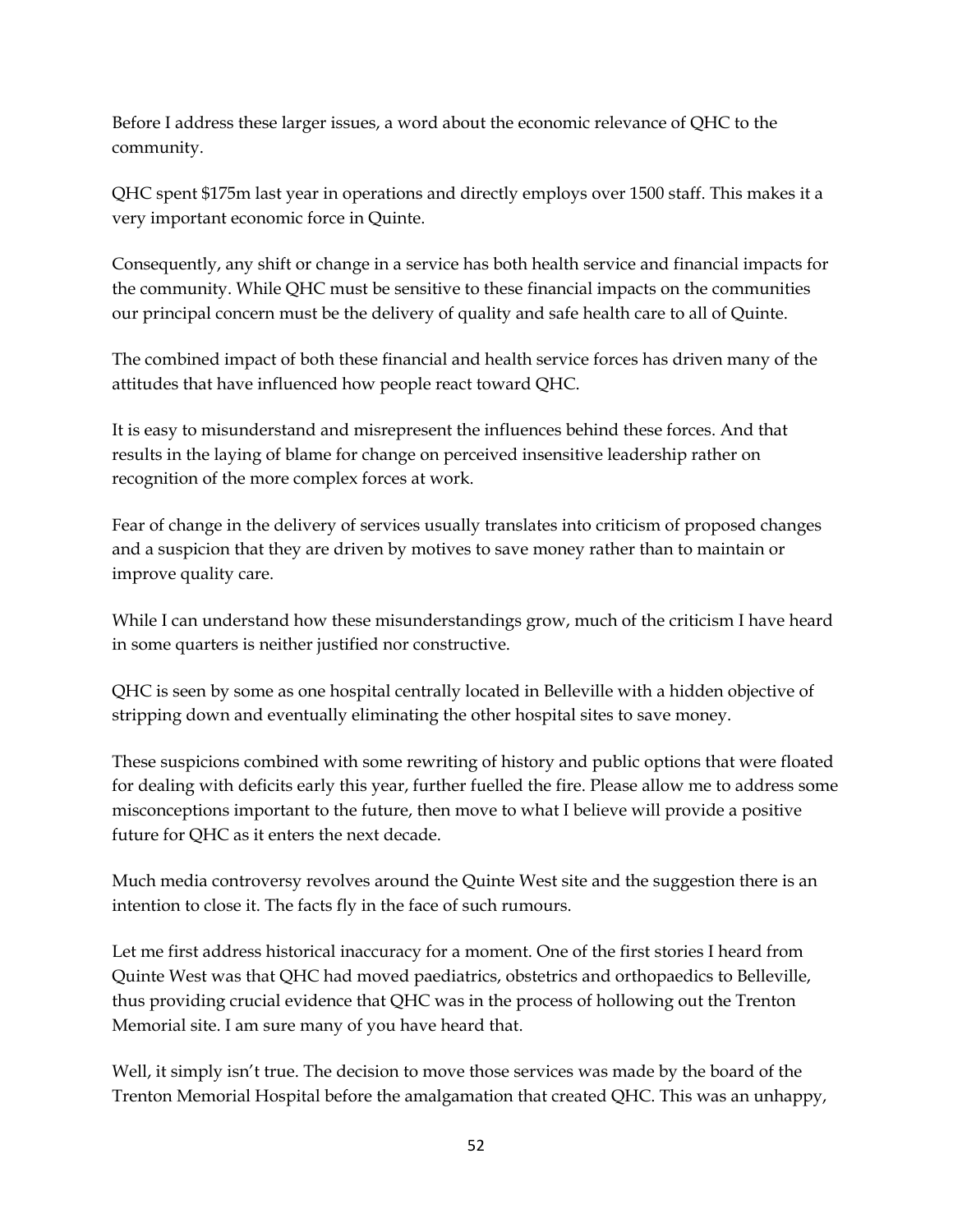Before I address these larger issues, a word about the economic relevance of QHC to the community.

QHC spent \$175m last year in operations and directly employs over 1500 staff. This makes it a very important economic force in Quinte.

Consequently, any shift or change in a service has both health service and financial impacts for the community. While QHC must be sensitive to these financial impacts on the communities our principal concern must be the delivery of quality and safe health care to all of Quinte.

The combined impact of both these financial and health service forces has driven many of the attitudes that have influenced how people react toward QHC.

It is easy to misunderstand and misrepresent the influences behind these forces. And that results in the laying of blame for change on perceived insensitive leadership rather on recognition of the more complex forces at work.

Fear of change in the delivery of services usually translates into criticism of proposed changes and a suspicion that they are driven by motives to save money rather than to maintain or improve quality care.

While I can understand how these misunderstandings grow, much of the criticism I have heard in some quarters is neither justified nor constructive.

QHC is seen by some as one hospital centrally located in Belleville with a hidden objective of stripping down and eventually eliminating the other hospital sites to save money.

These suspicions combined with some rewriting of history and public options that were floated for dealing with deficits early this year, further fuelled the fire. Please allow me to address some misconceptions important to the future, then move to what I believe will provide a positive future for QHC as it enters the next decade.

Much media controversy revolves around the Quinte West site and the suggestion there is an intention to close it. The facts fly in the face of such rumours.

Let me first address historical inaccuracy for a moment. One of the first stories I heard from Quinte West was that QHC had moved paediatrics, obstetrics and orthopaedics to Belleville, thus providing crucial evidence that QHC was in the process of hollowing out the Trenton Memorial site. I am sure many of you have heard that.

Well, it simply isn't true. The decision to move those services was made by the board of the Trenton Memorial Hospital before the amalgamation that created QHC. This was an unhappy,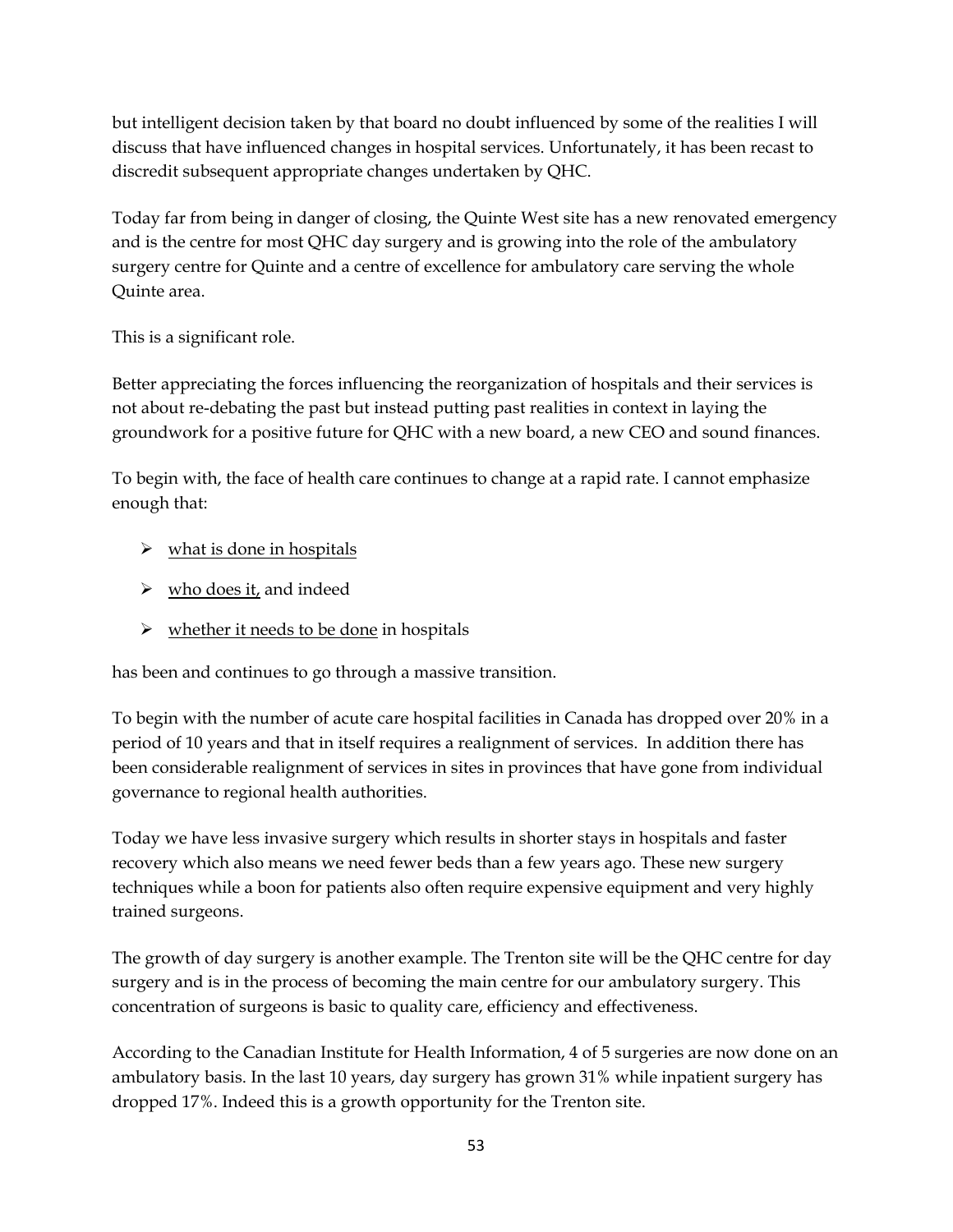but intelligent decision taken by that board no doubt influenced by some of the realities I will discuss that have influenced changes in hospital services. Unfortunately, it has been recast to discredit subsequent appropriate changes undertaken by QHC.

Today far from being in danger of closing, the Quinte West site has a new renovated emergency and is the centre for most QHC day surgery and is growing into the role of the ambulatory surgery centre for Quinte and a centre of excellence for ambulatory care serving the whole Quinte area.

This is a significant role.

Better appreciating the forces influencing the reorganization of hospitals and their services is not about re-debating the past but instead putting past realities in context in laying the groundwork for a positive future for QHC with a new board, a new CEO and sound finances.

To begin with, the face of health care continues to change at a rapid rate. I cannot emphasize enough that:

- $\triangleright$  what is done in hospitals
- $\triangleright$  who does it, and indeed
- $\triangleright$  whether it needs to be done in hospitals

has been and continues to go through a massive transition.

To begin with the number of acute care hospital facilities in Canada has dropped over 20% in a period of 10 years and that in itself requires a realignment of services. In addition there has been considerable realignment of services in sites in provinces that have gone from individual governance to regional health authorities.

Today we have less invasive surgery which results in shorter stays in hospitals and faster recovery which also means we need fewer beds than a few years ago. These new surgery techniques while a boon for patients also often require expensive equipment and very highly trained surgeons.

The growth of day surgery is another example. The Trenton site will be the QHC centre for day surgery and is in the process of becoming the main centre for our ambulatory surgery. This concentration of surgeons is basic to quality care, efficiency and effectiveness.

According to the Canadian Institute for Health Information, 4 of 5 surgeries are now done on an ambulatory basis. In the last 10 years, day surgery has grown 31% while inpatient surgery has dropped 17%. Indeed this is a growth opportunity for the Trenton site.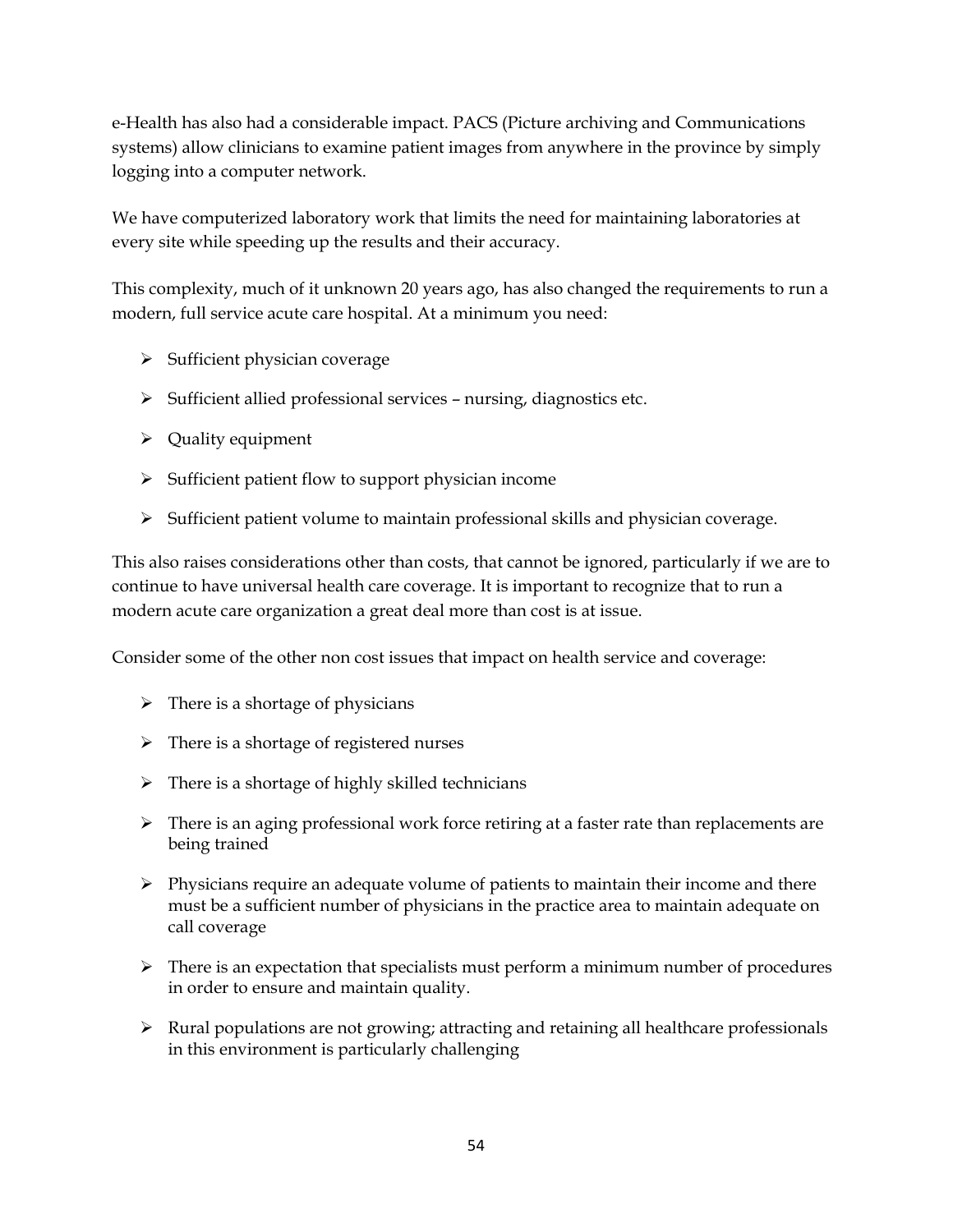e-Health has also had a considerable impact. PACS (Picture archiving and Communications systems) allow clinicians to examine patient images from anywhere in the province by simply logging into a computer network.

We have computerized laboratory work that limits the need for maintaining laboratories at every site while speeding up the results and their accuracy.

This complexity, much of it unknown 20 years ago, has also changed the requirements to run a modern, full service acute care hospital. At a minimum you need:

- $\triangleright$  Sufficient physician coverage
- $\triangleright$  Sufficient allied professional services nursing, diagnostics etc.
- $\triangleright$  Quality equipment
- $\triangleright$  Sufficient patient flow to support physician income
- $\triangleright$  Sufficient patient volume to maintain professional skills and physician coverage.

This also raises considerations other than costs, that cannot be ignored, particularly if we are to continue to have universal health care coverage. It is important to recognize that to run a modern acute care organization a great deal more than cost is at issue.

Consider some of the other non cost issues that impact on health service and coverage:

- $\triangleright$  There is a shortage of physicians
- $\triangleright$  There is a shortage of registered nurses
- $\triangleright$  There is a shortage of highly skilled technicians
- There is an aging professional work force retiring at a faster rate than replacements are being trained
- $\triangleright$  Physicians require an adequate volume of patients to maintain their income and there must be a sufficient number of physicians in the practice area to maintain adequate on call coverage
- $\triangleright$  There is an expectation that specialists must perform a minimum number of procedures in order to ensure and maintain quality.
- $\triangleright$  Rural populations are not growing; attracting and retaining all healthcare professionals in this environment is particularly challenging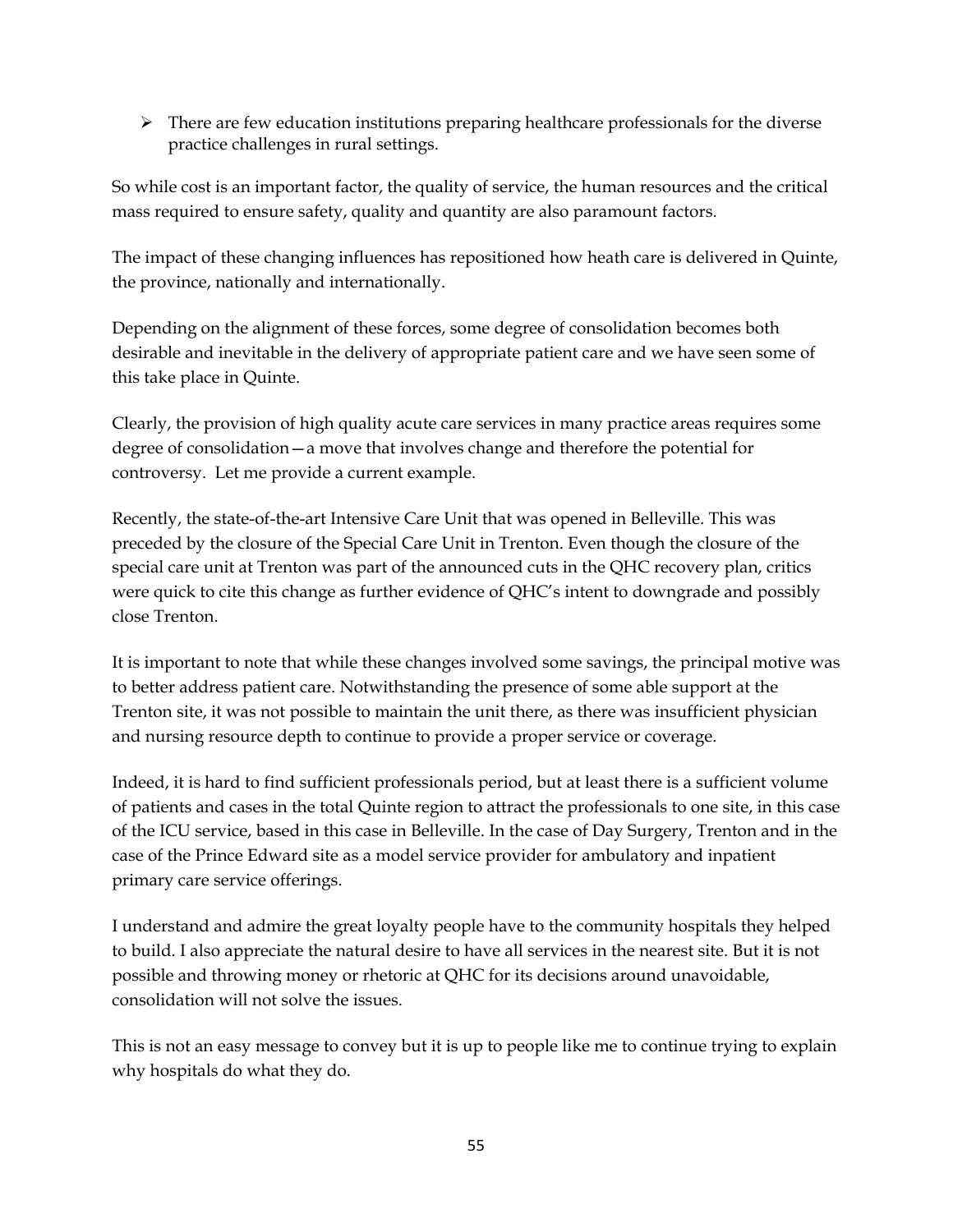$\triangleright$  There are few education institutions preparing healthcare professionals for the diverse practice challenges in rural settings.

So while cost is an important factor, the quality of service, the human resources and the critical mass required to ensure safety, quality and quantity are also paramount factors.

The impact of these changing influences has repositioned how heath care is delivered in Quinte, the province, nationally and internationally.

Depending on the alignment of these forces, some degree of consolidation becomes both desirable and inevitable in the delivery of appropriate patient care and we have seen some of this take place in Quinte.

Clearly, the provision of high quality acute care services in many practice areas requires some degree of consolidation—a move that involves change and therefore the potential for controversy. Let me provide a current example.

Recently, the state-of-the-art Intensive Care Unit that was opened in Belleville. This was preceded by the closure of the Special Care Unit in Trenton. Even though the closure of the special care unit at Trenton was part of the announced cuts in the QHC recovery plan, critics were quick to cite this change as further evidence of QHC's intent to downgrade and possibly close Trenton.

It is important to note that while these changes involved some savings, the principal motive was to better address patient care. Notwithstanding the presence of some able support at the Trenton site, it was not possible to maintain the unit there, as there was insufficient physician and nursing resource depth to continue to provide a proper service or coverage.

Indeed, it is hard to find sufficient professionals period, but at least there is a sufficient volume of patients and cases in the total Quinte region to attract the professionals to one site, in this case of the ICU service, based in this case in Belleville. In the case of Day Surgery, Trenton and in the case of the Prince Edward site as a model service provider for ambulatory and inpatient primary care service offerings.

I understand and admire the great loyalty people have to the community hospitals they helped to build. I also appreciate the natural desire to have all services in the nearest site. But it is not possible and throwing money or rhetoric at QHC for its decisions around unavoidable, consolidation will not solve the issues.

This is not an easy message to convey but it is up to people like me to continue trying to explain why hospitals do what they do.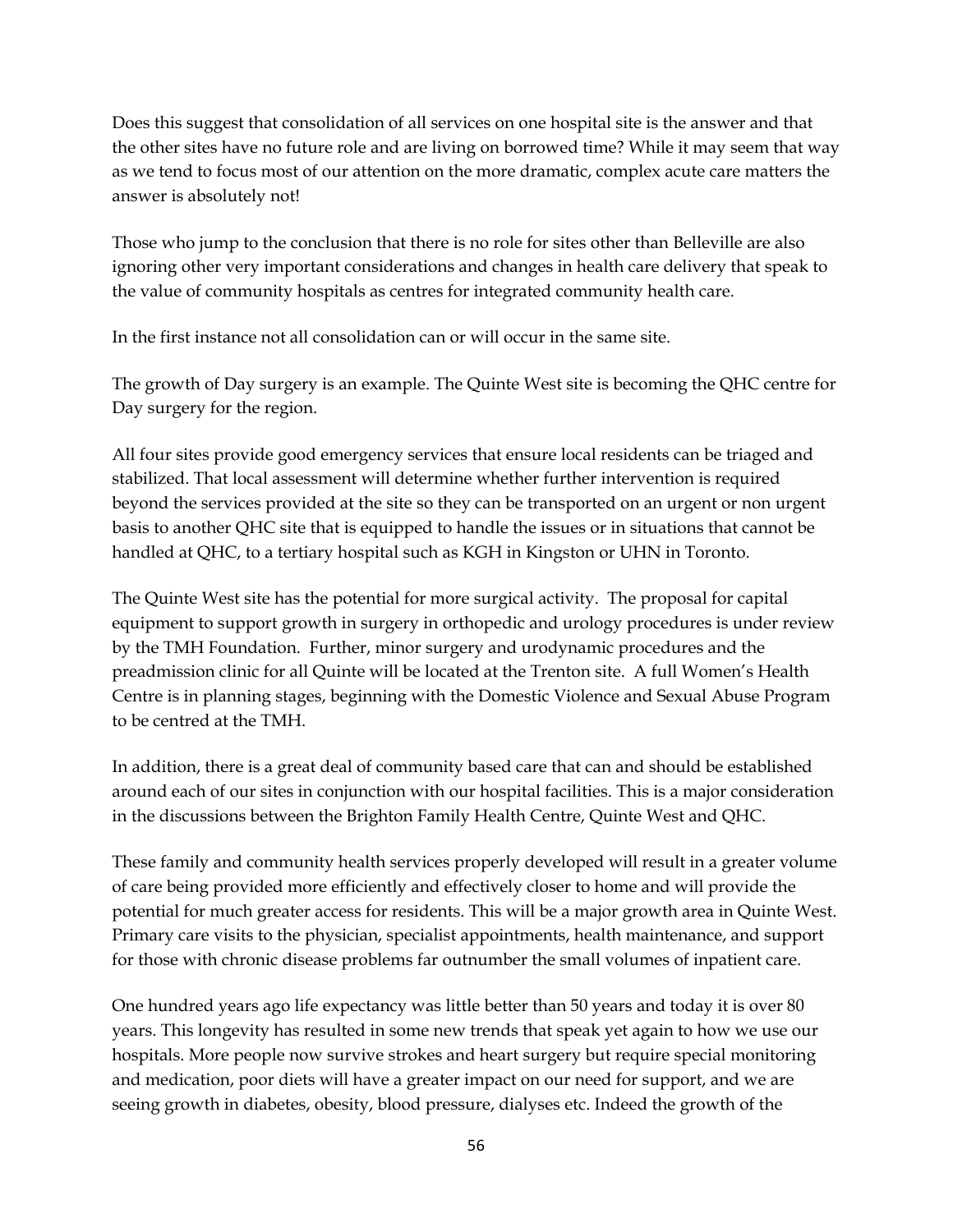Does this suggest that consolidation of all services on one hospital site is the answer and that the other sites have no future role and are living on borrowed time? While it may seem that way as we tend to focus most of our attention on the more dramatic, complex acute care matters the answer is absolutely not!

Those who jump to the conclusion that there is no role for sites other than Belleville are also ignoring other very important considerations and changes in health care delivery that speak to the value of community hospitals as centres for integrated community health care.

In the first instance not all consolidation can or will occur in the same site.

The growth of Day surgery is an example. The Quinte West site is becoming the QHC centre for Day surgery for the region.

All four sites provide good emergency services that ensure local residents can be triaged and stabilized. That local assessment will determine whether further intervention is required beyond the services provided at the site so they can be transported on an urgent or non urgent basis to another QHC site that is equipped to handle the issues or in situations that cannot be handled at QHC, to a tertiary hospital such as KGH in Kingston or UHN in Toronto.

The Quinte West site has the potential for more surgical activity. The proposal for capital equipment to support growth in surgery in orthopedic and urology procedures is under review by the TMH Foundation. Further, minor surgery and urodynamic procedures and the preadmission clinic for all Quinte will be located at the Trenton site. A full Women's Health Centre is in planning stages, beginning with the Domestic Violence and Sexual Abuse Program to be centred at the TMH.

In addition, there is a great deal of community based care that can and should be established around each of our sites in conjunction with our hospital facilities. This is a major consideration in the discussions between the Brighton Family Health Centre, Quinte West and QHC.

These family and community health services properly developed will result in a greater volume of care being provided more efficiently and effectively closer to home and will provide the potential for much greater access for residents. This will be a major growth area in Quinte West. Primary care visits to the physician, specialist appointments, health maintenance, and support for those with chronic disease problems far outnumber the small volumes of inpatient care.

One hundred years ago life expectancy was little better than 50 years and today it is over 80 years. This longevity has resulted in some new trends that speak yet again to how we use our hospitals. More people now survive strokes and heart surgery but require special monitoring and medication, poor diets will have a greater impact on our need for support, and we are seeing growth in diabetes, obesity, blood pressure, dialyses etc. Indeed the growth of the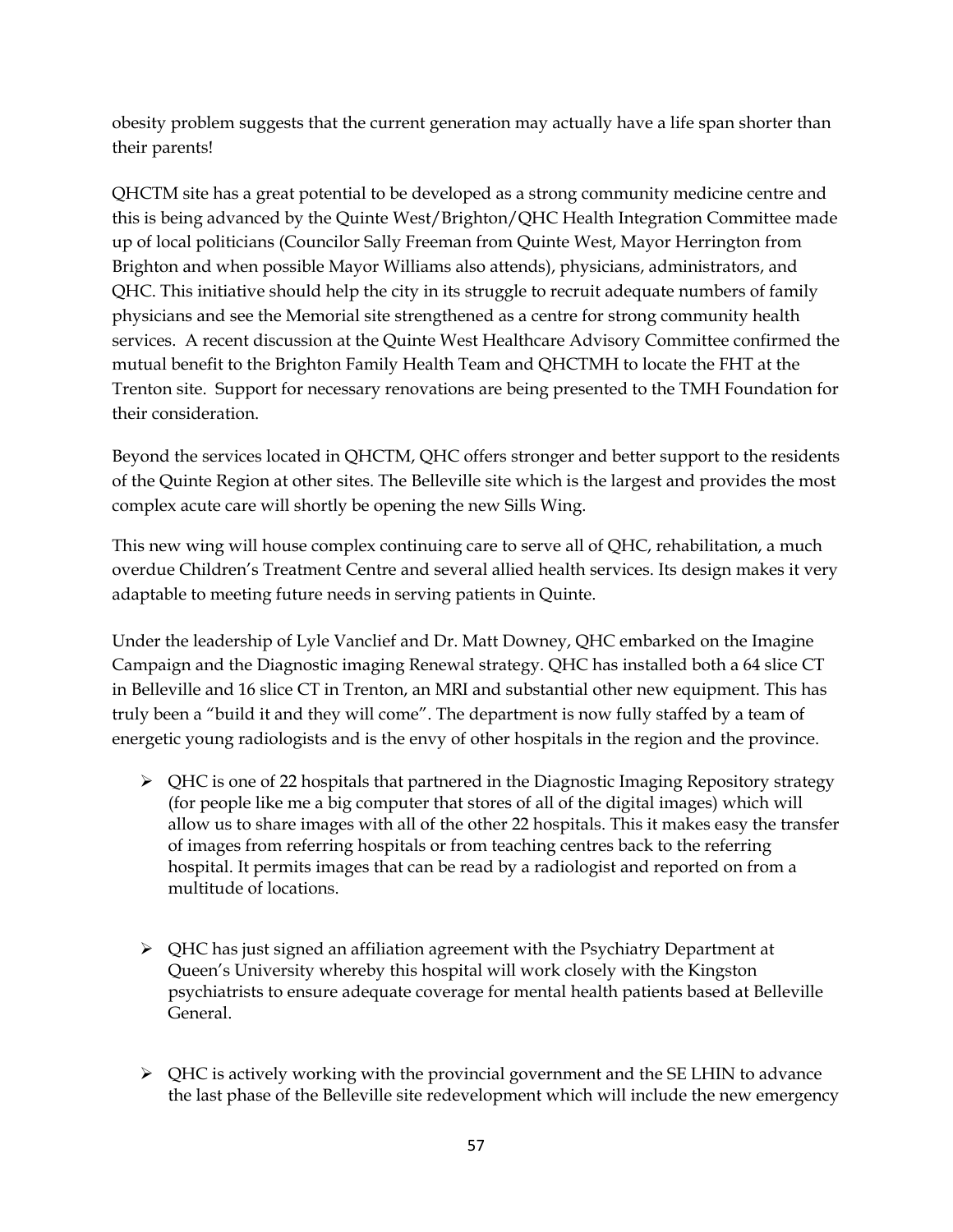obesity problem suggests that the current generation may actually have a life span shorter than their parents!

QHCTM site has a great potential to be developed as a strong community medicine centre and this is being advanced by the Quinte West/Brighton/QHC Health Integration Committee made up of local politicians (Councilor Sally Freeman from Quinte West, Mayor Herrington from Brighton and when possible Mayor Williams also attends), physicians, administrators, and QHC. This initiative should help the city in its struggle to recruit adequate numbers of family physicians and see the Memorial site strengthened as a centre for strong community health services. A recent discussion at the Quinte West Healthcare Advisory Committee confirmed the mutual benefit to the Brighton Family Health Team and QHCTMH to locate the FHT at the Trenton site. Support for necessary renovations are being presented to the TMH Foundation for their consideration.

Beyond the services located in QHCTM, QHC offers stronger and better support to the residents of the Quinte Region at other sites. The Belleville site which is the largest and provides the most complex acute care will shortly be opening the new Sills Wing.

This new wing will house complex continuing care to serve all of QHC, rehabilitation, a much overdue Children's Treatment Centre and several allied health services. Its design makes it very adaptable to meeting future needs in serving patients in Quinte.

Under the leadership of Lyle Vanclief and Dr. Matt Downey, QHC embarked on the Imagine Campaign and the Diagnostic imaging Renewal strategy. QHC has installed both a 64 slice CT in Belleville and 16 slice CT in Trenton, an MRI and substantial other new equipment. This has truly been a "build it and they will come". The department is now fully staffed by a team of energetic young radiologists and is the envy of other hospitals in the region and the province.

- $\triangleright$  QHC is one of 22 hospitals that partnered in the Diagnostic Imaging Repository strategy (for people like me a big computer that stores of all of the digital images) which will allow us to share images with all of the other 22 hospitals. This it makes easy the transfer of images from referring hospitals or from teaching centres back to the referring hospital. It permits images that can be read by a radiologist and reported on from a multitude of locations.
- QHC has just signed an affiliation agreement with the Psychiatry Department at Queen's University whereby this hospital will work closely with the Kingston psychiatrists to ensure adequate coverage for mental health patients based at Belleville General.
- $\triangleright$  QHC is actively working with the provincial government and the SE LHIN to advance the last phase of the Belleville site redevelopment which will include the new emergency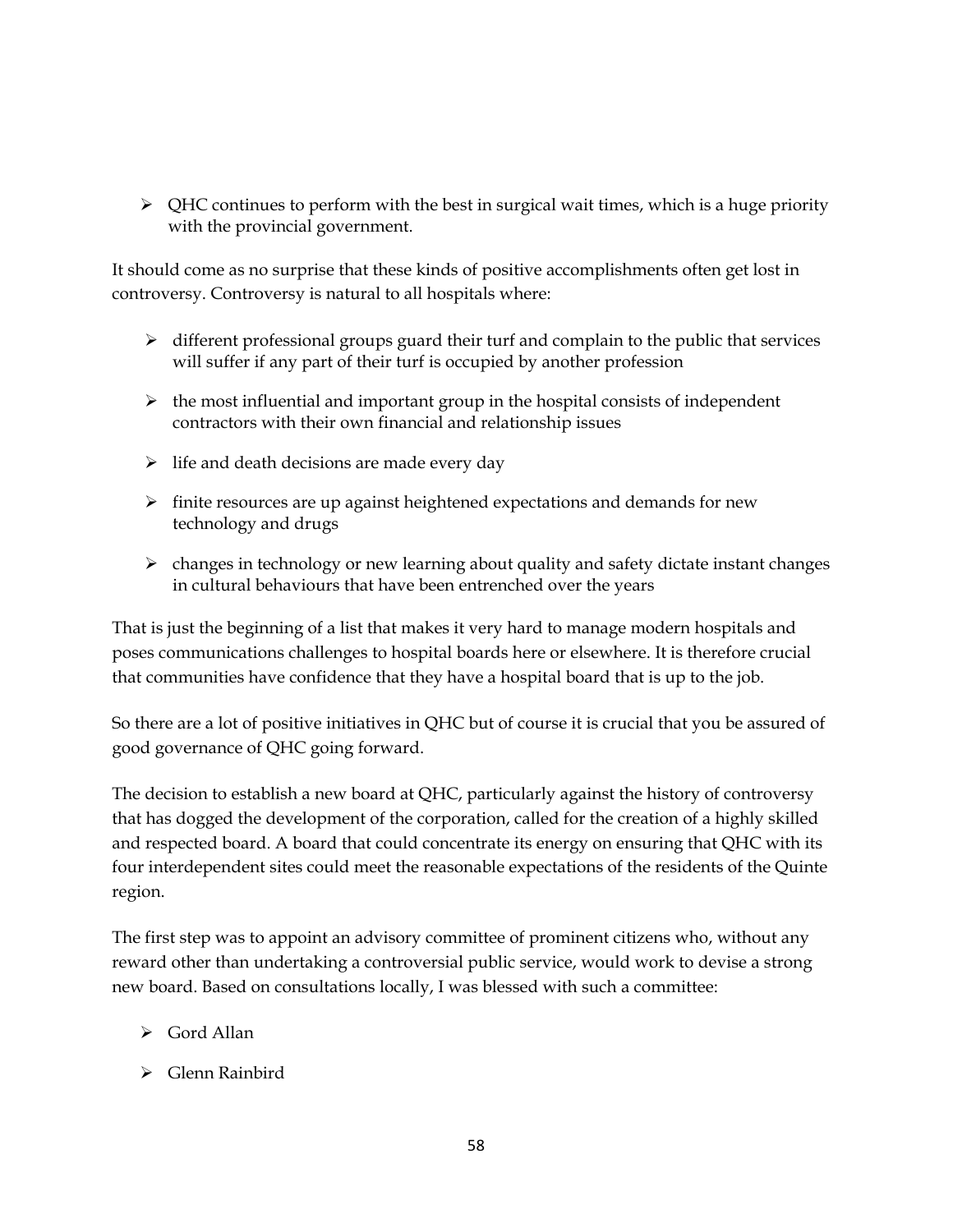$\triangleright$  QHC continues to perform with the best in surgical wait times, which is a huge priority with the provincial government.

It should come as no surprise that these kinds of positive accomplishments often get lost in controversy. Controversy is natural to all hospitals where:

- $\triangleright$  different professional groups guard their turf and complain to the public that services will suffer if any part of their turf is occupied by another profession
- $\triangleright$  the most influential and important group in the hospital consists of independent contractors with their own financial and relationship issues
- $\triangleright$  life and death decisions are made every day
- $\triangleright$  finite resources are up against heightened expectations and demands for new technology and drugs
- $\triangleright$  changes in technology or new learning about quality and safety dictate instant changes in cultural behaviours that have been entrenched over the years

That is just the beginning of a list that makes it very hard to manage modern hospitals and poses communications challenges to hospital boards here or elsewhere. It is therefore crucial that communities have confidence that they have a hospital board that is up to the job.

So there are a lot of positive initiatives in QHC but of course it is crucial that you be assured of good governance of QHC going forward.

The decision to establish a new board at QHC, particularly against the history of controversy that has dogged the development of the corporation, called for the creation of a highly skilled and respected board. A board that could concentrate its energy on ensuring that QHC with its four interdependent sites could meet the reasonable expectations of the residents of the Quinte region.

The first step was to appoint an advisory committee of prominent citizens who, without any reward other than undertaking a controversial public service, would work to devise a strong new board. Based on consultations locally, I was blessed with such a committee:

- $\triangleright$  Gord Allan
- Glenn Rainbird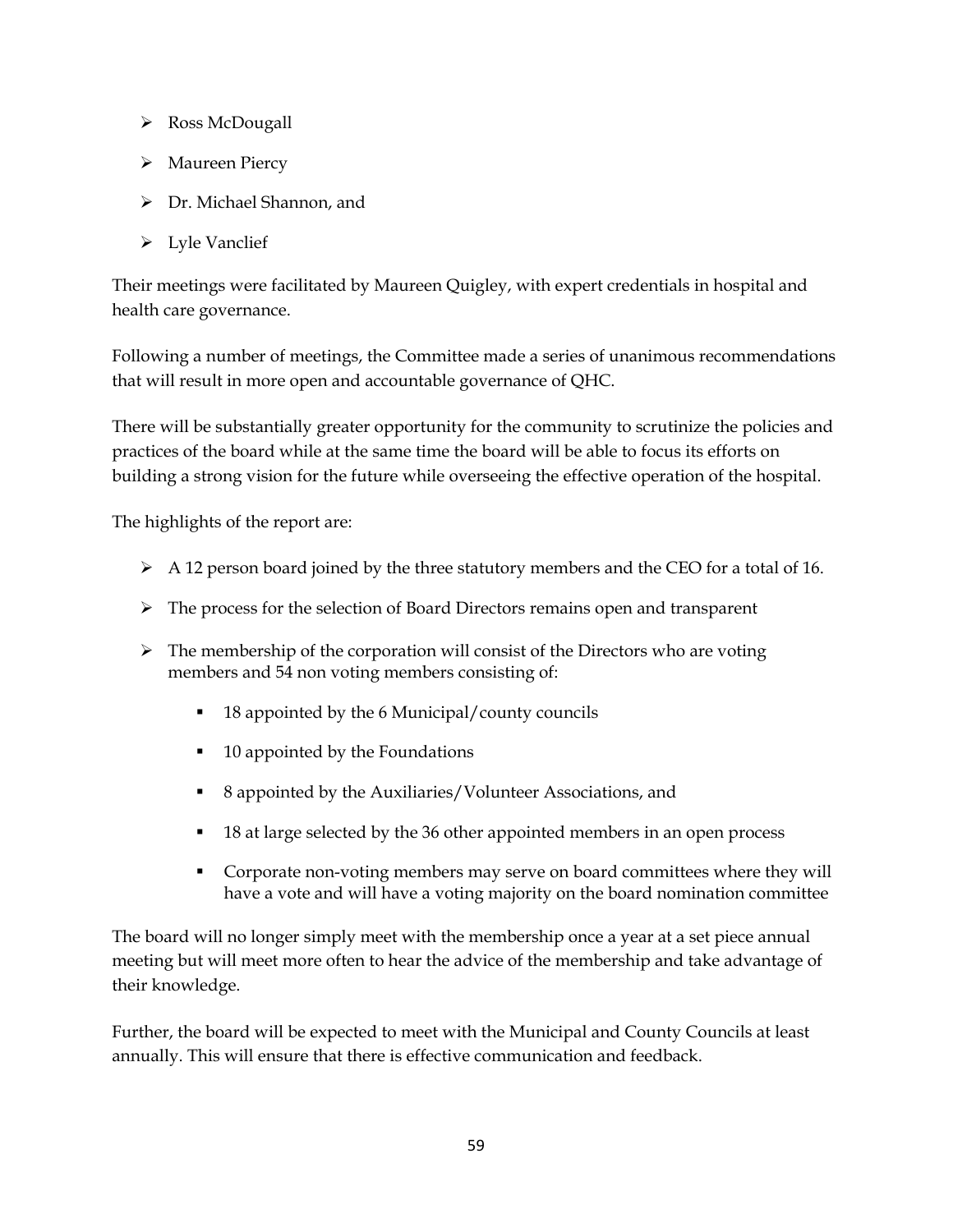- Ross McDougall
- Maureen Piercy
- Dr. Michael Shannon, and
- Lyle Vanclief

Their meetings were facilitated by Maureen Quigley, with expert credentials in hospital and health care governance.

Following a number of meetings, the Committee made a series of unanimous recommendations that will result in more open and accountable governance of QHC.

There will be substantially greater opportunity for the community to scrutinize the policies and practices of the board while at the same time the board will be able to focus its efforts on building a strong vision for the future while overseeing the effective operation of the hospital.

The highlights of the report are:

- $\triangleright$  A 12 person board joined by the three statutory members and the CEO for a total of 16.
- $\triangleright$  The process for the selection of Board Directors remains open and transparent
- $\triangleright$  The membership of the corporation will consist of the Directors who are voting members and 54 non voting members consisting of:
	- 18 appointed by the 6 Municipal/county councils
	- 10 appointed by the Foundations
	- 8 appointed by the Auxiliaries/Volunteer Associations, and
	- 18 at large selected by the 36 other appointed members in an open process
	- Corporate non-voting members may serve on board committees where they will have a vote and will have a voting majority on the board nomination committee

The board will no longer simply meet with the membership once a year at a set piece annual meeting but will meet more often to hear the advice of the membership and take advantage of their knowledge.

Further, the board will be expected to meet with the Municipal and County Councils at least annually. This will ensure that there is effective communication and feedback.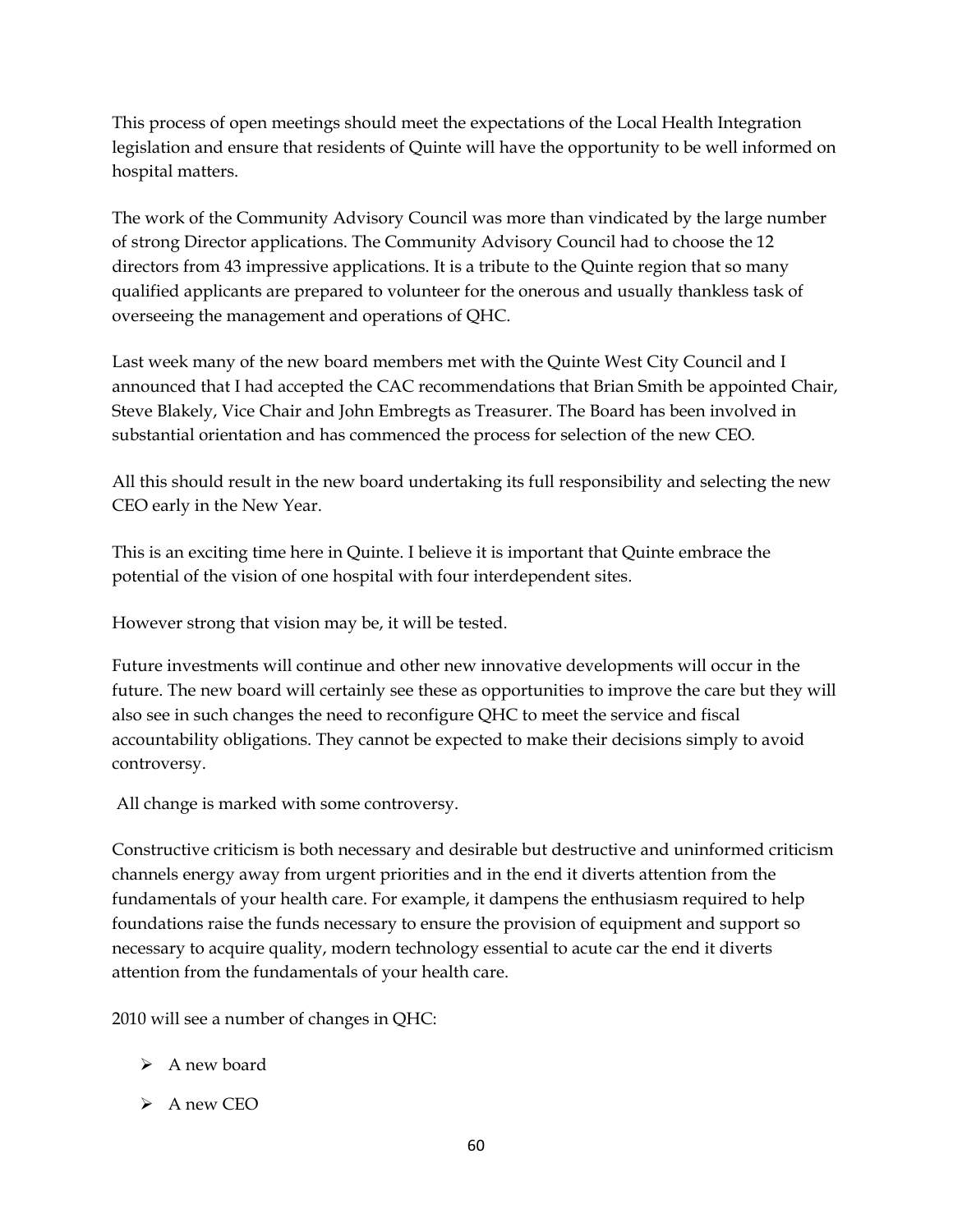This process of open meetings should meet the expectations of the Local Health Integration legislation and ensure that residents of Quinte will have the opportunity to be well informed on hospital matters.

The work of the Community Advisory Council was more than vindicated by the large number of strong Director applications. The Community Advisory Council had to choose the 12 directors from 43 impressive applications. It is a tribute to the Quinte region that so many qualified applicants are prepared to volunteer for the onerous and usually thankless task of overseeing the management and operations of QHC.

Last week many of the new board members met with the Quinte West City Council and I announced that I had accepted the CAC recommendations that Brian Smith be appointed Chair, Steve Blakely, Vice Chair and John Embregts as Treasurer. The Board has been involved in substantial orientation and has commenced the process for selection of the new CEO.

All this should result in the new board undertaking its full responsibility and selecting the new CEO early in the New Year.

This is an exciting time here in Quinte. I believe it is important that Quinte embrace the potential of the vision of one hospital with four interdependent sites.

However strong that vision may be, it will be tested.

Future investments will continue and other new innovative developments will occur in the future. The new board will certainly see these as opportunities to improve the care but they will also see in such changes the need to reconfigure QHC to meet the service and fiscal accountability obligations. They cannot be expected to make their decisions simply to avoid controversy.

All change is marked with some controversy.

Constructive criticism is both necessary and desirable but destructive and uninformed criticism channels energy away from urgent priorities and in the end it diverts attention from the fundamentals of your health care. For example, it dampens the enthusiasm required to help foundations raise the funds necessary to ensure the provision of equipment and support so necessary to acquire quality, modern technology essential to acute car the end it diverts attention from the fundamentals of your health care.

2010 will see a number of changes in QHC:

- $\triangleright$  A new board
- $\triangleright$  A new CEO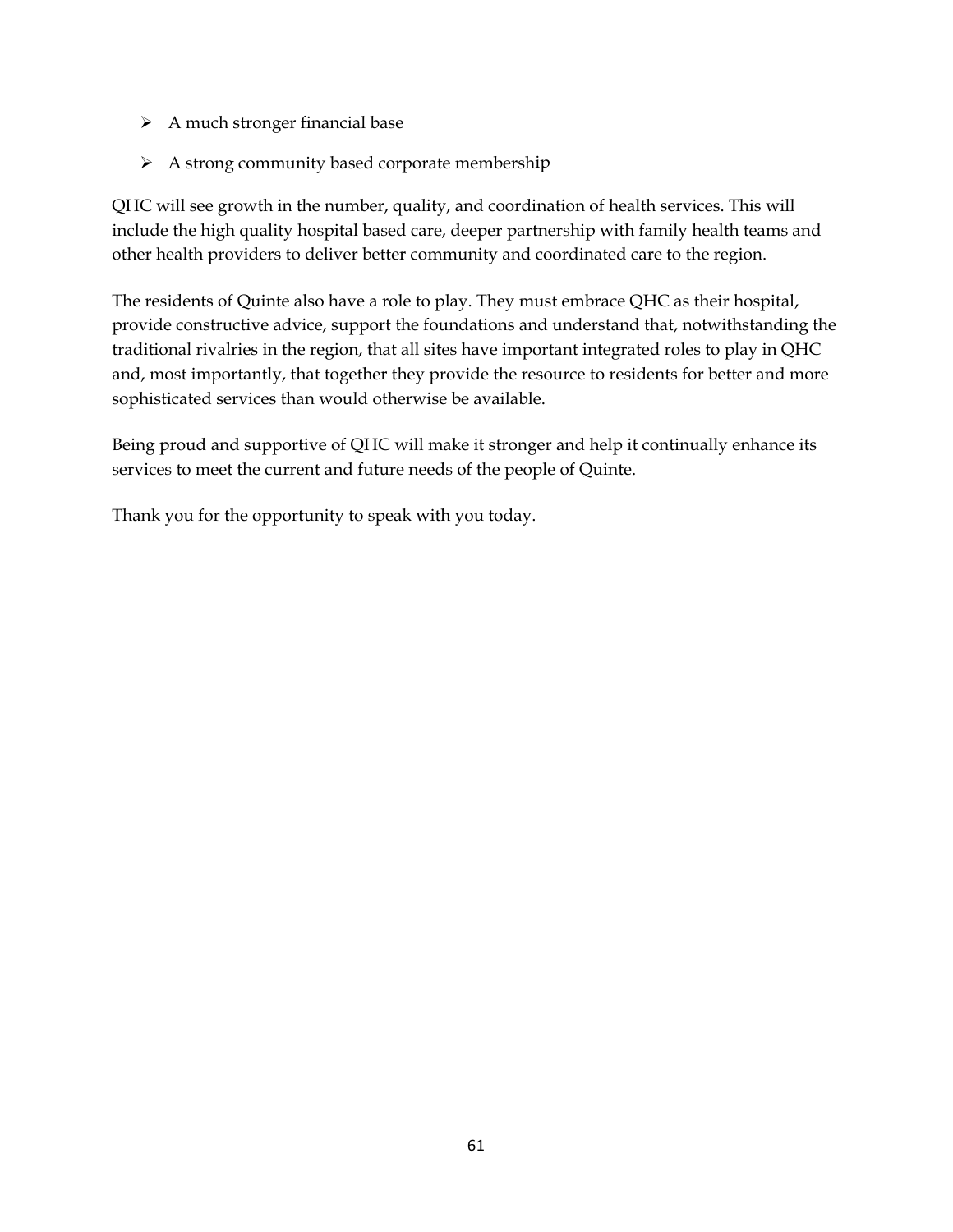- $\triangleright$  A much stronger financial base
- $\triangleright$  A strong community based corporate membership

QHC will see growth in the number, quality, and coordination of health services. This will include the high quality hospital based care, deeper partnership with family health teams and other health providers to deliver better community and coordinated care to the region.

The residents of Quinte also have a role to play. They must embrace QHC as their hospital, provide constructive advice, support the foundations and understand that, notwithstanding the traditional rivalries in the region, that all sites have important integrated roles to play in QHC and, most importantly, that together they provide the resource to residents for better and more sophisticated services than would otherwise be available.

Being proud and supportive of QHC will make it stronger and help it continually enhance its services to meet the current and future needs of the people of Quinte.

Thank you for the opportunity to speak with you today.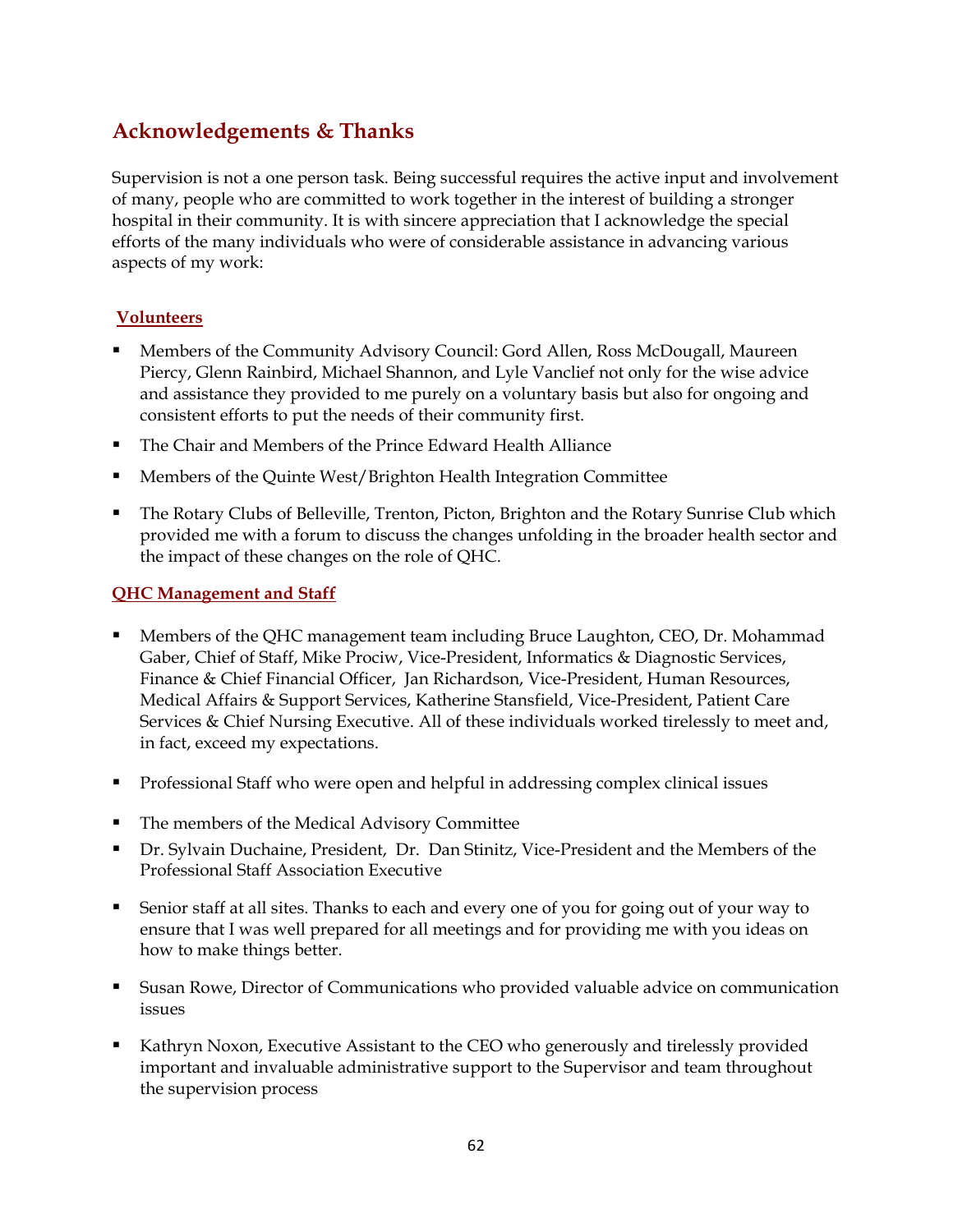## <span id="page-61-0"></span>**Acknowledgements & Thanks**

Supervision is not a one person task. Being successful requires the active input and involvement of many, people who are committed to work together in the interest of building a stronger hospital in their community. It is with sincere appreciation that I acknowledge the special efforts of the many individuals who were of considerable assistance in advancing various aspects of my work:

#### **Volunteers**

- Members of the Community Advisory Council: Gord Allen, Ross McDougall, Maureen Piercy, Glenn Rainbird, Michael Shannon, and Lyle Vanclief not only for the wise advice and assistance they provided to me purely on a voluntary basis but also for ongoing and consistent efforts to put the needs of their community first.
- The Chair and Members of the Prince Edward Health Alliance
- Members of the Quinte West/Brighton Health Integration Committee
- The Rotary Clubs of Belleville, Trenton, Picton, Brighton and the Rotary Sunrise Club which provided me with a forum to discuss the changes unfolding in the broader health sector and the impact of these changes on the role of QHC.

#### **QHC Management and Staff**

- Members of the QHC management team including Bruce Laughton, CEO, Dr. Mohammad Gaber, Chief of Staff, Mike Prociw, Vice-President, Informatics & Diagnostic Services, Finance & Chief Financial Officer, Jan Richardson, Vice-President, Human Resources, Medical Affairs & Support Services, Katherine Stansfield, Vice-President, Patient Care Services & Chief Nursing Executive. All of these individuals worked tirelessly to meet and, in fact, exceed my expectations.
- Professional Staff who were open and helpful in addressing complex clinical issues
- The members of the Medical Advisory Committee
- Dr. Sylvain Duchaine, President, Dr. Dan Stinitz, Vice-President and the Members of the Professional Staff Association Executive
- Senior staff at all sites. Thanks to each and every one of you for going out of your way to ensure that I was well prepared for all meetings and for providing me with you ideas on how to make things better.
- Susan Rowe, Director of Communications who provided valuable advice on communication issues
- Kathryn Noxon, Executive Assistant to the CEO who generously and tirelessly provided important and invaluable administrative support to the Supervisor and team throughout the supervision process